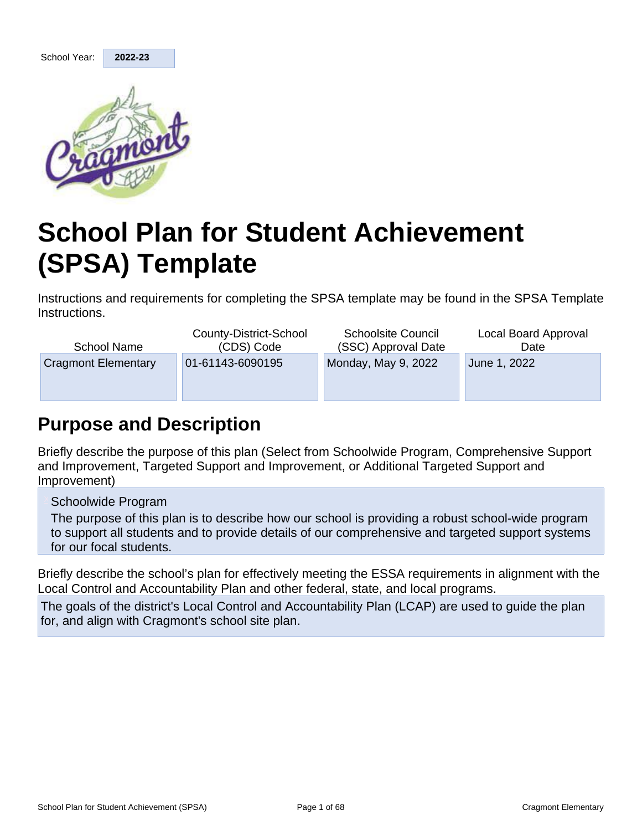

# **School Plan for Student Achievement (SPSA) Template**

Instructions and requirements for completing the SPSA template may be found in the SPSA Template Instructions.

| School Name                | County-District-School<br>(CDS) Code | <b>Schoolsite Council</b><br>(SSC) Approval Date | Local Board Approval<br>Date |
|----------------------------|--------------------------------------|--------------------------------------------------|------------------------------|
| <b>Cragmont Elementary</b> | 01-61143-6090195                     | Monday, May 9, 2022                              | June 1, 2022                 |
|                            |                                      |                                                  |                              |

# **Purpose and Description**

Briefly describe the purpose of this plan (Select from Schoolwide Program, Comprehensive Support and Improvement, Targeted Support and Improvement, or Additional Targeted Support and Improvement)

Schoolwide Program

The purpose of this plan is to describe how our school is providing a robust school-wide program to support all students and to provide details of our comprehensive and targeted support systems for our focal students.

Briefly describe the school's plan for effectively meeting the ESSA requirements in alignment with the Local Control and Accountability Plan and other federal, state, and local programs.

The goals of the district's Local Control and Accountability Plan (LCAP) are used to guide the plan for, and align with Cragmont's school site plan.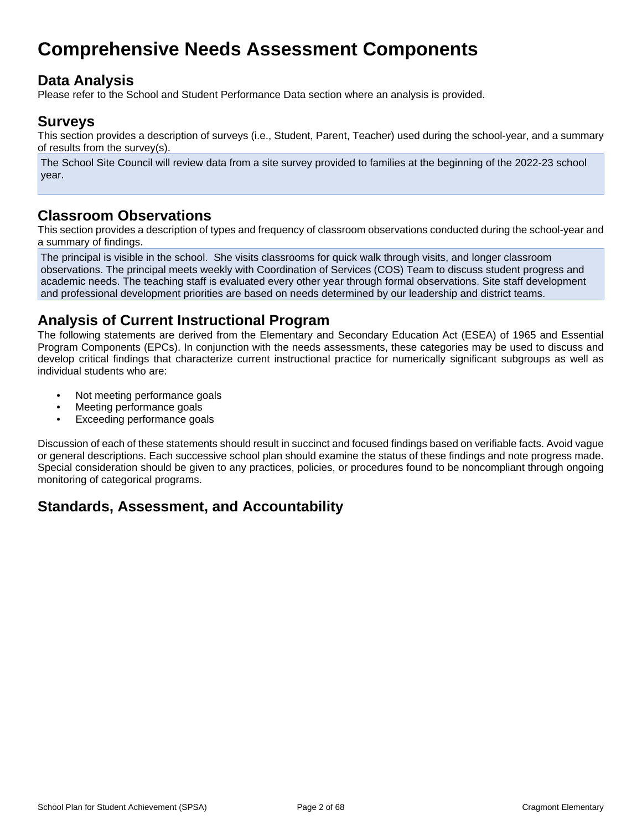# **Comprehensive Needs Assessment Components**

# **Data Analysis**

Please refer to the School and Student Performance Data section where an analysis is provided.

# **Surveys**

This section provides a description of surveys (i.e., Student, Parent, Teacher) used during the school-year, and a summary of results from the survey(s).

The School Site Council will review data from a site survey provided to families at the beginning of the 2022-23 school year.

# **Classroom Observations**

This section provides a description of types and frequency of classroom observations conducted during the school-year and a summary of findings.

The principal is visible in the school. She visits classrooms for quick walk through visits, and longer classroom observations. The principal meets weekly with Coordination of Services (COS) Team to discuss student progress and academic needs. The teaching staff is evaluated every other year through formal observations. Site staff development and professional development priorities are based on needs determined by our leadership and district teams.

# **Analysis of Current Instructional Program**

The following statements are derived from the Elementary and Secondary Education Act (ESEA) of 1965 and Essential Program Components (EPCs). In conjunction with the needs assessments, these categories may be used to discuss and develop critical findings that characterize current instructional practice for numerically significant subgroups as well as individual students who are:

- Not meeting performance goals
- Meeting performance goals
- Exceeding performance goals

Discussion of each of these statements should result in succinct and focused findings based on verifiable facts. Avoid vague or general descriptions. Each successive school plan should examine the status of these findings and note progress made. Special consideration should be given to any practices, policies, or procedures found to be noncompliant through ongoing monitoring of categorical programs.

# **Standards, Assessment, and Accountability**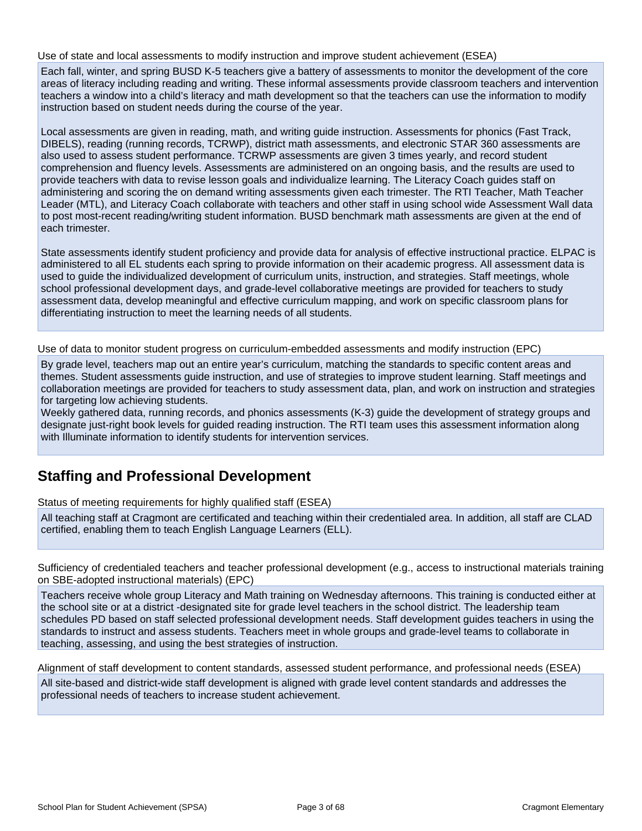#### Use of state and local assessments to modify instruction and improve student achievement (ESEA)

Each fall, winter, and spring BUSD K-5 teachers give a battery of assessments to monitor the development of the core areas of literacy including reading and writing. These informal assessments provide classroom teachers and intervention teachers a window into a child's literacy and math development so that the teachers can use the information to modify instruction based on student needs during the course of the year.

Local assessments are given in reading, math, and writing guide instruction. Assessments for phonics (Fast Track, DIBELS), reading (running records, TCRWP), district math assessments, and electronic STAR 360 assessments are also used to assess student performance. TCRWP assessments are given 3 times yearly, and record student comprehension and fluency levels. Assessments are administered on an ongoing basis, and the results are used to provide teachers with data to revise lesson goals and individualize learning. The Literacy Coach guides staff on administering and scoring the on demand writing assessments given each trimester. The RTI Teacher, Math Teacher Leader (MTL), and Literacy Coach collaborate with teachers and other staff in using school wide Assessment Wall data to post most-recent reading/writing student information. BUSD benchmark math assessments are given at the end of each trimester.

State assessments identify student proficiency and provide data for analysis of effective instructional practice. ELPAC is administered to all EL students each spring to provide information on their academic progress. All assessment data is used to guide the individualized development of curriculum units, instruction, and strategies. Staff meetings, whole school professional development days, and grade-level collaborative meetings are provided for teachers to study assessment data, develop meaningful and effective curriculum mapping, and work on specific classroom plans for differentiating instruction to meet the learning needs of all students.

Use of data to monitor student progress on curriculum-embedded assessments and modify instruction (EPC)

By grade level, teachers map out an entire year's curriculum, matching the standards to specific content areas and themes. Student assessments guide instruction, and use of strategies to improve student learning. Staff meetings and collaboration meetings are provided for teachers to study assessment data, plan, and work on instruction and strategies for targeting low achieving students.

Weekly gathered data, running records, and phonics assessments (K-3) guide the development of strategy groups and designate just-right book levels for guided reading instruction. The RTI team uses this assessment information along with Illuminate information to identify students for intervention services.

# **Staffing and Professional Development**

Status of meeting requirements for highly qualified staff (ESEA)

All teaching staff at Cragmont are certificated and teaching within their credentialed area. In addition, all staff are CLAD certified, enabling them to teach English Language Learners (ELL).

Sufficiency of credentialed teachers and teacher professional development (e.g., access to instructional materials training on SBE-adopted instructional materials) (EPC)

Teachers receive whole group Literacy and Math training on Wednesday afternoons. This training is conducted either at the school site or at a district -designated site for grade level teachers in the school district. The leadership team schedules PD based on staff selected professional development needs. Staff development guides teachers in using the standards to instruct and assess students. Teachers meet in whole groups and grade-level teams to collaborate in teaching, assessing, and using the best strategies of instruction.

Alignment of staff development to content standards, assessed student performance, and professional needs (ESEA)

All site-based and district-wide staff development is aligned with grade level content standards and addresses the professional needs of teachers to increase student achievement.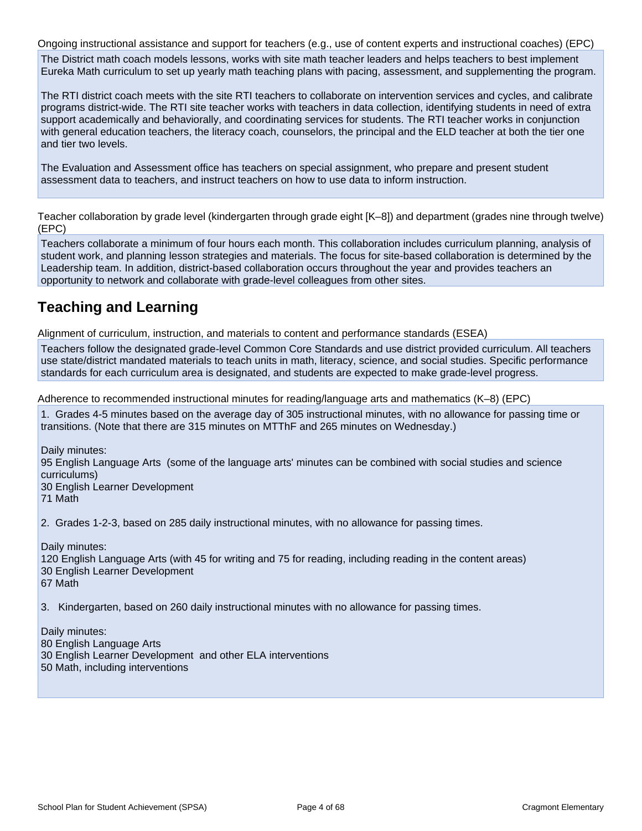Ongoing instructional assistance and support for teachers (e.g., use of content experts and instructional coaches) (EPC) The District math coach models lessons, works with site math teacher leaders and helps teachers to best implement Eureka Math curriculum to set up yearly math teaching plans with pacing, assessment, and supplementing the program.

The RTI district coach meets with the site RTI teachers to collaborate on intervention services and cycles, and calibrate programs district-wide. The RTI site teacher works with teachers in data collection, identifying students in need of extra support academically and behaviorally, and coordinating services for students. The RTI teacher works in conjunction with general education teachers, the literacy coach, counselors, the principal and the ELD teacher at both the tier one and tier two levels.

The Evaluation and Assessment office has teachers on special assignment, who prepare and present student assessment data to teachers, and instruct teachers on how to use data to inform instruction.

Teacher collaboration by grade level (kindergarten through grade eight [K–8]) and department (grades nine through twelve) (EPC)

Teachers collaborate a minimum of four hours each month. This collaboration includes curriculum planning, analysis of student work, and planning lesson strategies and materials. The focus for site-based collaboration is determined by the Leadership team. In addition, district-based collaboration occurs throughout the year and provides teachers an opportunity to network and collaborate with grade-level colleagues from other sites.

# **Teaching and Learning**

Alignment of curriculum, instruction, and materials to content and performance standards (ESEA)

Teachers follow the designated grade-level Common Core Standards and use district provided curriculum. All teachers use state/district mandated materials to teach units in math, literacy, science, and social studies. Specific performance standards for each curriculum area is designated, and students are expected to make grade-level progress.

Adherence to recommended instructional minutes for reading/language arts and mathematics (K–8) (EPC)

1. Grades 4-5 minutes based on the average day of 305 instructional minutes, with no allowance for passing time or transitions. (Note that there are 315 minutes on MTThF and 265 minutes on Wednesday.)

Daily minutes: 95 English Language Arts (some of the language arts' minutes can be combined with social studies and science curriculums) 30 English Learner Development

71 Math

2. Grades 1-2-3, based on 285 daily instructional minutes, with no allowance for passing times.

Daily minutes: 120 English Language Arts (with 45 for writing and 75 for reading, including reading in the content areas) 30 English Learner Development 67 Math

3. Kindergarten, based on 260 daily instructional minutes with no allowance for passing times.

Daily minutes: 80 English Language Arts 30 English Learner Development and other ELA interventions 50 Math, including interventions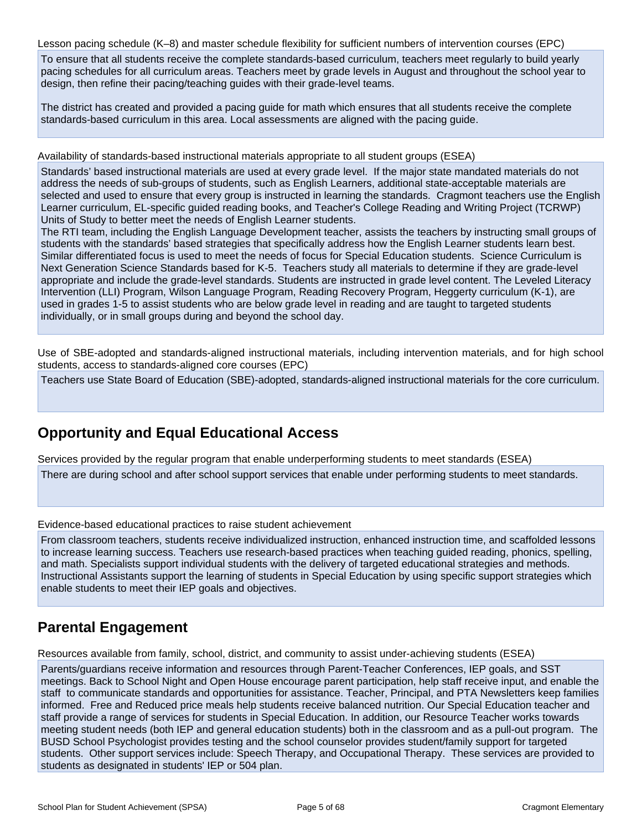Lesson pacing schedule (K–8) and master schedule flexibility for sufficient numbers of intervention courses (EPC)

To ensure that all students receive the complete standards-based curriculum, teachers meet regularly to build yearly pacing schedules for all curriculum areas. Teachers meet by grade levels in August and throughout the school year to design, then refine their pacing/teaching guides with their grade-level teams.

The district has created and provided a pacing guide for math which ensures that all students receive the complete standards-based curriculum in this area. Local assessments are aligned with the pacing guide.

#### Availability of standards-based instructional materials appropriate to all student groups (ESEA)

Standards' based instructional materials are used at every grade level. If the major state mandated materials do not address the needs of sub-groups of students, such as English Learners, additional state-acceptable materials are selected and used to ensure that every group is instructed in learning the standards. Cragmont teachers use the English Learner curriculum, EL-specific guided reading books, and Teacher's College Reading and Writing Project (TCRWP) Units of Study to better meet the needs of English Learner students.

The RTI team, including the English Language Development teacher, assists the teachers by instructing small groups of students with the standards' based strategies that specifically address how the English Learner students learn best. Similar differentiated focus is used to meet the needs of focus for Special Education students. Science Curriculum is Next Generation Science Standards based for K-5. Teachers study all materials to determine if they are grade-level appropriate and include the grade-level standards. Students are instructed in grade level content. The Leveled Literacy Intervention (LLI) Program, Wilson Language Program, Reading Recovery Program, Heggerty curriculum (K-1), are used in grades 1-5 to assist students who are below grade level in reading and are taught to targeted students individually, or in small groups during and beyond the school day.

Use of SBE-adopted and standards-aligned instructional materials, including intervention materials, and for high school students, access to standards-aligned core courses (EPC)

Teachers use State Board of Education (SBE)-adopted, standards-aligned instructional materials for the core curriculum.

# **Opportunity and Equal Educational Access**

Services provided by the regular program that enable underperforming students to meet standards (ESEA)

There are during school and after school support services that enable under performing students to meet standards.

Evidence-based educational practices to raise student achievement

From classroom teachers, students receive individualized instruction, enhanced instruction time, and scaffolded lessons to increase learning success. Teachers use research-based practices when teaching guided reading, phonics, spelling, and math. Specialists support individual students with the delivery of targeted educational strategies and methods. Instructional Assistants support the learning of students in Special Education by using specific support strategies which enable students to meet their IEP goals and objectives.

# **Parental Engagement**

Resources available from family, school, district, and community to assist under-achieving students (ESEA)

Parents/guardians receive information and resources through Parent-Teacher Conferences, IEP goals, and SST meetings. Back to School Night and Open House encourage parent participation, help staff receive input, and enable the staff to communicate standards and opportunities for assistance. Teacher, Principal, and PTA Newsletters keep families informed. Free and Reduced price meals help students receive balanced nutrition. Our Special Education teacher and staff provide a range of services for students in Special Education. In addition, our Resource Teacher works towards meeting student needs (both IEP and general education students) both in the classroom and as a pull-out program. The BUSD School Psychologist provides testing and the school counselor provides student/family support for targeted students. Other support services include: Speech Therapy, and Occupational Therapy. These services are provided to students as designated in students' IEP or 504 plan.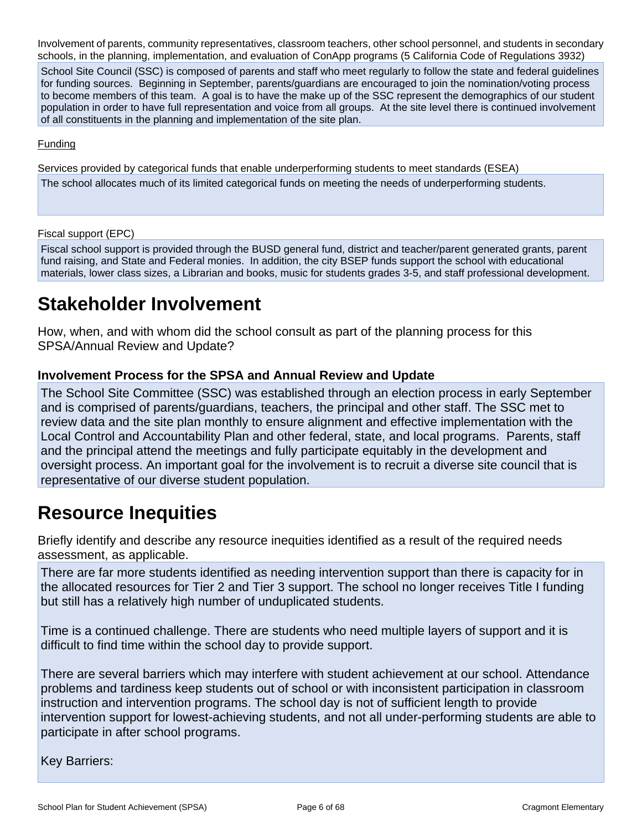Involvement of parents, community representatives, classroom teachers, other school personnel, and students in secondary schools, in the planning, implementation, and evaluation of ConApp programs (5 California Code of Regulations 3932)

School Site Council (SSC) is composed of parents and staff who meet regularly to follow the state and federal guidelines for funding sources. Beginning in September, parents/guardians are encouraged to join the nomination/voting process to become members of this team. A goal is to have the make up of the SSC represent the demographics of our student population in order to have full representation and voice from all groups. At the site level there is continued involvement of all constituents in the planning and implementation of the site plan.

#### **Funding**

Services provided by categorical funds that enable underperforming students to meet standards (ESEA)

The school allocates much of its limited categorical funds on meeting the needs of underperforming students.

Fiscal support (EPC)

Fiscal school support is provided through the BUSD general fund, district and teacher/parent generated grants, parent fund raising, and State and Federal monies. In addition, the city BSEP funds support the school with educational materials, lower class sizes, a Librarian and books, music for students grades 3-5, and staff professional development.

# **Stakeholder Involvement**

How, when, and with whom did the school consult as part of the planning process for this SPSA/Annual Review and Update?

### **Involvement Process for the SPSA and Annual Review and Update**

The School Site Committee (SSC) was established through an election process in early September and is comprised of parents/guardians, teachers, the principal and other staff. The SSC met to review data and the site plan monthly to ensure alignment and effective implementation with the Local Control and Accountability Plan and other federal, state, and local programs. Parents, staff and the principal attend the meetings and fully participate equitably in the development and oversight process. An important goal for the involvement is to recruit a diverse site council that is representative of our diverse student population.

# **Resource Inequities**

Briefly identify and describe any resource inequities identified as a result of the required needs assessment, as applicable.

There are far more students identified as needing intervention support than there is capacity for in the allocated resources for Tier 2 and Tier 3 support. The school no longer receives Title I funding but still has a relatively high number of unduplicated students.

Time is a continued challenge. There are students who need multiple layers of support and it is difficult to find time within the school day to provide support.

There are several barriers which may interfere with student achievement at our school. Attendance problems and tardiness keep students out of school or with inconsistent participation in classroom instruction and intervention programs. The school day is not of sufficient length to provide intervention support for lowest-achieving students, and not all under-performing students are able to participate in after school programs.

Key Barriers: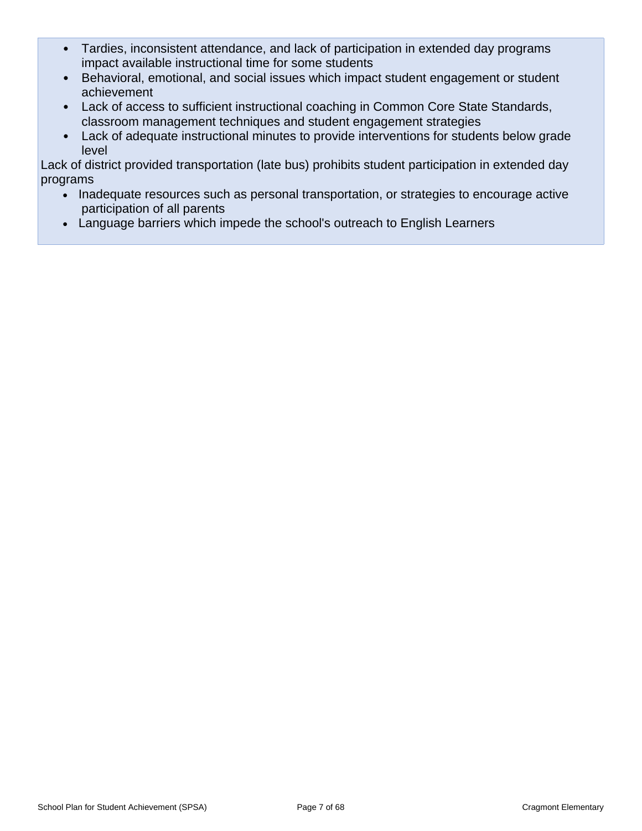- Tardies, inconsistent attendance, and lack of participation in extended day programs impact available instructional time for some students
- Behavioral, emotional, and social issues which impact student engagement or student achievement
- Lack of access to sufficient instructional coaching in Common Core State Standards, classroom management techniques and student engagement strategies
- Lack of adequate instructional minutes to provide interventions for students below grade level

Lack of district provided transportation (late bus) prohibits student participation in extended day programs

- Inadequate resources such as personal transportation, or strategies to encourage active participation of all parents
- Language barriers which impede the school's outreach to English Learners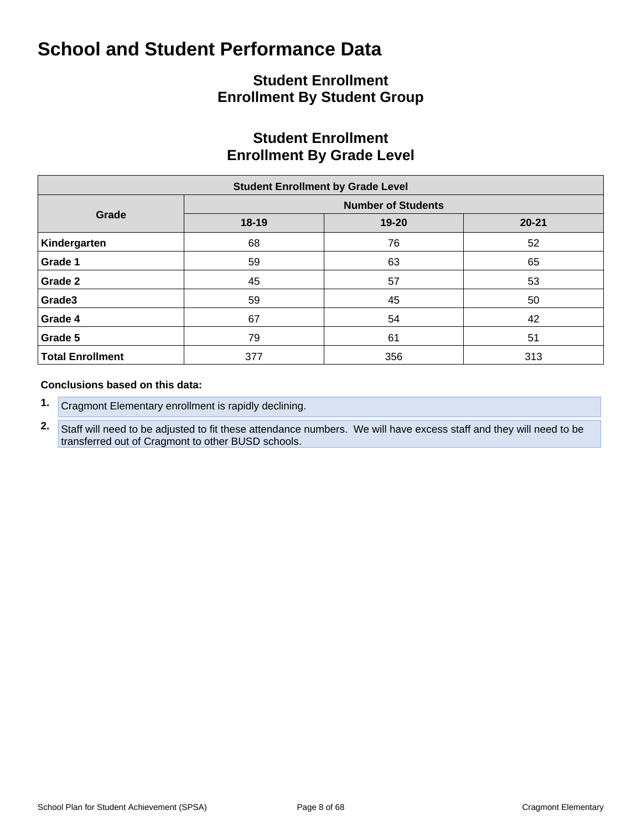# **Student Enrollment Enrollment By Student Group**

# **Student Enrollment Enrollment By Grade Level**

| <b>Student Enrollment by Grade Level</b> |           |                           |           |  |  |  |  |  |  |  |
|------------------------------------------|-----------|---------------------------|-----------|--|--|--|--|--|--|--|
|                                          |           | <b>Number of Students</b> |           |  |  |  |  |  |  |  |
| Grade                                    | $18 - 19$ | 19-20                     | $20 - 21$ |  |  |  |  |  |  |  |
| Kindergarten                             | 68        | 76                        | 52        |  |  |  |  |  |  |  |
| Grade 1                                  | 59        | 63                        | 65        |  |  |  |  |  |  |  |
| Grade 2                                  | 45        | 57                        | 53        |  |  |  |  |  |  |  |
| Grade3                                   | 59        | 45                        | 50        |  |  |  |  |  |  |  |
| Grade 4                                  | 67        | 54                        | 42        |  |  |  |  |  |  |  |
| Grade 5                                  | 79        | 61                        | 51        |  |  |  |  |  |  |  |
| <b>Total Enrollment</b>                  | 377       | 356                       | 313       |  |  |  |  |  |  |  |

#### **Conclusions based on this data:**

- **1.** Cragmont Elementary enrollment is rapidly declining.
- **2.** Staff will need to be adjusted to fit these attendance numbers. We will have excess staff and they will need to be transferred out of Cragmont to other BUSD schools.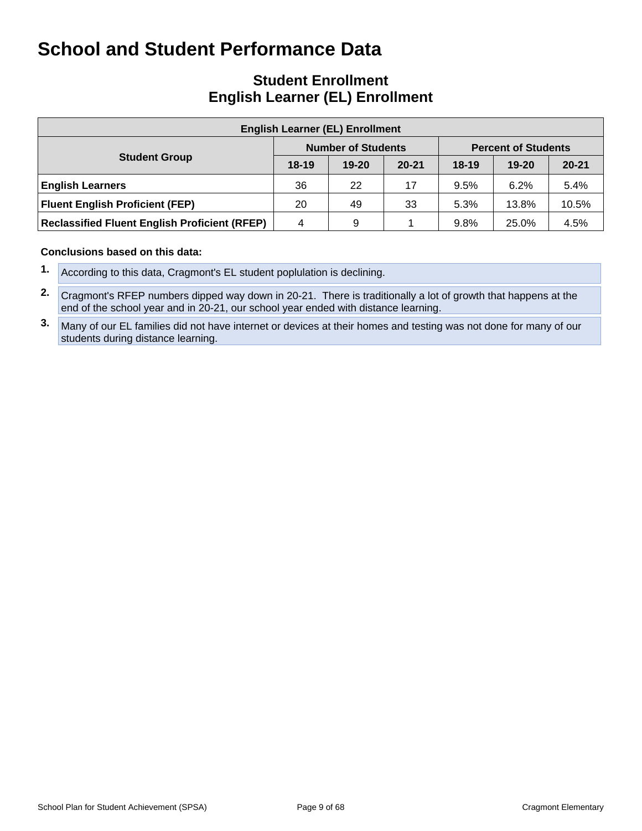# **Student Enrollment English Learner (EL) Enrollment**

| <b>English Learner (EL) Enrollment</b>               |         |                           |           |                            |           |           |  |  |  |  |  |
|------------------------------------------------------|---------|---------------------------|-----------|----------------------------|-----------|-----------|--|--|--|--|--|
|                                                      |         | <b>Number of Students</b> |           | <b>Percent of Students</b> |           |           |  |  |  |  |  |
| <b>Student Group</b>                                 | $18-19$ | $19 - 20$                 | $20 - 21$ | $18-19$                    | $19 - 20$ | $20 - 21$ |  |  |  |  |  |
| <b>English Learners</b>                              | 36      | 22                        | 17        | 9.5%                       | 6.2%      | 5.4%      |  |  |  |  |  |
| <b>Fluent English Proficient (FEP)</b>               | 20      | 49                        | 33        | 5.3%                       | 13.8%     | 10.5%     |  |  |  |  |  |
| <b>Reclassified Fluent English Proficient (RFEP)</b> | 4       | 9                         |           | 9.8%                       | 25.0%     | 4.5%      |  |  |  |  |  |

#### **Conclusions based on this data:**

- **1.** According to this data, Cragmont's EL student poplulation is declining.
- **2.** Cragmont's RFEP numbers dipped way down in 20-21. There is traditionally a lot of growth that happens at the end of the school year and in 20-21, our school year ended with distance learning.
- **3.** Many of our EL families did not have internet or devices at their homes and testing was not done for many of our students during distance learning.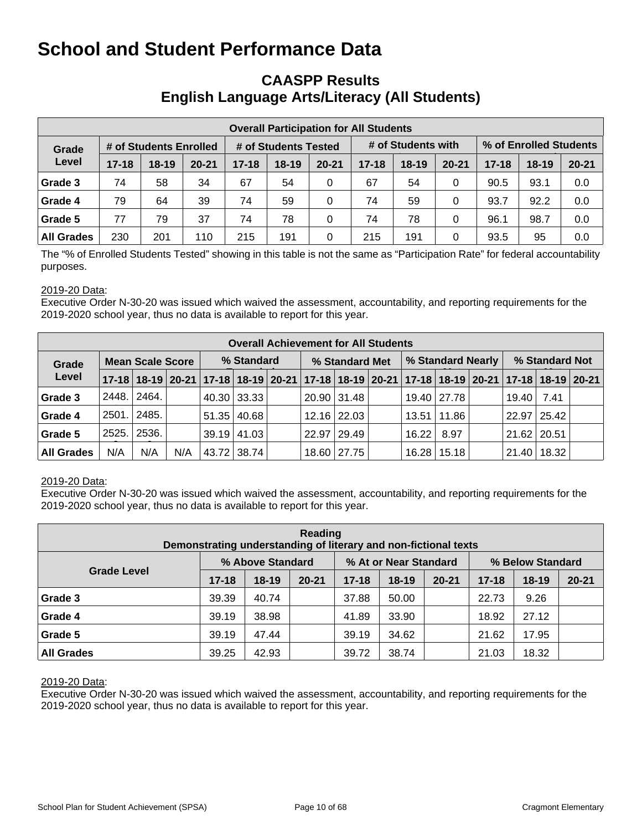# **CAASPP Results English Language Arts/Literacy (All Students)**

| <b>Overall Participation for All Students</b> |           |                        |           |           |                      |           |           |                    |           |           |                        |           |  |
|-----------------------------------------------|-----------|------------------------|-----------|-----------|----------------------|-----------|-----------|--------------------|-----------|-----------|------------------------|-----------|--|
| Grade                                         |           | # of Students Enrolled |           |           | # of Students Tested |           |           | # of Students with |           |           | % of Enrolled Students |           |  |
| Level                                         | $17 - 18$ | $18 - 19$              | $20 - 21$ | $17 - 18$ | $18 - 19$            | $20 - 21$ | $17 - 18$ | $18 - 19$          | $20 - 21$ | $17 - 18$ | $18 - 19$              | $20 - 21$ |  |
| Grade 3                                       | 74        | 58                     | 34        | 67        | 54                   | 0         | 67        | 54                 | 0         | 90.5      | 93.1                   | 0.0       |  |
| Grade 4                                       | 79        | 64                     | 39        | 74        | 59                   | 0         | 74        | 59                 | 0         | 93.7      | 92.2                   | 0.0       |  |
| Grade 5                                       | 77        | 79                     | 37        | 74        | 78                   | $\Omega$  | 74        | 78                 | 0         | 96.1      | 98.7                   | 0.0       |  |
| <b>All Grades</b>                             | 230       | 201                    | 110       | 215       | 191                  | 0         | 215       | 191                | 0         | 93.5      | 95                     | 0.0       |  |

The "% of Enrolled Students Tested" showing in this table is not the same as "Participation Rate" for federal accountability purposes.

#### 2019-20 Data:

Executive Order N-30-20 was issued which waived the assessment, accountability, and reporting requirements for the 2019-2020 school year, thus no data is available to report for this year.

|                                  | <b>Overall Achievement for All Students</b> |                                                                                           |     |  |                    |  |                |                    |  |                   |                 |  |                 |      |  |
|----------------------------------|---------------------------------------------|-------------------------------------------------------------------------------------------|-----|--|--------------------|--|----------------|--------------------|--|-------------------|-----------------|--|-----------------|------|--|
| <b>Mean Scale Score</b><br>Grade |                                             |                                                                                           |     |  | % Standard         |  | % Standard Met |                    |  | % Standard Nearly |                 |  | % Standard Not  |      |  |
| Level                            |                                             | 17-18 18-19 20-21 17-18 18-19 20-21 17-18 18-19 20-21 17-18 18-19 20-21 17-18 18-19 20-21 |     |  |                    |  |                |                    |  |                   |                 |  |                 |      |  |
| Grade 3                          | 2448.                                       | 2464.                                                                                     |     |  | 40.30 33.33        |  |                | 20.90 31.48        |  |                   | 19.40   27.78   |  | 19.40           | 7.41 |  |
| Grade 4                          | 2501.                                       | 2485.                                                                                     |     |  | $51.35 \mid 40.68$ |  |                | 12.16 22.03        |  |                   | 13.51   11.86   |  | 22.97 25.42     |      |  |
| Grade 5                          | 2525.                                       | 2536.                                                                                     |     |  | $39.19$   41.03    |  |                | $22.97 \mid 29.49$ |  | 16.22             | 8.97            |  | $21.62$ 20.51   |      |  |
| <b>All Grades</b>                | N/A                                         | N/A                                                                                       | N/A |  | 43.72 38.74        |  |                | 18.60 27.75        |  |                   | $16.28$   15.18 |  | $21.40$   18.32 |      |  |

#### 2019-20 Data:

Executive Order N-30-20 was issued which waived the assessment, accountability, and reporting requirements for the 2019-2020 school year, thus no data is available to report for this year.

| Reading<br>Demonstrating understanding of literary and non-fictional texts |           |                  |           |           |                       |           |                  |           |           |  |  |  |  |
|----------------------------------------------------------------------------|-----------|------------------|-----------|-----------|-----------------------|-----------|------------------|-----------|-----------|--|--|--|--|
|                                                                            |           | % Above Standard |           |           | % At or Near Standard |           | % Below Standard |           |           |  |  |  |  |
| <b>Grade Level</b>                                                         | $17 - 18$ | $18-19$          | $20 - 21$ | $17 - 18$ | $18 - 19$             | $20 - 21$ | $17 - 18$        | $18 - 19$ | $20 - 21$ |  |  |  |  |
| Grade 3                                                                    | 39.39     | 40.74            |           | 37.88     | 50.00                 |           | 22.73            | 9.26      |           |  |  |  |  |
| Grade 4                                                                    | 39.19     | 38.98            |           | 41.89     | 33.90                 |           | 18.92            | 27.12     |           |  |  |  |  |
| Grade 5                                                                    | 39.19     | 47.44            |           | 39.19     | 34.62                 |           | 21.62            | 17.95     |           |  |  |  |  |
| <b>All Grades</b>                                                          | 39.25     | 42.93            |           | 39.72     | 38.74                 |           | 21.03            | 18.32     |           |  |  |  |  |

#### 2019-20 Data: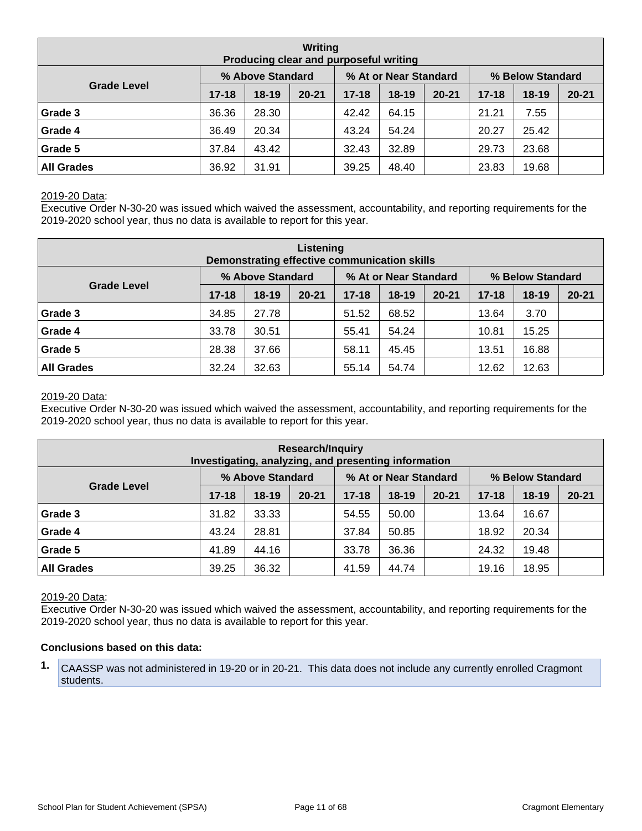| Writing<br>Producing clear and purposeful writing |           |                  |           |           |                       |           |                  |           |           |  |  |  |  |
|---------------------------------------------------|-----------|------------------|-----------|-----------|-----------------------|-----------|------------------|-----------|-----------|--|--|--|--|
|                                                   |           | % Above Standard |           |           | % At or Near Standard |           | % Below Standard |           |           |  |  |  |  |
| <b>Grade Level</b>                                | $17 - 18$ | $18-19$          | $20 - 21$ | $17 - 18$ | $18 - 19$             | $20 - 21$ | $17 - 18$        | $18 - 19$ | $20 - 21$ |  |  |  |  |
| Grade 3                                           | 36.36     | 28.30            |           | 42.42     | 64.15                 |           | 21.21            | 7.55      |           |  |  |  |  |
| Grade 4                                           | 36.49     | 20.34            |           | 43.24     | 54.24                 |           | 20.27            | 25.42     |           |  |  |  |  |
| Grade 5                                           | 37.84     | 43.42            |           | 32.43     | 32.89                 |           | 29.73            | 23.68     |           |  |  |  |  |
| <b>All Grades</b>                                 | 36.92     | 31.91            |           | 39.25     | 48.40                 |           | 23.83            | 19.68     |           |  |  |  |  |

#### 2019-20 Data:

Executive Order N-30-20 was issued which waived the assessment, accountability, and reporting requirements for the 2019-2020 school year, thus no data is available to report for this year.

| Listening<br>Demonstrating effective communication skills |           |                  |           |           |                       |           |                  |         |           |  |  |  |  |
|-----------------------------------------------------------|-----------|------------------|-----------|-----------|-----------------------|-----------|------------------|---------|-----------|--|--|--|--|
|                                                           |           | % Above Standard |           |           | % At or Near Standard |           | % Below Standard |         |           |  |  |  |  |
| <b>Grade Level</b>                                        | $17 - 18$ | $18-19$          | $20 - 21$ | $17 - 18$ | $18 - 19$             | $20 - 21$ | $17 - 18$        | $18-19$ | $20 - 21$ |  |  |  |  |
| Grade 3                                                   | 34.85     | 27.78            |           | 51.52     | 68.52                 |           | 13.64            | 3.70    |           |  |  |  |  |
| Grade 4                                                   | 33.78     | 30.51            |           | 55.41     | 54.24                 |           | 10.81            | 15.25   |           |  |  |  |  |
| Grade 5                                                   | 28.38     | 37.66            |           | 58.11     | 45.45                 |           | 13.51            | 16.88   |           |  |  |  |  |
| <b>All Grades</b>                                         | 32.24     | 32.63            |           | 55.14     | 54.74                 |           | 12.62            | 12.63   |           |  |  |  |  |

#### 2019-20 Data:

Executive Order N-30-20 was issued which waived the assessment, accountability, and reporting requirements for the 2019-2020 school year, thus no data is available to report for this year.

| <b>Research/Inquiry</b><br>Investigating, analyzing, and presenting information |           |                  |           |           |                       |           |                  |           |           |  |  |  |  |
|---------------------------------------------------------------------------------|-----------|------------------|-----------|-----------|-----------------------|-----------|------------------|-----------|-----------|--|--|--|--|
|                                                                                 |           | % Above Standard |           |           | % At or Near Standard |           | % Below Standard |           |           |  |  |  |  |
| <b>Grade Level</b>                                                              | $17 - 18$ | $18-19$          | $20 - 21$ | $17 - 18$ | $18 - 19$             | $20 - 21$ | $17 - 18$        | $18 - 19$ | $20 - 21$ |  |  |  |  |
| Grade 3                                                                         | 31.82     | 33.33            |           | 54.55     | 50.00                 |           | 13.64            | 16.67     |           |  |  |  |  |
| Grade 4                                                                         | 43.24     | 28.81            |           | 37.84     | 50.85                 |           | 18.92            | 20.34     |           |  |  |  |  |
| Grade 5                                                                         | 41.89     | 44.16            |           | 33.78     | 36.36                 |           | 24.32            | 19.48     |           |  |  |  |  |
| <b>All Grades</b>                                                               | 39.25     | 36.32            |           | 41.59     | 44.74                 |           | 19.16            | 18.95     |           |  |  |  |  |

#### 2019-20 Data:

Executive Order N-30-20 was issued which waived the assessment, accountability, and reporting requirements for the 2019-2020 school year, thus no data is available to report for this year.

#### **Conclusions based on this data:**

**1.** CAASSP was not administered in 19-20 or in 20-21. This data does not include any currently enrolled Cragmont students.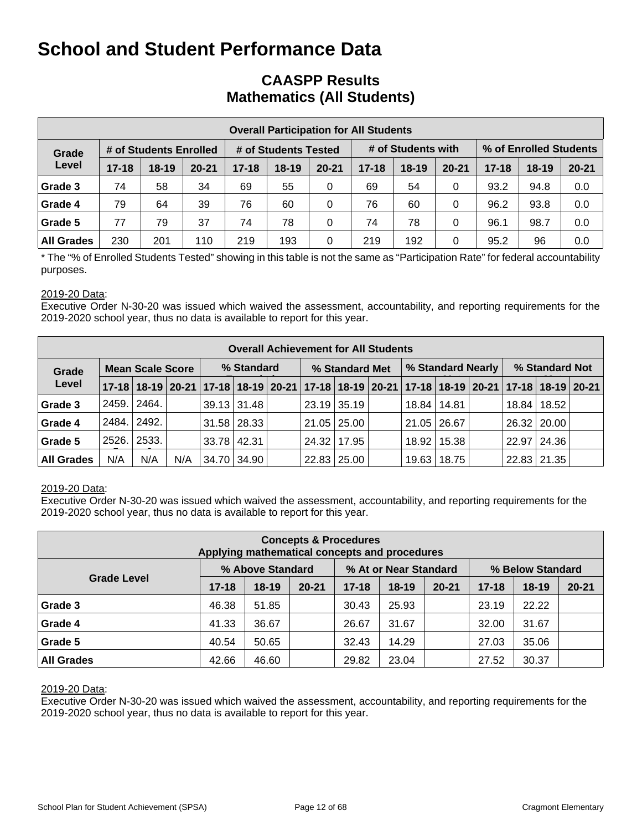# **CAASPP Results Mathematics (All Students)**

|                   | <b>Overall Participation for All Students</b> |                        |           |           |                      |           |           |                    |           |           |                        |           |  |  |
|-------------------|-----------------------------------------------|------------------------|-----------|-----------|----------------------|-----------|-----------|--------------------|-----------|-----------|------------------------|-----------|--|--|
| Grade             |                                               | # of Students Enrolled |           |           | # of Students Tested |           |           | # of Students with |           |           | % of Enrolled Students |           |  |  |
| Level             | $17 - 18$                                     | $18-19$                | $20 - 21$ | $17 - 18$ | $18 - 19$            | $20 - 21$ | $17 - 18$ | $18 - 19$          | $20 - 21$ | $17 - 18$ | $18-19$                | $20 - 21$ |  |  |
| Grade 3           | 74                                            | 58                     | 34        | 69        | 55                   | 0         | 69        | 54                 | 0         | 93.2      | 94.8                   | 0.0       |  |  |
| Grade 4           | 79                                            | 64                     | 39        | 76        | 60                   | 0         | 76        | 60                 | 0         | 96.2      | 93.8                   | 0.0       |  |  |
| Grade 5           | 77                                            | 79                     | 37        | 74        | 78                   | 0         | 74        | 78                 | 0         | 96.1      | 98.7                   | 0.0       |  |  |
| <b>All Grades</b> | 230                                           | 201                    | 110       | 219       | 193                  | 0         | 219       | 192                | 0         | 95.2      | 96                     | 0.0       |  |  |

\* The "% of Enrolled Students Tested" showing in this table is not the same as "Participation Rate" for federal accountability purposes.

#### 2019-20 Data:

Executive Order N-30-20 was issued which waived the assessment, accountability, and reporting requirements for the 2019-2020 school year, thus no data is available to report for this year.

|                                  | <b>Overall Achievement for All Students</b> |       |     |                 |                    |  |                |                    |  |                   |               |  |                |                                                                                           |  |
|----------------------------------|---------------------------------------------|-------|-----|-----------------|--------------------|--|----------------|--------------------|--|-------------------|---------------|--|----------------|-------------------------------------------------------------------------------------------|--|
| <b>Mean Scale Score</b><br>Grade |                                             |       |     |                 | % Standard         |  | % Standard Met |                    |  | % Standard Nearly |               |  | % Standard Not |                                                                                           |  |
| Level                            |                                             |       |     |                 |                    |  |                |                    |  |                   |               |  |                | 17-18 18-19 20-21 17-18 18-19 20-21 17-18 18-19 20-21 17-18 18-19 20-21 17-18 18-19 20-21 |  |
| Grade 3                          | 2459.                                       | 2464. |     |                 | $39.13 \mid 31.48$ |  |                | $23.19$ 35.19      |  | 18.84   14.81     |               |  | 18.84          | 18.52                                                                                     |  |
| Grade 4                          | 2484.                                       | 2492. |     |                 | $31.58$ 28.33      |  |                | 21.05   25.00      |  |                   | 21.05   26.67 |  | 26.32   20.00  |                                                                                           |  |
| Grade 5                          | 2526.                                       | 2533. |     | $33.78$   42.31 |                    |  |                | 24.32 17.95        |  |                   | 18.92   15.38 |  | 22.97          | 24.36                                                                                     |  |
| <b>All Grades</b>                | N/A                                         | N/A   | N/A |                 | 34.70 34.90        |  |                | $22.83 \mid 25.00$ |  | 19.63             | 18.75         |  | 22.83 21.35    |                                                                                           |  |

#### 2019-20 Data:

Executive Order N-30-20 was issued which waived the assessment, accountability, and reporting requirements for the 2019-2020 school year, thus no data is available to report for this year.

| <b>Concepts &amp; Procedures</b><br>Applying mathematical concepts and procedures |           |                  |           |           |                       |           |                  |           |           |  |  |  |  |
|-----------------------------------------------------------------------------------|-----------|------------------|-----------|-----------|-----------------------|-----------|------------------|-----------|-----------|--|--|--|--|
|                                                                                   |           | % Above Standard |           |           | % At or Near Standard |           | % Below Standard |           |           |  |  |  |  |
| <b>Grade Level</b>                                                                | $17 - 18$ | $18-19$          | $20 - 21$ | $17 - 18$ | $18 - 19$             | $20 - 21$ | $17 - 18$        | $18 - 19$ | $20 - 21$ |  |  |  |  |
| Grade 3                                                                           | 46.38     | 51.85            |           | 30.43     | 25.93                 |           | 23.19            | 22.22     |           |  |  |  |  |
| Grade 4                                                                           | 41.33     | 36.67            |           | 26.67     | 31.67                 |           | 32.00            | 31.67     |           |  |  |  |  |
| Grade 5                                                                           | 40.54     | 50.65            |           | 32.43     | 14.29                 |           | 27.03            | 35.06     |           |  |  |  |  |
| <b>All Grades</b>                                                                 | 42.66     | 46.60            |           | 29.82     | 23.04                 |           | 27.52            | 30.37     |           |  |  |  |  |

#### 2019-20 Data: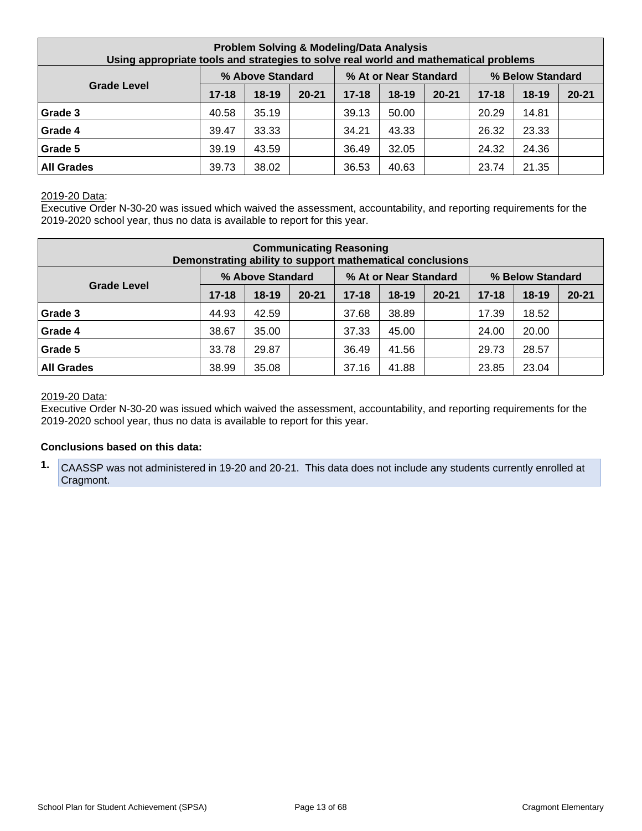| <b>Problem Solving &amp; Modeling/Data Analysis</b><br>Using appropriate tools and strategies to solve real world and mathematical problems |           |                  |           |           |                       |           |           |                  |           |  |  |  |
|---------------------------------------------------------------------------------------------------------------------------------------------|-----------|------------------|-----------|-----------|-----------------------|-----------|-----------|------------------|-----------|--|--|--|
|                                                                                                                                             |           | % Above Standard |           |           | % At or Near Standard |           |           | % Below Standard |           |  |  |  |
| <b>Grade Level</b>                                                                                                                          | $17 - 18$ | $18-19$          | $20 - 21$ | $17 - 18$ | $18-19$               | $20 - 21$ | $17 - 18$ | $18 - 19$        | $20 - 21$ |  |  |  |
| Grade 3                                                                                                                                     | 40.58     | 35.19            |           | 39.13     | 50.00                 |           | 20.29     | 14.81            |           |  |  |  |
| Grade 4                                                                                                                                     | 39.47     | 33.33            |           | 34.21     | 43.33                 |           | 26.32     | 23.33            |           |  |  |  |
| Grade 5                                                                                                                                     | 39.19     | 43.59            |           | 36.49     | 32.05                 |           | 24.32     | 24.36            |           |  |  |  |
| <b>All Grades</b>                                                                                                                           | 39.73     | 38.02            |           | 36.53     | 40.63                 |           | 23.74     | 21.35            |           |  |  |  |

#### 2019-20 Data:

Executive Order N-30-20 was issued which waived the assessment, accountability, and reporting requirements for the 2019-2020 school year, thus no data is available to report for this year.

| <b>Communicating Reasoning</b><br>Demonstrating ability to support mathematical conclusions |           |                  |           |           |                       |           |           |                  |           |  |  |
|---------------------------------------------------------------------------------------------|-----------|------------------|-----------|-----------|-----------------------|-----------|-----------|------------------|-----------|--|--|
|                                                                                             |           | % Above Standard |           |           | % At or Near Standard |           |           | % Below Standard |           |  |  |
| <b>Grade Level</b>                                                                          | $17 - 18$ | $18 - 19$        | $20 - 21$ | $17 - 18$ | 18-19                 | $20 - 21$ | $17 - 18$ | $18 - 19$        | $20 - 21$ |  |  |
| Grade 3                                                                                     | 44.93     | 42.59            |           | 37.68     | 38.89                 |           | 17.39     | 18.52            |           |  |  |
| Grade 4                                                                                     | 38.67     | 35.00            |           | 37.33     | 45.00                 |           | 24.00     | 20.00            |           |  |  |
| Grade 5                                                                                     | 33.78     | 29.87            |           | 36.49     | 41.56                 |           | 29.73     | 28.57            |           |  |  |
| <b>All Grades</b>                                                                           | 38.99     | 35.08            |           | 37.16     | 41.88                 |           | 23.85     | 23.04            |           |  |  |

#### 2019-20 Data:

Executive Order N-30-20 was issued which waived the assessment, accountability, and reporting requirements for the 2019-2020 school year, thus no data is available to report for this year.

#### **Conclusions based on this data:**

**1.** CAASSP was not administered in 19-20 and 20-21. This data does not include any students currently enrolled at Cragmont.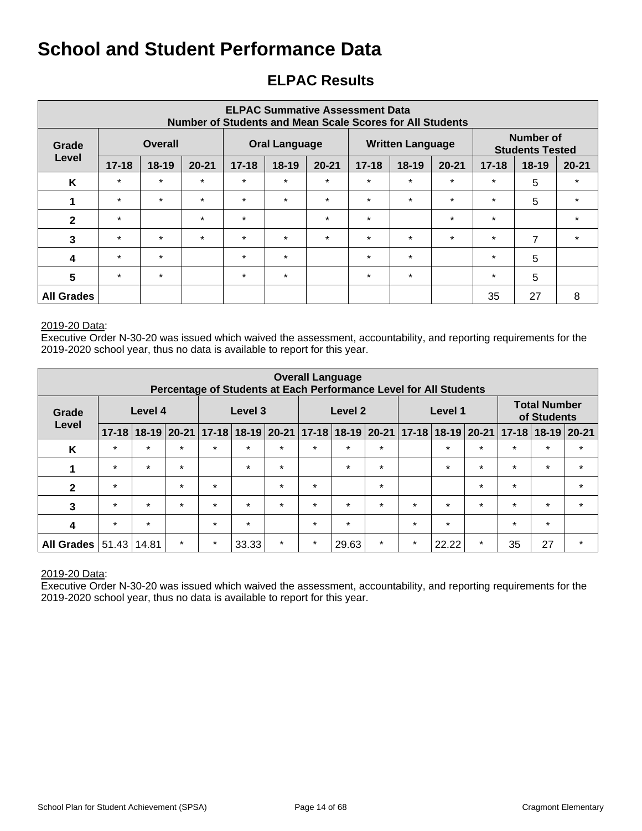# **ELPAC Results**

| <b>ELPAC Summative Assessment Data</b><br>Number of Students and Mean Scale Scores for All Students |           |           |           |           |                      |           |           |                         |           |                                     |                |           |
|-----------------------------------------------------------------------------------------------------|-----------|-----------|-----------|-----------|----------------------|-----------|-----------|-------------------------|-----------|-------------------------------------|----------------|-----------|
| Grade                                                                                               |           | Overall   |           |           | <b>Oral Language</b> |           |           | <b>Written Language</b> |           | Number of<br><b>Students Tested</b> |                |           |
| Level                                                                                               | $17 - 18$ | $18 - 19$ | $20 - 21$ | $17 - 18$ | $18 - 19$            | $20 - 21$ | $17 - 18$ | $18 - 19$               | $20 - 21$ | $17 - 18$                           | $18-19$        | $20 - 21$ |
| K                                                                                                   | $\star$   | $\star$   | $\star$   | $\star$   | $\star$              | $\star$   | $\star$   | $\star$                 | $\star$   | $\star$                             | 5              | $\star$   |
|                                                                                                     | $\star$   | $\star$   | $\star$   | $\star$   | $\star$              | $\star$   | $\star$   | $\star$                 | $\star$   | $\star$                             | 5              | $\star$   |
| $\mathbf{2}$                                                                                        | $\star$   |           | $\star$   | $\star$   |                      | $\star$   | $\star$   |                         | $\star$   | $\star$                             |                | $\star$   |
| 3                                                                                                   | $\star$   | $\star$   | $\star$   | $\star$   | $\star$              | $\star$   | $\star$   | $\star$                 | $\star$   | $\star$                             | $\overline{7}$ | $\star$   |
| $\boldsymbol{4}$                                                                                    | $\star$   | $\star$   |           | $\star$   | $\star$              |           | $\star$   | $\star$                 |           | $\star$                             | 5              |           |
| 5                                                                                                   | $\star$   | $\star$   |           | $\star$   | $\star$              |           | $\star$   | $\star$                 |           | $\star$                             | 5              |           |
| <b>All Grades</b>                                                                                   |           |           |           |           |                      |           |           |                         |           | 35                                  | 27             | 8         |

#### 2019-20 Data:

Executive Order N-30-20 was issued which waived the assessment, accountability, and reporting requirements for the 2019-2020 school year, thus no data is available to report for this year.

|                         | <b>Overall Language</b><br>Percentage of Students at Each Performance Level for All Students |         |                   |           |           |         |         |                       |         |           |                                    |             |           |           |           |
|-------------------------|----------------------------------------------------------------------------------------------|---------|-------------------|-----------|-----------|---------|---------|-----------------------|---------|-----------|------------------------------------|-------------|-----------|-----------|-----------|
| Grade                   | Level 4<br>Level 3<br>Level 2<br>Level 1<br>Level                                            |         |                   |           |           |         |         |                       |         |           | <b>Total Number</b><br>of Students |             |           |           |           |
|                         | $17 - 18$                                                                                    |         | $18 - 19$   20-21 | $17 - 18$ | $18 - 19$ | 20-21   |         | $17 - 18$ 18-19 20-21 |         | $17 - 18$ |                                    | 18-19 20-21 | $17 - 18$ | $18 - 19$ | $20 - 21$ |
| K                       | $\star$                                                                                      | $\star$ | $\star$           | $\star$   | $\star$   | $\star$ | $\star$ | $\star$               | $\star$ |           | $\star$                            | $\star$     | $\star$   | $\star$   | $\star$   |
| 1                       | $\star$                                                                                      | $\star$ | $\star$           |           | $\star$   | $\star$ |         | $\star$               | $\star$ |           | $\star$                            | $\star$     | $\star$   | $\star$   | $\star$   |
| $\mathbf{2}$            | $\star$                                                                                      |         | $\star$           | $\star$   |           | $\star$ | $\star$ |                       | $\star$ |           |                                    | $\star$     | $\star$   |           | $\star$   |
| 3                       | $\star$                                                                                      | $\star$ | $\star$           | $\star$   | $\star$   | $\star$ | $\star$ | $\star$               | $\star$ | $\star$   | $\star$                            | $\star$     | $\star$   | $\star$   | $\star$   |
| $\overline{\mathbf{4}}$ | $\star$                                                                                      | $\star$ |                   | $\star$   | $\star$   |         | $\star$ | $\star$               |         | $\star$   | $\star$                            |             | $\star$   | $\star$   |           |
| <b>All Grades</b>       | 51.43                                                                                        | 14.81   | $\star$           | $\star$   | 33.33     | $\star$ | $\star$ | 29.63                 | $\star$ | $\star$   | 22.22                              | $\star$     | 35        | 27        | $\star$   |

#### 2019-20 Data: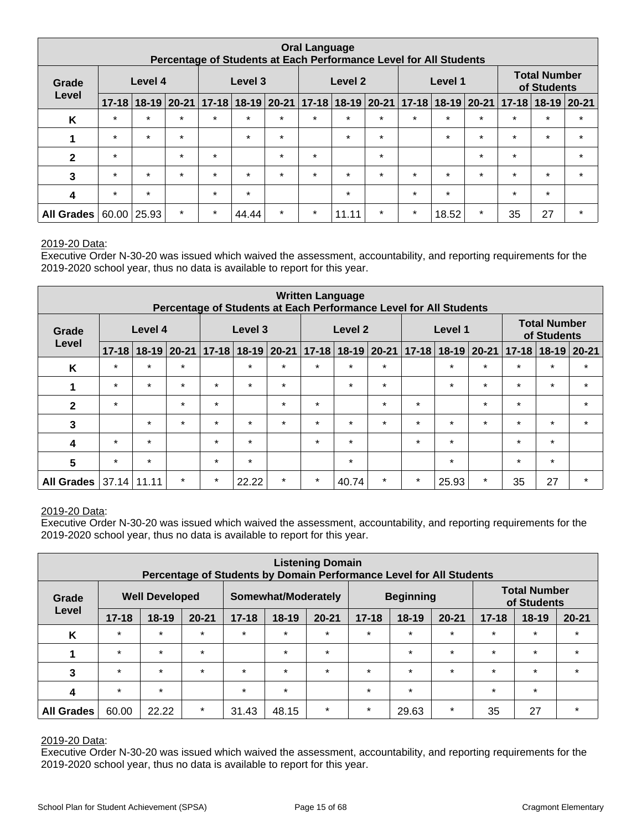| <b>Oral Language</b><br>Percentage of Students at Each Performance Level for All Students |           |         |               |           |                               |               |         |                     |         |           |                                    |               |         |                           |         |
|-------------------------------------------------------------------------------------------|-----------|---------|---------------|-----------|-------------------------------|---------------|---------|---------------------|---------|-----------|------------------------------------|---------------|---------|---------------------------|---------|
| Grade                                                                                     |           | Level 4 |               |           | Level 3<br>Level 2<br>Level 1 |               |         |                     |         |           | <b>Total Number</b><br>of Students |               |         |                           |         |
| Level                                                                                     | $17 - 18$ |         | $18-19$ 20-21 | $17 - 18$ |                               | $18-19$ 20-21 |         | $17-18$ 18-19 20-21 |         | $17 - 18$ |                                    | $18-19$ 20-21 |         | $17 - 18$   18-19   20-21 |         |
| Κ                                                                                         | $\star$   | $\star$ | $\star$       | $\star$   | $\star$                       | $\star$       | $\star$ | $\star$             | $\star$ | $\star$   | $\star$                            | $\star$       | $\star$ | $\star$                   | $\star$ |
| 1                                                                                         | $\star$   | $\star$ | $\star$       |           | $\star$                       | $\star$       |         | $\star$             | $\star$ |           | $\star$                            | $\star$       | $\star$ | $\star$                   | $\star$ |
| $\mathbf{2}$                                                                              | $\star$   |         | $\star$       | $\star$   |                               | $\star$       | $\star$ |                     | $\star$ |           |                                    | $\star$       | $\star$ |                           | $\star$ |
| 3                                                                                         | $\star$   | $\star$ | $\star$       | $\star$   | $\star$                       | $\star$       | $\star$ | $\star$             | $\star$ | $\star$   | $\star$                            | $\star$       | $\star$ | $\star$                   | $\star$ |
| 4                                                                                         | $\star$   | $\star$ |               | $\star$   | $\star$                       |               |         | $\star$             |         | $\star$   | $\star$                            |               | $\star$ | $\star$                   |         |
| <b>All Grades</b>                                                                         | 60.00     | 25.93   | $\star$       | $\star$   | 44.44                         | $\star$       | $\star$ | 11.11               | $\star$ | $\star$   | 18.52                              | $\star$       | 35      | 27                        | $\star$ |

#### 2019-20 Data:

Executive Order N-30-20 was issued which waived the assessment, accountability, and reporting requirements for the 2019-2020 school year, thus no data is available to report for this year.

| <b>Written Language</b><br>Percentage of Students at Each Performance Level for All Students |           |         |               |           |           |         |           |                    |               |         |         |         |                                 |                                    |               |
|----------------------------------------------------------------------------------------------|-----------|---------|---------------|-----------|-----------|---------|-----------|--------------------|---------------|---------|---------|---------|---------------------------------|------------------------------------|---------------|
| Grade                                                                                        |           | Level 4 |               |           | Level 3   |         |           | Level <sub>2</sub> |               |         | Level 1 |         |                                 | <b>Total Number</b><br>of Students |               |
| Level                                                                                        | $17 - 18$ |         | $18-19$ 20-21 | $17 - 18$ | $18 - 19$ | 20-21   | $17 - 18$ |                    | $18-19$ 20-21 |         |         |         | $17-18$   18-19   20-21   17-18 |                                    | $18-19$ 20-21 |
| K                                                                                            | $\star$   | $\star$ | $\star$       |           | $\star$   | $\star$ | $\star$   | $\star$            | $\star$       |         | $\star$ | $\star$ | $\star$                         | $\star$                            | $\star$       |
| 1                                                                                            | $\star$   | $\star$ | $\star$       | $\star$   | $\star$   | $\star$ |           | $\star$            | $\star$       |         | $\star$ | $\star$ | $\star$                         | $\star$                            | $\star$       |
| $\mathbf{2}$                                                                                 | $\star$   |         | $\star$       | $\star$   |           | $\star$ | $\star$   |                    | $\star$       | $\star$ |         | $\star$ | $\star$                         |                                    | $\star$       |
| 3                                                                                            |           | $\star$ | $\star$       | $\star$   | $\star$   | $\star$ | $\star$   | $\star$            | $\star$       | $\star$ | $\star$ | $\star$ | $\star$                         | $\star$                            | $\star$       |
| 4                                                                                            | $\star$   | $\star$ |               | $\star$   | $\star$   |         | $\star$   | $\star$            |               | $\star$ | $\star$ |         | $\star$                         | $\star$                            |               |
| 5                                                                                            | $\star$   | $\star$ |               | $\star$   | $\star$   |         |           | $\star$            |               |         | $\star$ |         | $\star$                         | $\star$                            |               |
| <b>All Grades</b>                                                                            | 37.14     | 11.11   | $\star$       | $\star$   | 22.22     | $\star$ | $\star$   | 40.74              | $\star$       | $\star$ | 25.93   | $\star$ | 35                              | 27                                 | $\star$       |

#### 2019-20 Data:

Executive Order N-30-20 was issued which waived the assessment, accountability, and reporting requirements for the 2019-2020 school year, thus no data is available to report for this year.

|                   |           |                       |           |           |                     | <b>Listening Domain</b> |           | Percentage of Students by Domain Performance Level for All Students |           |           |                                    |           |
|-------------------|-----------|-----------------------|-----------|-----------|---------------------|-------------------------|-----------|---------------------------------------------------------------------|-----------|-----------|------------------------------------|-----------|
| Grade             |           | <b>Well Developed</b> |           |           | Somewhat/Moderately |                         |           | <b>Beginning</b>                                                    |           |           | <b>Total Number</b><br>of Students |           |
| Level             | $17 - 18$ | $18 - 19$             | $20 - 21$ | $17 - 18$ | 18-19               | $20 - 21$               | $17 - 18$ | $18 - 19$                                                           | $20 - 21$ | $17 - 18$ | $18 - 19$                          | $20 - 21$ |
| K                 | $\star$   | $\star$               | $\star$   | $\star$   | $\star$             | $\star$                 | $\star$   | $\star$                                                             | $\star$   | $\star$   | $\star$                            | $\star$   |
|                   | $\star$   | $\star$               | $\star$   |           | $\star$             | $\star$                 |           | $\star$                                                             | $\star$   | $\star$   | $\star$                            | $\star$   |
| 3                 | $\star$   | $\star$               | $\star$   | $\star$   | $\star$             | $\star$                 | $\star$   | $\star$                                                             | $\star$   | $\star$   | $\star$                            | $\star$   |
| 4                 | $\star$   | $\star$               |           | $\star$   | $\star$             |                         | $\star$   | $\star$                                                             |           | $\star$   | $\star$                            |           |
| <b>All Grades</b> | 60.00     | 22.22                 | $\star$   | 31.43     | 48.15               | $\star$                 | $\star$   | 29.63                                                               | $\star$   | 35        | 27                                 | $\star$   |

#### 2019-20 Data: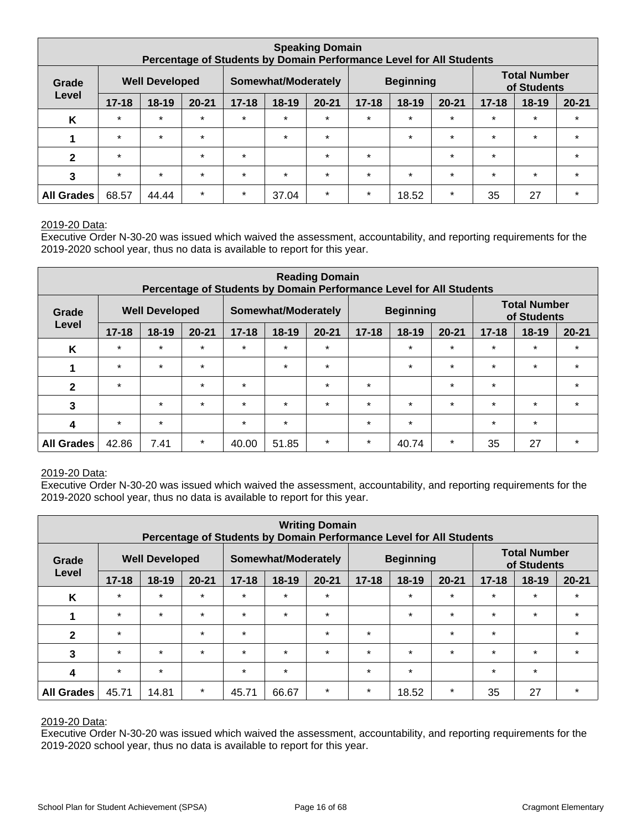|                   | <b>Speaking Domain</b><br>Percentage of Students by Domain Performance Level for All Students |                       |           |           |                     |           |           |                  |           |           |                                    |           |
|-------------------|-----------------------------------------------------------------------------------------------|-----------------------|-----------|-----------|---------------------|-----------|-----------|------------------|-----------|-----------|------------------------------------|-----------|
| Grade             |                                                                                               | <b>Well Developed</b> |           |           | Somewhat/Moderately |           |           | <b>Beginning</b> |           |           | <b>Total Number</b><br>of Students |           |
| Level             | $17 - 18$                                                                                     | $18 - 19$             | $20 - 21$ | $17 - 18$ | $18 - 19$           | $20 - 21$ | $17 - 18$ | $18 - 19$        | $20 - 21$ | $17 - 18$ | $18 - 19$                          | $20 - 21$ |
| K                 | $\star$                                                                                       | $\star$               | $\star$   | $\star$   | $\star$             | $\star$   | $\star$   | $\star$          | $\star$   | $\star$   | $\star$                            | $\star$   |
|                   | $\star$                                                                                       | $\star$               | $\star$   |           | $\star$             | $\star$   |           | $\star$          | $\star$   | $\star$   | $\star$                            | $\star$   |
| $\mathbf{2}$      | $\star$                                                                                       |                       | $\star$   | $\star$   |                     | $\star$   | $\star$   |                  | $\star$   | $\star$   |                                    | $\star$   |
| 3                 | $\star$                                                                                       | $\star$               | $\star$   | $\star$   | $\star$             | $\star$   | $\star$   | $\star$          | $\star$   | $\star$   | $\star$                            | $\star$   |
| <b>All Grades</b> | 68.57                                                                                         | 44.44                 | $\star$   | $\star$   | 37.04               | $\star$   | $\star$   | 18.52            | $\star$   | 35        | 27                                 | *         |

#### 2019-20 Data:

Executive Order N-30-20 was issued which waived the assessment, accountability, and reporting requirements for the 2019-2020 school year, thus no data is available to report for this year.

| <b>Reading Domain</b><br>Percentage of Students by Domain Performance Level for All Students |           |                       |           |           |                     |           |           |                  |           |           |                                    |           |
|----------------------------------------------------------------------------------------------|-----------|-----------------------|-----------|-----------|---------------------|-----------|-----------|------------------|-----------|-----------|------------------------------------|-----------|
| Grade                                                                                        |           | <b>Well Developed</b> |           |           | Somewhat/Moderately |           |           | <b>Beginning</b> |           |           | <b>Total Number</b><br>of Students |           |
| Level                                                                                        | $17 - 18$ | $18 - 19$             | $20 - 21$ | $17 - 18$ | 18-19               | $20 - 21$ | $17 - 18$ | $18-19$          | $20 - 21$ | $17 - 18$ | $18 - 19$                          | $20 - 21$ |
| K                                                                                            | $\star$   | $\star$               | $\star$   | $\star$   | $\star$             | $\star$   |           | $\star$          | $\star$   | $\star$   | $\star$                            | $\star$   |
| 1                                                                                            | $\star$   | $\star$               | $\star$   |           | $\star$             | $\star$   |           | $\star$          | $\star$   | $\star$   | $\star$                            | $\star$   |
| $\mathbf{2}$                                                                                 | $\star$   |                       | $\star$   | $\star$   |                     | $\star$   | $\star$   |                  | $\star$   | $\star$   |                                    | $\star$   |
| 3                                                                                            |           | $\star$               | $\star$   | $\star$   | $\star$             | $\star$   | $\star$   | $\star$          | $\star$   | $\star$   | $\star$                            | $\star$   |
| 4                                                                                            | $\star$   | $\star$               |           | $\star$   | $\star$             |           | $\star$   | $\star$          |           | $\star$   | $\star$                            |           |
| <b>All Grades</b>                                                                            | 42.86     | 7.41                  | $\star$   | 40.00     | 51.85               | $\star$   | $\star$   | 40.74            | $\star$   | 35        | 27                                 | $\star$   |

#### 2019-20 Data:

Executive Order N-30-20 was issued which waived the assessment, accountability, and reporting requirements for the 2019-2020 school year, thus no data is available to report for this year.

| <b>Writing Domain</b><br>Percentage of Students by Domain Performance Level for All Students |                                                                  |           |           |           |         |           |           |         |           |                                    |           |           |
|----------------------------------------------------------------------------------------------|------------------------------------------------------------------|-----------|-----------|-----------|---------|-----------|-----------|---------|-----------|------------------------------------|-----------|-----------|
| Grade                                                                                        | <b>Well Developed</b><br>Somewhat/Moderately<br><b>Beginning</b> |           |           |           |         |           |           |         |           | <b>Total Number</b><br>of Students |           |           |
| Level                                                                                        | $17 - 18$                                                        | $18 - 19$ | $20 - 21$ | $17 - 18$ | 18-19   | $20 - 21$ | $17 - 18$ | $18-19$ | $20 - 21$ | $17 - 18$                          | $18 - 19$ | $20 - 21$ |
| K                                                                                            | $\star$                                                          | $\star$   | $\star$   | $\star$   | $\star$ | $\star$   |           | $\star$ | $\star$   | $\star$                            | $\star$   | $\star$   |
| 1                                                                                            | $\star$                                                          | $\star$   | $\star$   | $\star$   | $\star$ | $\star$   |           | $\star$ | $\star$   | $\star$                            | $\star$   | $\star$   |
| $\overline{2}$                                                                               | $\star$                                                          |           | $\star$   | $\star$   |         | $\star$   | $\star$   |         | $\star$   | $\star$                            |           | $\star$   |
| 3                                                                                            | $\star$                                                          | $\star$   | $\star$   | $\star$   | $\star$ | $\star$   | $\star$   | $\star$ | $\star$   | $\star$                            | $\star$   | $\star$   |
| 4                                                                                            | $\star$                                                          | $\star$   |           | $\star$   | $\star$ |           | $\star$   | $\star$ |           | $\star$                            | $\star$   |           |
| <b>All Grades</b>                                                                            | 45.71                                                            | 14.81     | $\star$   | 45.71     | 66.67   | $\star$   | $\star$   | 18.52   | $\star$   | 35                                 | 27        | $\star$   |

#### 2019-20 Data: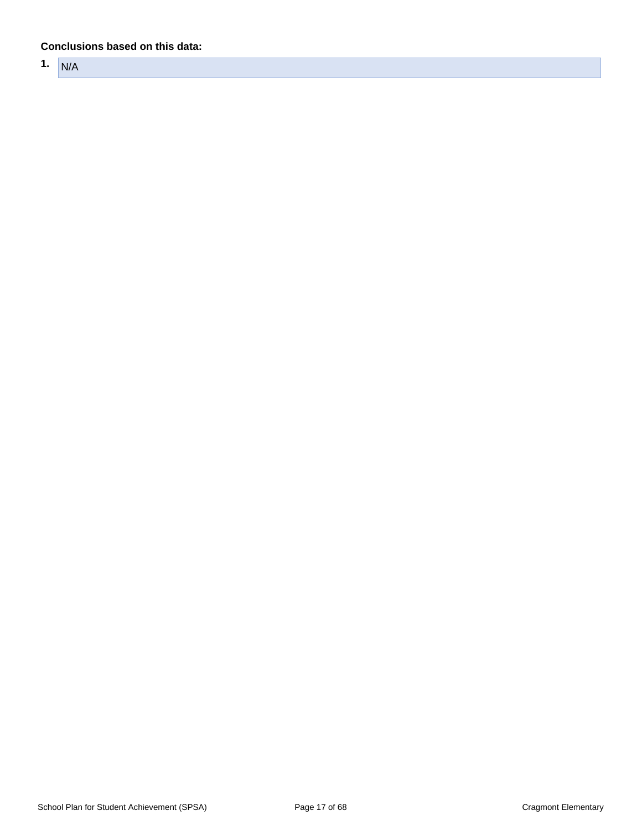#### **Conclusions based on this data:**

**1.** N/A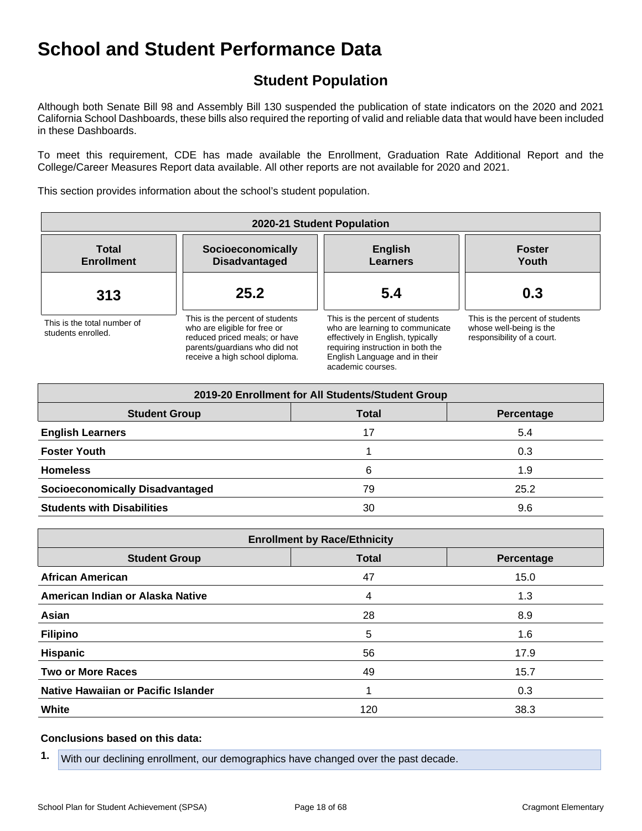# **Student Population**

Although both Senate Bill 98 and Assembly Bill 130 suspended the publication of state indicators on the 2020 and 2021 California School Dashboards, these bills also required the reporting of valid and reliable data that would have been included in these Dashboards.

To meet this requirement, CDE has made available the Enrollment, Graduation Rate Additional Report and the College/Career Measures Report data available. All other reports are not available for 2020 and 2021.

This section provides information about the school's student population.

| 2020-21 Student Population                        |                                                                                                                                                                     |                                                                                                                                                                                                    |                                                                                          |  |  |  |  |  |
|---------------------------------------------------|---------------------------------------------------------------------------------------------------------------------------------------------------------------------|----------------------------------------------------------------------------------------------------------------------------------------------------------------------------------------------------|------------------------------------------------------------------------------------------|--|--|--|--|--|
| <b>Total</b><br><b>Enrollment</b>                 | Socioeconomically<br><b>Disadvantaged</b>                                                                                                                           | <b>English</b><br>Learners                                                                                                                                                                         | <b>Foster</b><br>Youth                                                                   |  |  |  |  |  |
| 313                                               | 25.2                                                                                                                                                                | 5.4                                                                                                                                                                                                | 0.3                                                                                      |  |  |  |  |  |
| This is the total number of<br>students enrolled. | This is the percent of students<br>who are eligible for free or<br>reduced priced meals; or have<br>parents/quardians who did not<br>receive a high school diploma. | This is the percent of students<br>who are learning to communicate<br>effectively in English, typically<br>requiring instruction in both the<br>English Language and in their<br>academic courses. | This is the percent of students<br>whose well-being is the<br>responsibility of a court. |  |  |  |  |  |

| 2019-20 Enrollment for All Students/Student Group |              |            |  |  |  |  |  |  |  |
|---------------------------------------------------|--------------|------------|--|--|--|--|--|--|--|
| <b>Student Group</b>                              | <b>Total</b> | Percentage |  |  |  |  |  |  |  |
| <b>English Learners</b>                           | 17           | 5.4        |  |  |  |  |  |  |  |
| <b>Foster Youth</b>                               |              | 0.3        |  |  |  |  |  |  |  |
| <b>Homeless</b>                                   | 6            | 1.9        |  |  |  |  |  |  |  |
| <b>Socioeconomically Disadvantaged</b>            | 79           | 25.2       |  |  |  |  |  |  |  |
| <b>Students with Disabilities</b>                 | 30           | 9.6        |  |  |  |  |  |  |  |

| <b>Enrollment by Race/Ethnicity</b>                |     |      |  |  |  |  |
|----------------------------------------------------|-----|------|--|--|--|--|
| <b>Total</b><br><b>Student Group</b><br>Percentage |     |      |  |  |  |  |
| <b>African American</b>                            | 47  | 15.0 |  |  |  |  |
| American Indian or Alaska Native                   | 4   | 1.3  |  |  |  |  |
| Asian                                              | 28  | 8.9  |  |  |  |  |
| <b>Filipino</b>                                    | 5   | 1.6  |  |  |  |  |
| Hispanic                                           | 56  | 17.9 |  |  |  |  |
| <b>Two or More Races</b>                           | 49  | 15.7 |  |  |  |  |
| Native Hawaiian or Pacific Islander                |     | 0.3  |  |  |  |  |
| White                                              | 120 | 38.3 |  |  |  |  |

#### **Conclusions based on this data:**

**1.** With our declining enrollment, our demographics have changed over the past decade.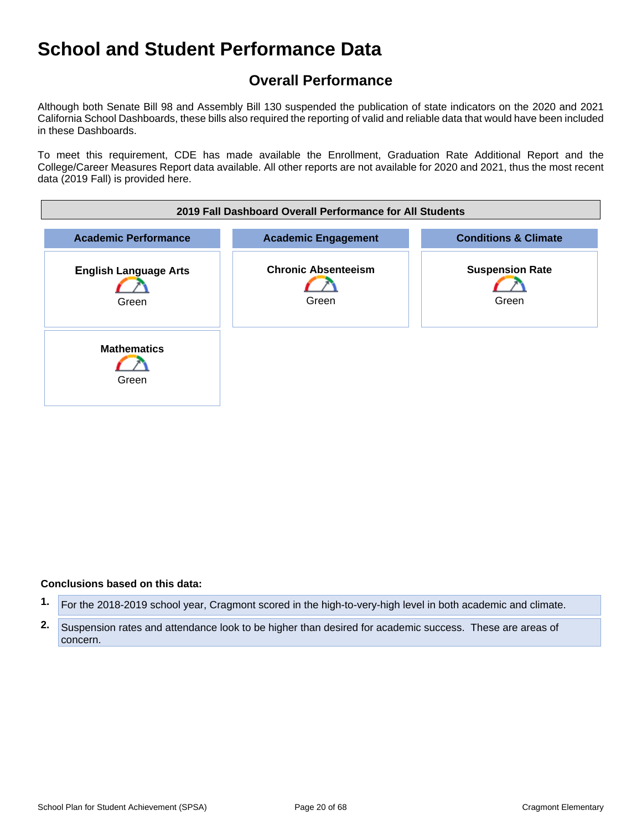# **Overall Performance**

Although both Senate Bill 98 and Assembly Bill 130 suspended the publication of state indicators on the 2020 and 2021 California School Dashboards, these bills also required the reporting of valid and reliable data that would have been included in these Dashboards.

To meet this requirement, CDE has made available the Enrollment, Graduation Rate Additional Report and the College/Career Measures Report data available. All other reports are not available for 2020 and 2021, thus the most recent data (2019 Fall) is provided here.



#### **Conclusions based on this data:**

**1.** For the 2018-2019 school year, Cragmont scored in the high-to-very-high level in both academic and climate.

**<sup>2.</sup>** Suspension rates and attendance look to be higher than desired for academic success. These are areas of concern.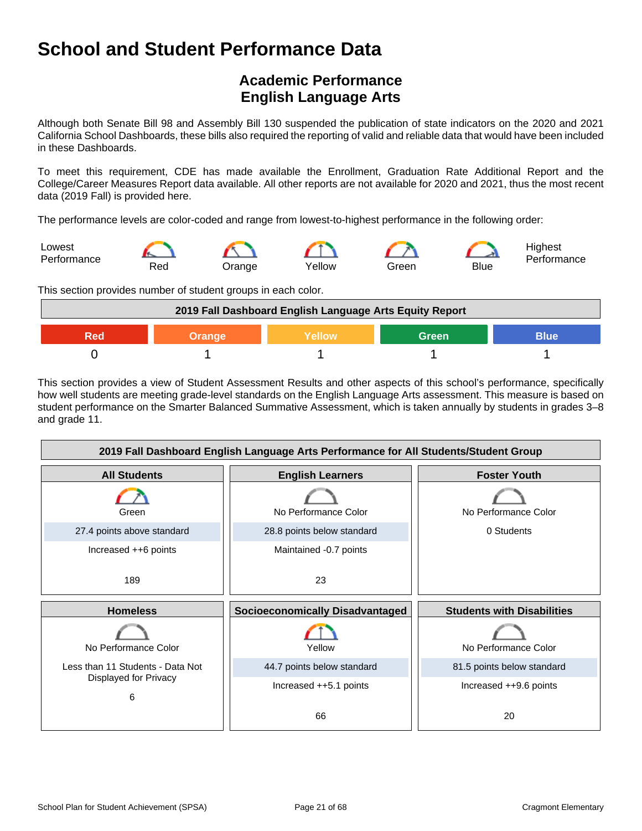# **Academic Performance English Language Arts**

Although both Senate Bill 98 and Assembly Bill 130 suspended the publication of state indicators on the 2020 and 2021 California School Dashboards, these bills also required the reporting of valid and reliable data that would have been included in these Dashboards.

To meet this requirement, CDE has made available the Enrollment, Graduation Rate Additional Report and the College/Career Measures Report data available. All other reports are not available for 2020 and 2021, thus the most recent data (2019 Fall) is provided here.

The performance levels are color-coded and range from lowest-to-highest performance in the following order:



This section provides number of student groups in each color.



This section provides a view of Student Assessment Results and other aspects of this school's performance, specifically how well students are meeting grade-level standards on the English Language Arts assessment. This measure is based on student performance on the Smarter Balanced Summative Assessment, which is taken annually by students in grades 3–8 and grade 11.

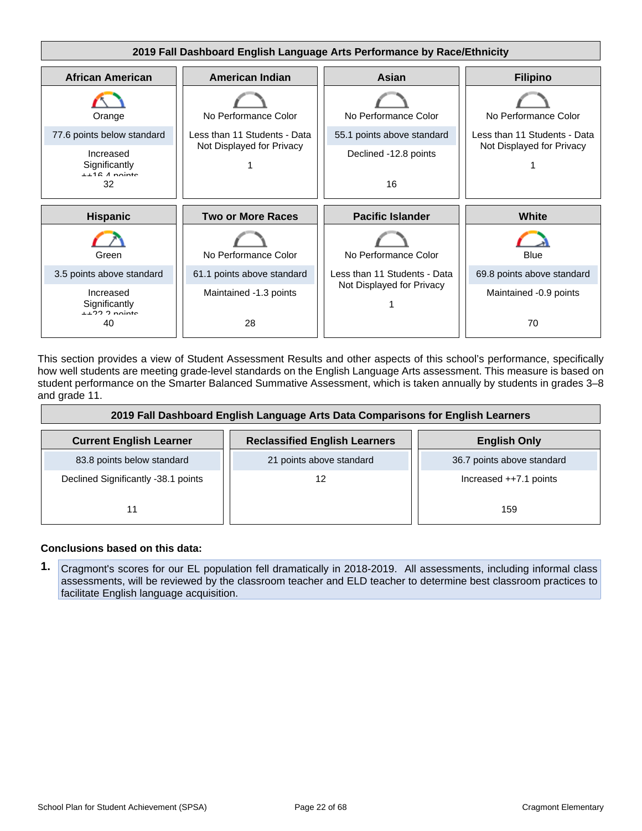

This section provides a view of Student Assessment Results and other aspects of this school's performance, specifically how well students are meeting grade-level standards on the English Language Arts assessment. This measure is based on student performance on the Smarter Balanced Summative Assessment, which is taken annually by students in grades 3–8 and grade 11.

| 2019 Fall Dashboard English Language Arts Data Comparisons for English Learners |                                      |                            |  |
|---------------------------------------------------------------------------------|--------------------------------------|----------------------------|--|
| <b>Current English Learner</b>                                                  | <b>Reclassified English Learners</b> | <b>English Only</b>        |  |
| 83.8 points below standard                                                      | 21 points above standard             | 36.7 points above standard |  |
| Declined Significantly -38.1 points                                             | 12                                   | Increased $++7.1$ points   |  |
| 11                                                                              |                                      | 159                        |  |

#### **Conclusions based on this data:**

**1.** Cragmont's scores for our EL population fell dramatically in 2018-2019. All assessments, including informal class assessments, will be reviewed by the classroom teacher and ELD teacher to determine best classroom practices to facilitate English language acquisition.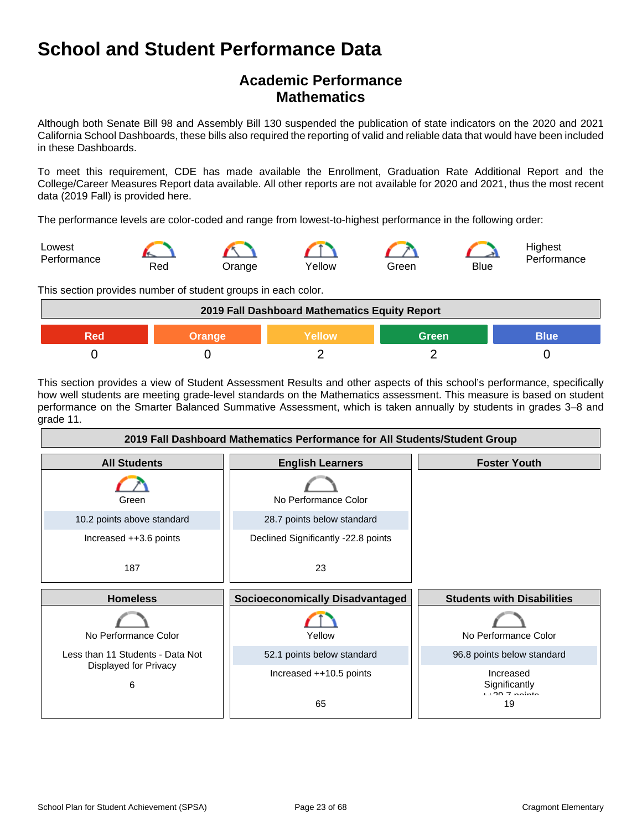# **Academic Performance Mathematics**

Although both Senate Bill 98 and Assembly Bill 130 suspended the publication of state indicators on the 2020 and 2021 California School Dashboards, these bills also required the reporting of valid and reliable data that would have been included in these Dashboards.

To meet this requirement, CDE has made available the Enrollment, Graduation Rate Additional Report and the College/Career Measures Report data available. All other reports are not available for 2020 and 2021, thus the most recent data (2019 Fall) is provided here.

The performance levels are color-coded and range from lowest-to-highest performance in the following order:



This section provides number of student groups in each color.

| 2019 Fall Dashboard Mathematics Equity Report          |  |  |  |  |  |
|--------------------------------------------------------|--|--|--|--|--|
| <b>Blue</b><br>Yellow<br><b>Green</b><br>Red<br>Orange |  |  |  |  |  |
|                                                        |  |  |  |  |  |

This section provides a view of Student Assessment Results and other aspects of this school's performance, specifically how well students are meeting grade-level standards on the Mathematics assessment. This measure is based on student performance on the Smarter Balanced Summative Assessment, which is taken annually by students in grades 3–8 and grade 11.

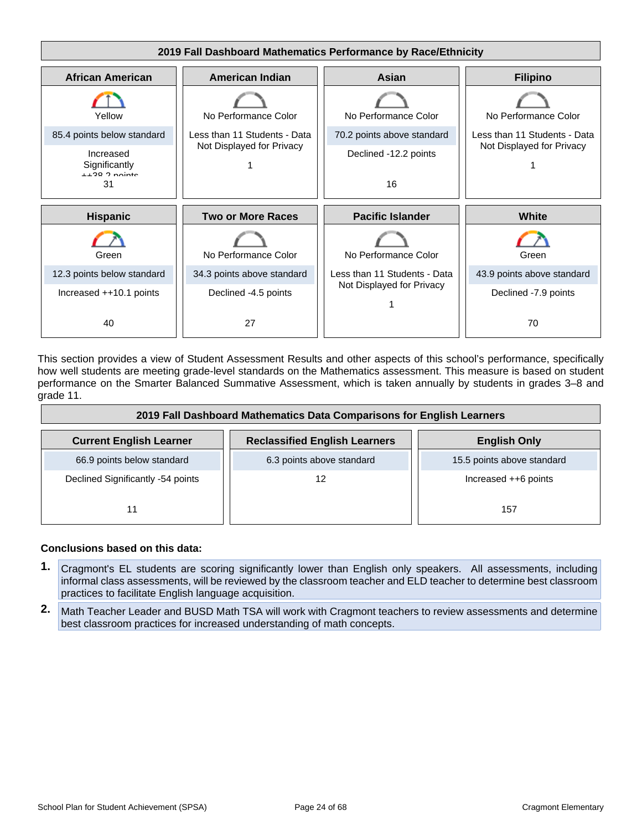

This section provides a view of Student Assessment Results and other aspects of this school's performance, specifically how well students are meeting grade-level standards on the Mathematics assessment. This measure is based on student performance on the Smarter Balanced Summative Assessment, which is taken annually by students in grades 3–8 and grade 11.

| 2019 Fall Dashboard Mathematics Data Comparisons for English Learners |                                      |                            |  |
|-----------------------------------------------------------------------|--------------------------------------|----------------------------|--|
| <b>Current English Learner</b>                                        | <b>Reclassified English Learners</b> | <b>English Only</b>        |  |
| 66.9 points below standard                                            | 6.3 points above standard            | 15.5 points above standard |  |
| Declined Significantly -54 points                                     | 12                                   | Increased ++6 points       |  |
| 11                                                                    |                                      | 157                        |  |

#### **Conclusions based on this data:**

- **1.** Cragmont's EL students are scoring significantly lower than English only speakers. All assessments, including informal class assessments, will be reviewed by the classroom teacher and ELD teacher to determine best classroom practices to facilitate English language acquisition.
- **2.** Math Teacher Leader and BUSD Math TSA will work with Cragmont teachers to review assessments and determine best classroom practices for increased understanding of math concepts.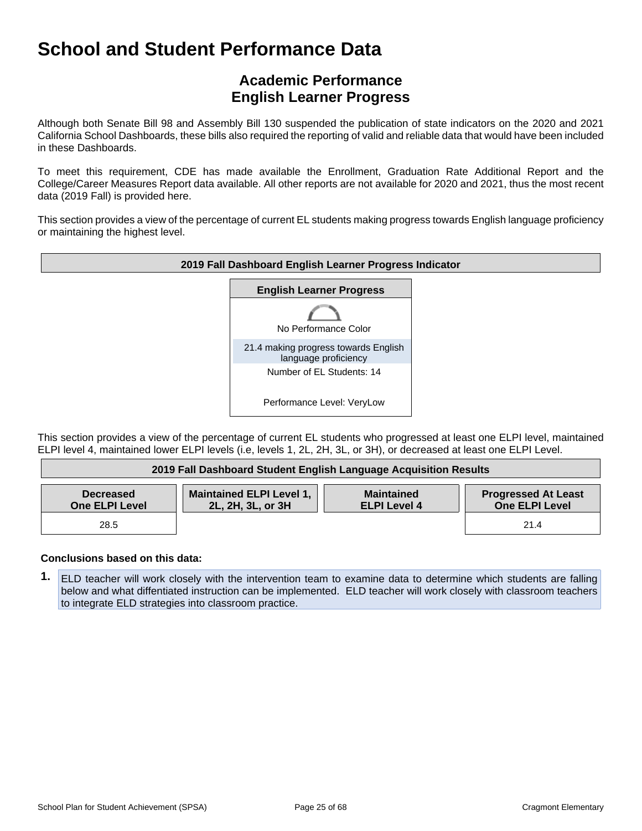# **Academic Performance English Learner Progress**

Although both Senate Bill 98 and Assembly Bill 130 suspended the publication of state indicators on the 2020 and 2021 California School Dashboards, these bills also required the reporting of valid and reliable data that would have been included in these Dashboards.

To meet this requirement, CDE has made available the Enrollment, Graduation Rate Additional Report and the College/Career Measures Report data available. All other reports are not available for 2020 and 2021, thus the most recent data (2019 Fall) is provided here.

This section provides a view of the percentage of current EL students making progress towards English language proficiency or maintaining the highest level.



This section provides a view of the percentage of current EL students who progressed at least one ELPI level, maintained ELPI level 4, maintained lower ELPI levels (i.e, levels 1, 2L, 2H, 3L, or 3H), or decreased at least one ELPI Level.

| 2019 Fall Dashboard Student English Language Acquisition Results |                                                      |                                          |                                              |
|------------------------------------------------------------------|------------------------------------------------------|------------------------------------------|----------------------------------------------|
| <b>Decreased</b><br><b>One ELPI Level</b>                        | <b>Maintained ELPI Level 1,</b><br>2L, 2H, 3L, or 3H | <b>Maintained</b><br><b>ELPI Level 4</b> | <b>Progressed At Least</b><br>One ELPI Level |
| 28.5                                                             |                                                      |                                          | 21.4                                         |

#### **Conclusions based on this data:**

**1.** ELD teacher will work closely with the intervention team to examine data to determine which students are falling below and what diffentiated instruction can be implemented. ELD teacher will work closely with classroom teachers to integrate ELD strategies into classroom practice.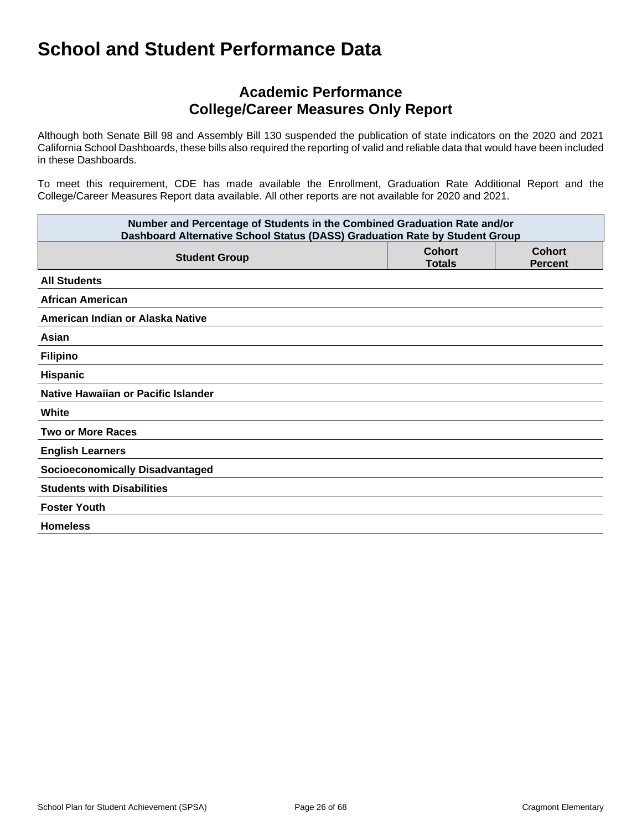# **Academic Performance College/Career Measures Only Report**

Although both Senate Bill 98 and Assembly Bill 130 suspended the publication of state indicators on the 2020 and 2021 California School Dashboards, these bills also required the reporting of valid and reliable data that would have been included in these Dashboards.

To meet this requirement, CDE has made available the Enrollment, Graduation Rate Additional Report and the College/Career Measures Report data available. All other reports are not available for 2020 and 2021.

| Number and Percentage of Students in the Combined Graduation Rate and/or<br>Dashboard Alternative School Status (DASS) Graduation Rate by Student Group |                                |                                 |  |
|---------------------------------------------------------------------------------------------------------------------------------------------------------|--------------------------------|---------------------------------|--|
| <b>Student Group</b>                                                                                                                                    | <b>Cohort</b><br><b>Totals</b> | <b>Cohort</b><br><b>Percent</b> |  |
| <b>All Students</b>                                                                                                                                     |                                |                                 |  |
| <b>African American</b>                                                                                                                                 |                                |                                 |  |
| American Indian or Alaska Native                                                                                                                        |                                |                                 |  |
| Asian                                                                                                                                                   |                                |                                 |  |
| <b>Filipino</b>                                                                                                                                         |                                |                                 |  |
| Hispanic                                                                                                                                                |                                |                                 |  |
| Native Hawaiian or Pacific Islander                                                                                                                     |                                |                                 |  |
| White                                                                                                                                                   |                                |                                 |  |
| <b>Two or More Races</b>                                                                                                                                |                                |                                 |  |
| <b>English Learners</b>                                                                                                                                 |                                |                                 |  |
| <b>Socioeconomically Disadvantaged</b>                                                                                                                  |                                |                                 |  |
| <b>Students with Disabilities</b>                                                                                                                       |                                |                                 |  |
| <b>Foster Youth</b>                                                                                                                                     |                                |                                 |  |
| <b>Homeless</b>                                                                                                                                         |                                |                                 |  |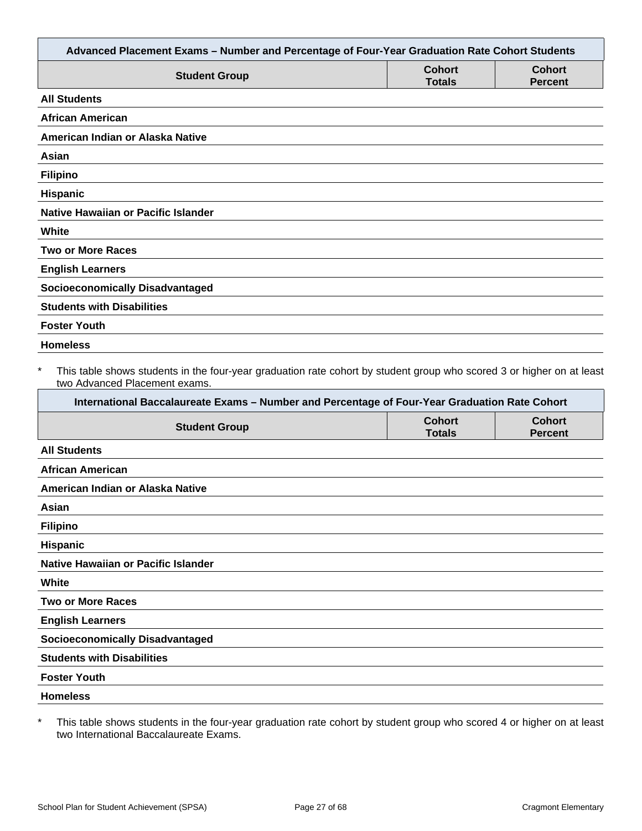| Advanced Placement Exams - Number and Percentage of Four-Year Graduation Rate Cohort Students                                                                                                                                                                     |                                |                                 |
|-------------------------------------------------------------------------------------------------------------------------------------------------------------------------------------------------------------------------------------------------------------------|--------------------------------|---------------------------------|
| <b>Student Group</b>                                                                                                                                                                                                                                              | <b>Cohort</b><br><b>Totals</b> | <b>Cohort</b><br><b>Percent</b> |
| <b>All Students</b>                                                                                                                                                                                                                                               |                                |                                 |
| <b>African American</b>                                                                                                                                                                                                                                           |                                |                                 |
| American Indian or Alaska Native                                                                                                                                                                                                                                  |                                |                                 |
| Asian                                                                                                                                                                                                                                                             |                                |                                 |
| <b>Filipino</b>                                                                                                                                                                                                                                                   |                                |                                 |
| Hispanic                                                                                                                                                                                                                                                          |                                |                                 |
| <b>Native Hawaiian or Pacific Islander</b>                                                                                                                                                                                                                        |                                |                                 |
| White                                                                                                                                                                                                                                                             |                                |                                 |
| <b>Two or More Races</b>                                                                                                                                                                                                                                          |                                |                                 |
| <b>English Learners</b>                                                                                                                                                                                                                                           |                                |                                 |
| <b>Socioeconomically Disadvantaged</b>                                                                                                                                                                                                                            |                                |                                 |
| <b>Students with Disabilities</b>                                                                                                                                                                                                                                 |                                |                                 |
| <b>Foster Youth</b>                                                                                                                                                                                                                                               |                                |                                 |
| <b>Homeless</b>                                                                                                                                                                                                                                                   |                                |                                 |
| $\ast$<br>This table shows students in the four-year graduation rate cohort by student group who scored 3 or higher on at least<br>two Advanced Placement exams.<br>International Baccalaureate Exams - Number and Percentage of Four-Year Graduation Rate Cohort |                                |                                 |
| <b>Student Group</b>                                                                                                                                                                                                                                              | <b>Cohort</b><br><b>Totals</b> | <b>Cohort</b><br><b>Percent</b> |
| <b>All Students</b>                                                                                                                                                                                                                                               |                                |                                 |
| <b>African American</b>                                                                                                                                                                                                                                           |                                |                                 |
| American Indian or Alaska Native                                                                                                                                                                                                                                  |                                |                                 |
| Asian                                                                                                                                                                                                                                                             |                                |                                 |
| <b>Filipino</b>                                                                                                                                                                                                                                                   |                                |                                 |
| Hispanic                                                                                                                                                                                                                                                          |                                |                                 |
| Native Hawaiian or Pacific Islander                                                                                                                                                                                                                               |                                |                                 |
| White                                                                                                                                                                                                                                                             |                                |                                 |
| <b>Two or More Races</b>                                                                                                                                                                                                                                          |                                |                                 |
| <b>English Learners</b>                                                                                                                                                                                                                                           |                                |                                 |
| <b>Socioeconomically Disadvantaged</b>                                                                                                                                                                                                                            |                                |                                 |
| <b>Students with Disabilities</b>                                                                                                                                                                                                                                 |                                |                                 |
| <b>Foster Youth</b>                                                                                                                                                                                                                                               |                                |                                 |
| <b>Homeless</b>                                                                                                                                                                                                                                                   |                                |                                 |
|                                                                                                                                                                                                                                                                   |                                |                                 |

\* This table shows students in the four-year graduation rate cohort by student group who scored 4 or higher on at least two International Baccalaureate Exams.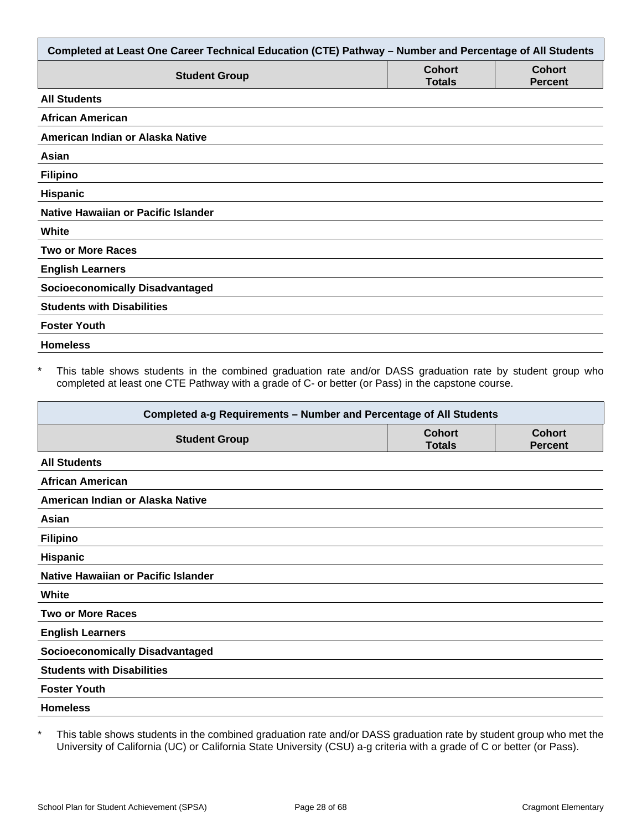| Completed at Least One Career Technical Education (CTE) Pathway - Number and Percentage of All Students |                                |                                 |  |
|---------------------------------------------------------------------------------------------------------|--------------------------------|---------------------------------|--|
| <b>Student Group</b>                                                                                    | <b>Cohort</b><br><b>Totals</b> | <b>Cohort</b><br><b>Percent</b> |  |
| <b>All Students</b>                                                                                     |                                |                                 |  |
| <b>African American</b>                                                                                 |                                |                                 |  |
| American Indian or Alaska Native                                                                        |                                |                                 |  |
| Asian                                                                                                   |                                |                                 |  |
| <b>Filipino</b>                                                                                         |                                |                                 |  |
| Hispanic                                                                                                |                                |                                 |  |
| Native Hawaiian or Pacific Islander                                                                     |                                |                                 |  |
| White                                                                                                   |                                |                                 |  |
| <b>Two or More Races</b>                                                                                |                                |                                 |  |
| <b>English Learners</b>                                                                                 |                                |                                 |  |
| <b>Socioeconomically Disadvantaged</b>                                                                  |                                |                                 |  |
| <b>Students with Disabilities</b>                                                                       |                                |                                 |  |
| <b>Foster Youth</b>                                                                                     |                                |                                 |  |
| <b>Homeless</b>                                                                                         |                                |                                 |  |

This table shows students in the combined graduation rate and/or DASS graduation rate by student group who completed at least one CTE Pathway with a grade of C- or better (or Pass) in the capstone course.

| Completed a-g Requirements - Number and Percentage of All Students |                                |                                 |  |
|--------------------------------------------------------------------|--------------------------------|---------------------------------|--|
| <b>Student Group</b>                                               | <b>Cohort</b><br><b>Totals</b> | <b>Cohort</b><br><b>Percent</b> |  |
| <b>All Students</b>                                                |                                |                                 |  |
| <b>African American</b>                                            |                                |                                 |  |
| American Indian or Alaska Native                                   |                                |                                 |  |
| Asian                                                              |                                |                                 |  |
| <b>Filipino</b>                                                    |                                |                                 |  |
| <b>Hispanic</b>                                                    |                                |                                 |  |
| Native Hawaiian or Pacific Islander                                |                                |                                 |  |
| White                                                              |                                |                                 |  |
| <b>Two or More Races</b>                                           |                                |                                 |  |
| <b>English Learners</b>                                            |                                |                                 |  |
| <b>Socioeconomically Disadvantaged</b>                             |                                |                                 |  |
| <b>Students with Disabilities</b>                                  |                                |                                 |  |
| <b>Foster Youth</b>                                                |                                |                                 |  |
| <b>Homeless</b>                                                    |                                |                                 |  |

\* This table shows students in the combined graduation rate and/or DASS graduation rate by student group who met the University of California (UC) or California State University (CSU) a-g criteria with a grade of C or better (or Pass).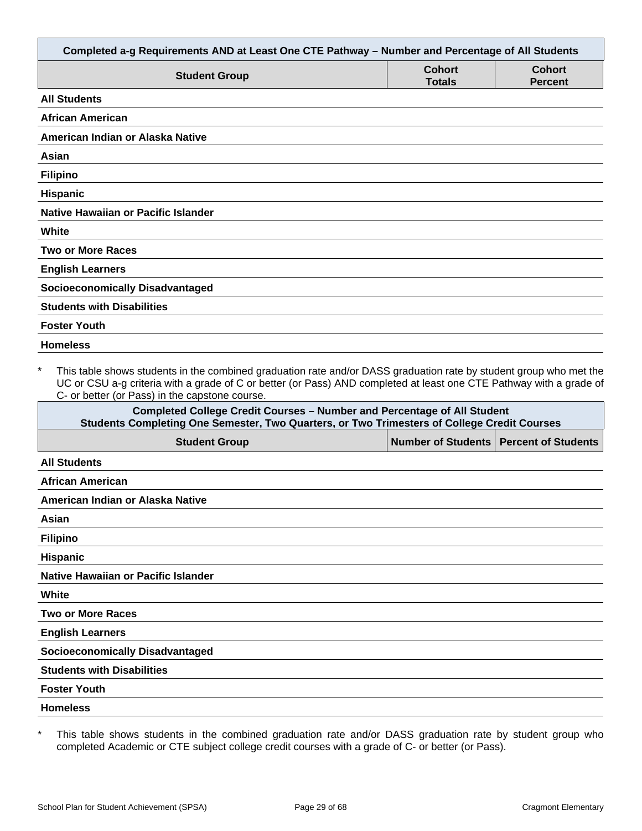| Completed a-g Requirements AND at Least One CTE Pathway - Number and Percentage of All Students                                                                                                                                                                                                        |                                |                                 |
|--------------------------------------------------------------------------------------------------------------------------------------------------------------------------------------------------------------------------------------------------------------------------------------------------------|--------------------------------|---------------------------------|
| <b>Student Group</b>                                                                                                                                                                                                                                                                                   | <b>Cohort</b><br><b>Totals</b> | <b>Cohort</b><br><b>Percent</b> |
| <b>All Students</b>                                                                                                                                                                                                                                                                                    |                                |                                 |
| <b>African American</b>                                                                                                                                                                                                                                                                                |                                |                                 |
| American Indian or Alaska Native                                                                                                                                                                                                                                                                       |                                |                                 |
| Asian                                                                                                                                                                                                                                                                                                  |                                |                                 |
| <b>Filipino</b>                                                                                                                                                                                                                                                                                        |                                |                                 |
| <b>Hispanic</b>                                                                                                                                                                                                                                                                                        |                                |                                 |
| Native Hawaiian or Pacific Islander                                                                                                                                                                                                                                                                    |                                |                                 |
| White                                                                                                                                                                                                                                                                                                  |                                |                                 |
| <b>Two or More Races</b>                                                                                                                                                                                                                                                                               |                                |                                 |
| <b>English Learners</b>                                                                                                                                                                                                                                                                                |                                |                                 |
| <b>Socioeconomically Disadvantaged</b>                                                                                                                                                                                                                                                                 |                                |                                 |
| <b>Students with Disabilities</b>                                                                                                                                                                                                                                                                      |                                |                                 |
| <b>Foster Youth</b>                                                                                                                                                                                                                                                                                    |                                |                                 |
| <b>Homeless</b>                                                                                                                                                                                                                                                                                        |                                |                                 |
| $\star$<br>This table shows students in the combined graduation rate and/or DASS graduation rate by student group who met the<br>UC or CSU a-g criteria with a grade of C or better (or Pass) AND completed at least one CTE Pathway with a grade of<br>C- or better (or Pass) in the capstone course. |                                |                                 |
| <b>Completed College Credit Courses - Number and Percentage of All Student</b><br>Students Completing One Semester, Two Quarters, or Two Trimesters of College Credit Courses                                                                                                                          |                                |                                 |
| <b>Student Group</b>                                                                                                                                                                                                                                                                                   | <b>Number of Students</b>      | <b>Percent of Students</b>      |
| <b>All Students</b>                                                                                                                                                                                                                                                                                    |                                |                                 |
| African American                                                                                                                                                                                                                                                                                       |                                |                                 |
| American Indian or Alaska Native                                                                                                                                                                                                                                                                       |                                |                                 |
| Asian                                                                                                                                                                                                                                                                                                  |                                |                                 |

| ∙ılınıno |  |
|----------|--|

**Hispanic**

**Native Hawaiian or Pacific Islander**

**White**

**Two or More Races**

**English Learners**

**Socioeconomically Disadvantaged**

**Students with Disabilities**

**Foster Youth**

**Homeless**

\* This table shows students in the combined graduation rate and/or DASS graduation rate by student group who completed Academic or CTE subject college credit courses with a grade of C- or better (or Pass).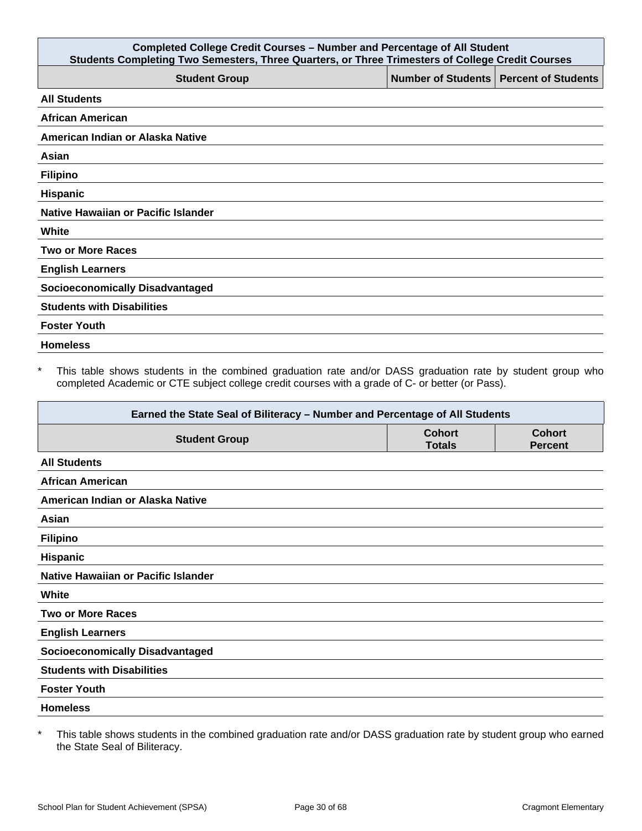| <b>Completed College Credit Courses - Number and Percentage of All Student</b><br>Students Completing Two Semesters, Three Quarters, or Three Trimesters of College Credit Courses |  |                                          |  |
|------------------------------------------------------------------------------------------------------------------------------------------------------------------------------------|--|------------------------------------------|--|
| <b>Student Group</b>                                                                                                                                                               |  | Number of Students   Percent of Students |  |
| <b>All Students</b>                                                                                                                                                                |  |                                          |  |
| <b>African American</b>                                                                                                                                                            |  |                                          |  |
| American Indian or Alaska Native                                                                                                                                                   |  |                                          |  |
| Asian                                                                                                                                                                              |  |                                          |  |
| <b>Filipino</b>                                                                                                                                                                    |  |                                          |  |
| <b>Hispanic</b>                                                                                                                                                                    |  |                                          |  |
| Native Hawaiian or Pacific Islander                                                                                                                                                |  |                                          |  |
| White                                                                                                                                                                              |  |                                          |  |
| <b>Two or More Races</b>                                                                                                                                                           |  |                                          |  |
| <b>English Learners</b>                                                                                                                                                            |  |                                          |  |
| <b>Socioeconomically Disadvantaged</b>                                                                                                                                             |  |                                          |  |
| <b>Students with Disabilities</b>                                                                                                                                                  |  |                                          |  |
| <b>Foster Youth</b>                                                                                                                                                                |  |                                          |  |
| <b>Homeless</b>                                                                                                                                                                    |  |                                          |  |

\* This table shows students in the combined graduation rate and/or DASS graduation rate by student group who completed Academic or CTE subject college credit courses with a grade of C- or better (or Pass).

| Earned the State Seal of Biliteracy - Number and Percentage of All Students |                                |                                 |
|-----------------------------------------------------------------------------|--------------------------------|---------------------------------|
| <b>Student Group</b>                                                        | <b>Cohort</b><br><b>Totals</b> | <b>Cohort</b><br><b>Percent</b> |
| <b>All Students</b>                                                         |                                |                                 |
| <b>African American</b>                                                     |                                |                                 |
| American Indian or Alaska Native                                            |                                |                                 |
| Asian                                                                       |                                |                                 |
| <b>Filipino</b>                                                             |                                |                                 |
| <b>Hispanic</b>                                                             |                                |                                 |
| Native Hawaiian or Pacific Islander                                         |                                |                                 |
| White                                                                       |                                |                                 |
| <b>Two or More Races</b>                                                    |                                |                                 |
| <b>English Learners</b>                                                     |                                |                                 |
| <b>Socioeconomically Disadvantaged</b>                                      |                                |                                 |
| <b>Students with Disabilities</b>                                           |                                |                                 |
| <b>Foster Youth</b>                                                         |                                |                                 |
| <b>Homeless</b>                                                             |                                |                                 |

\* This table shows students in the combined graduation rate and/or DASS graduation rate by student group who earned the State Seal of Biliteracy.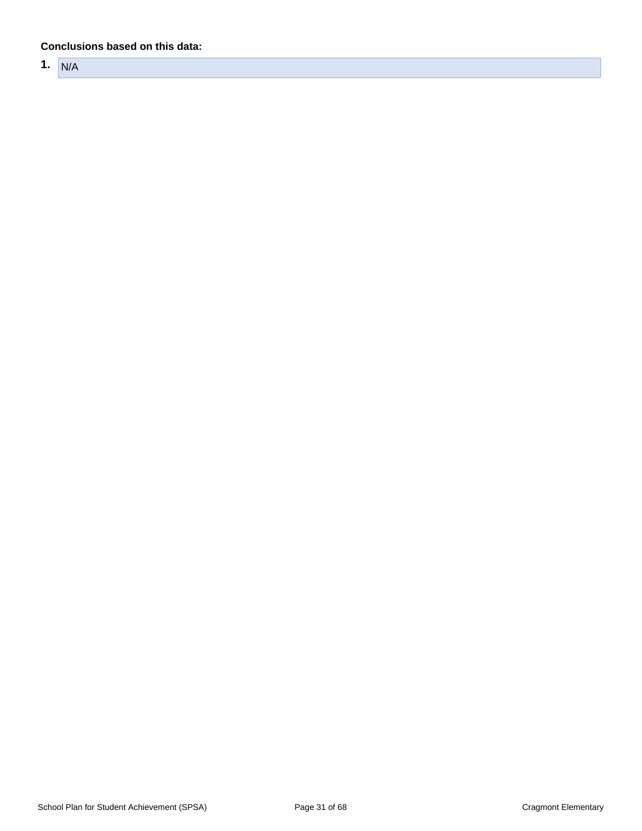#### **Conclusions based on this data:**

**1.** N/A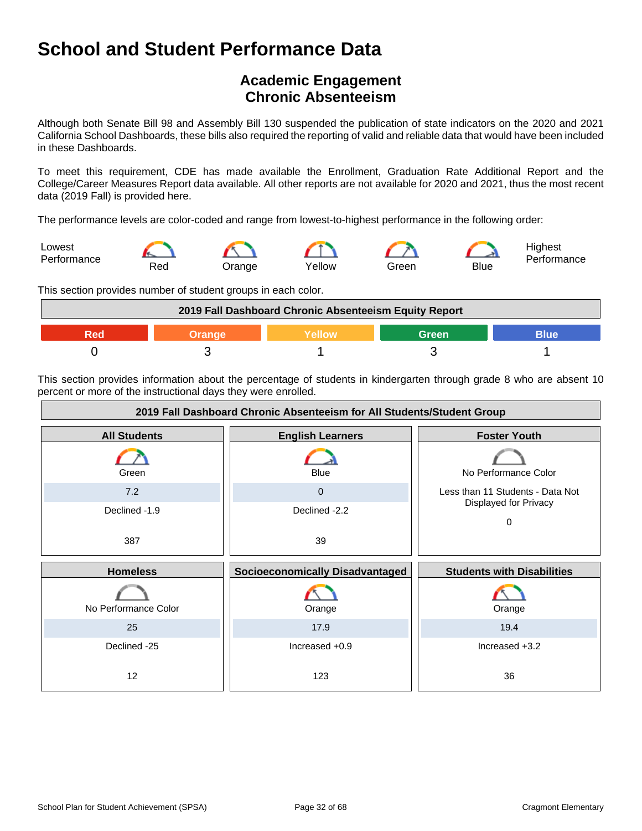# **Academic Engagement Chronic Absenteeism**

Although both Senate Bill 98 and Assembly Bill 130 suspended the publication of state indicators on the 2020 and 2021 California School Dashboards, these bills also required the reporting of valid and reliable data that would have been included in these Dashboards.

To meet this requirement, CDE has made available the Enrollment, Graduation Rate Additional Report and the College/Career Measures Report data available. All other reports are not available for 2020 and 2021, thus the most recent data (2019 Fall) is provided here.

The performance levels are color-coded and range from lowest-to-highest performance in the following order:



This section provides number of student groups in each color.



This section provides information about the percentage of students in kindergarten through grade 8 who are absent 10 percent or more of the instructional days they were enrolled.

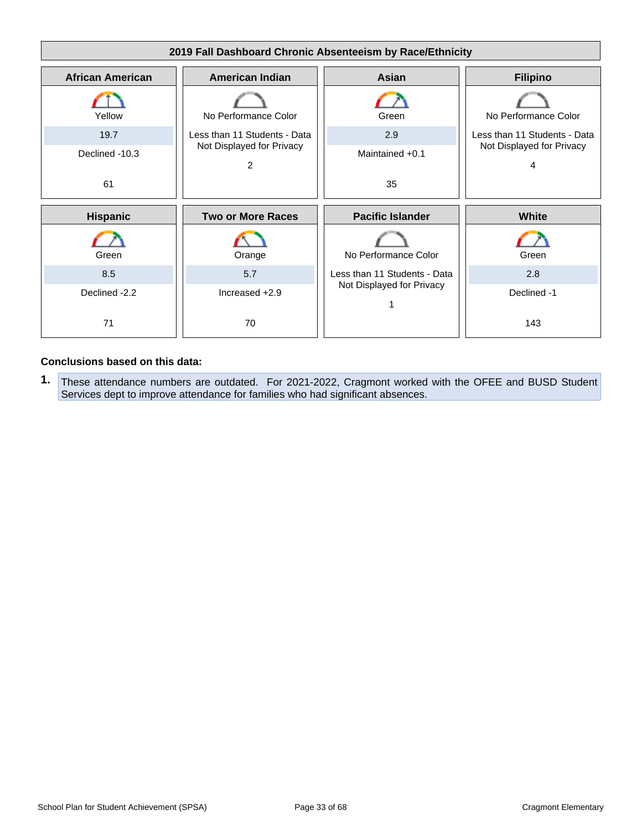

#### **Conclusions based on this data:**

**1.** These attendance numbers are outdated. For 2021-2022, Cragmont worked with the OFEE and BUSD Student Services dept to improve attendance for families who had significant absences.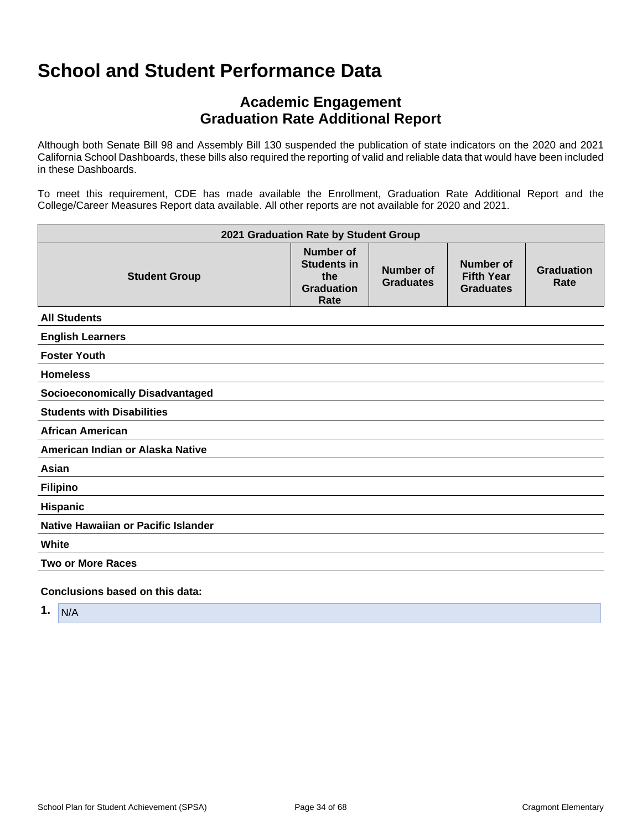# **Academic Engagement Graduation Rate Additional Report**

Although both Senate Bill 98 and Assembly Bill 130 suspended the publication of state indicators on the 2020 and 2021 California School Dashboards, these bills also required the reporting of valid and reliable data that would have been included in these Dashboards.

To meet this requirement, CDE has made available the Enrollment, Graduation Rate Additional Report and the College/Career Measures Report data available. All other reports are not available for 2020 and 2021.

| 2021 Graduation Rate by Student Group  |                                                                     |                               |                                                    |                           |
|----------------------------------------|---------------------------------------------------------------------|-------------------------------|----------------------------------------------------|---------------------------|
| <b>Student Group</b>                   | Number of<br><b>Students in</b><br>the<br><b>Graduation</b><br>Rate | Number of<br><b>Graduates</b> | Number of<br><b>Fifth Year</b><br><b>Graduates</b> | <b>Graduation</b><br>Rate |
| <b>All Students</b>                    |                                                                     |                               |                                                    |                           |
| <b>English Learners</b>                |                                                                     |                               |                                                    |                           |
| <b>Foster Youth</b>                    |                                                                     |                               |                                                    |                           |
| <b>Homeless</b>                        |                                                                     |                               |                                                    |                           |
| <b>Socioeconomically Disadvantaged</b> |                                                                     |                               |                                                    |                           |
| <b>Students with Disabilities</b>      |                                                                     |                               |                                                    |                           |
| <b>African American</b>                |                                                                     |                               |                                                    |                           |
| American Indian or Alaska Native       |                                                                     |                               |                                                    |                           |
| Asian                                  |                                                                     |                               |                                                    |                           |
| <b>Filipino</b>                        |                                                                     |                               |                                                    |                           |
| <b>Hispanic</b>                        |                                                                     |                               |                                                    |                           |
| Native Hawaiian or Pacific Islander    |                                                                     |                               |                                                    |                           |
| White                                  |                                                                     |                               |                                                    |                           |
| <b>Two or More Races</b>               |                                                                     |                               |                                                    |                           |
| Conclusions based on this data:        |                                                                     |                               |                                                    |                           |

**1.** N/A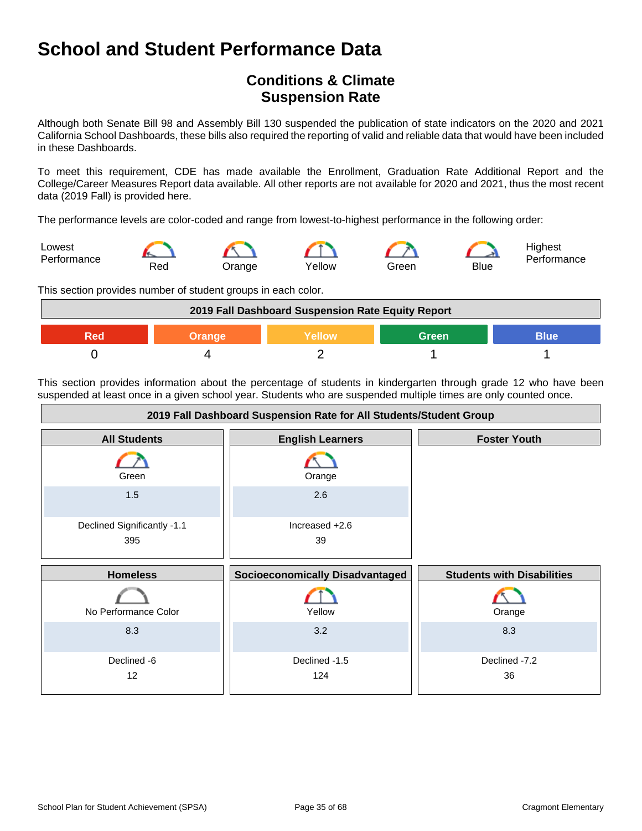# **Conditions & Climate Suspension Rate**

Although both Senate Bill 98 and Assembly Bill 130 suspended the publication of state indicators on the 2020 and 2021 California School Dashboards, these bills also required the reporting of valid and reliable data that would have been included in these Dashboards.

To meet this requirement, CDE has made available the Enrollment, Graduation Rate Additional Report and the College/Career Measures Report data available. All other reports are not available for 2020 and 2021, thus the most recent data (2019 Fall) is provided here.

The performance levels are color-coded and range from lowest-to-highest performance in the following order:



This section provides number of student groups in each color.



This section provides information about the percentage of students in kindergarten through grade 12 who have been suspended at least once in a given school year. Students who are suspended multiple times are only counted once.

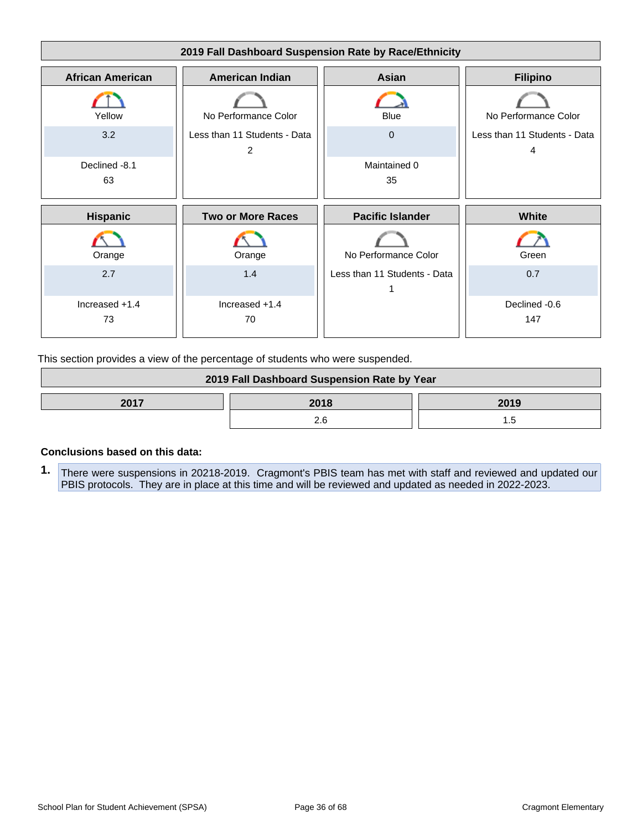

This section provides a view of the percentage of students who were suspended.

| 2019 Fall Dashboard Suspension Rate by Year |      |      |
|---------------------------------------------|------|------|
| 2017                                        | 2018 | 2019 |
|                                             |      |      |

#### **Conclusions based on this data:**

**1.** There were suspensions in 20218-2019. Cragmont's PBIS team has met with staff and reviewed and updated our PBIS protocols. They are in place at this time and will be reviewed and updated as needed in 2022-2023.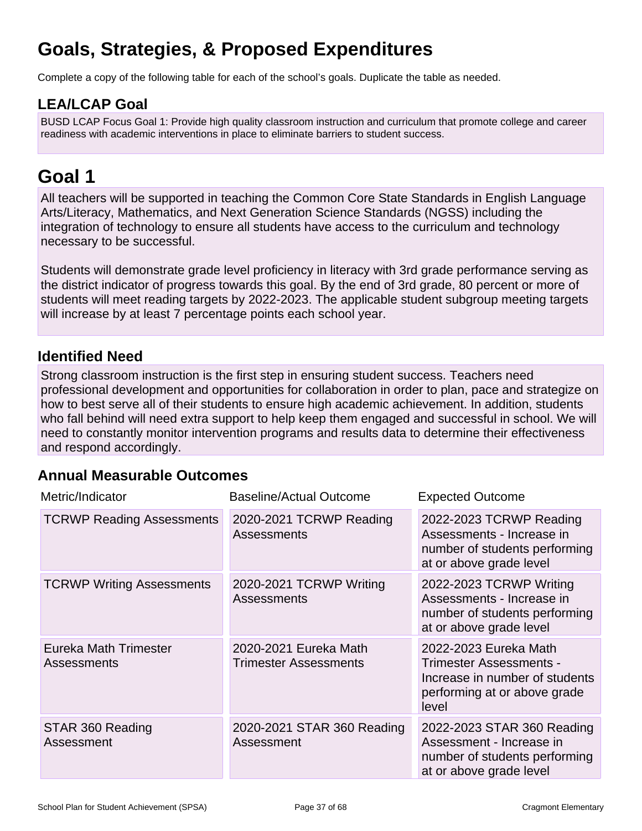# **Goals, Strategies, & Proposed Expenditures**

Complete a copy of the following table for each of the school's goals. Duplicate the table as needed.

# **LEA/LCAP Goal**

BUSD LCAP Focus Goal 1: Provide high quality classroom instruction and curriculum that promote college and career readiness with academic interventions in place to eliminate barriers to student success.

# **Goal 1**

All teachers will be supported in teaching the Common Core State Standards in English Language Arts/Literacy, Mathematics, and Next Generation Science Standards (NGSS) including the integration of technology to ensure all students have access to the curriculum and technology necessary to be successful.

Students will demonstrate grade level proficiency in literacy with 3rd grade performance serving as the district indicator of progress towards this goal. By the end of 3rd grade, 80 percent or more of students will meet reading targets by 2022-2023. The applicable student subgroup meeting targets will increase by at least 7 percentage points each school year.

# **Identified Need**

Strong classroom instruction is the first step in ensuring student success. Teachers need professional development and opportunities for collaboration in order to plan, pace and strategize on how to best serve all of their students to ensure high academic achievement. In addition, students who fall behind will need extra support to help keep them engaged and successful in school. We will need to constantly monitor intervention programs and results data to determine their effectiveness and respond accordingly.

# **Annual Measurable Outcomes**

| Metric/Indicator                            | <b>Baseline/Actual Outcome</b>                        | <b>Expected Outcome</b>                                                                                                     |
|---------------------------------------------|-------------------------------------------------------|-----------------------------------------------------------------------------------------------------------------------------|
| <b>TCRWP Reading Assessments</b>            | 2020-2021 TCRWP Reading<br>Assessments                | 2022-2023 TCRWP Reading<br>Assessments - Increase in<br>number of students performing<br>at or above grade level            |
| <b>TCRWP Writing Assessments</b>            | 2020-2021 TCRWP Writing<br><b>Assessments</b>         | 2022-2023 TCRWP Writing<br>Assessments - Increase in<br>number of students performing<br>at or above grade level            |
| Eureka Math Trimester<br><b>Assessments</b> | 2020-2021 Eureka Math<br><b>Trimester Assessments</b> | 2022-2023 Eureka Math<br>Trimester Assessments -<br>Increase in number of students<br>performing at or above grade<br>level |
| STAR 360 Reading<br>Assessment              | 2020-2021 STAR 360 Reading<br>Assessment              | 2022-2023 STAR 360 Reading<br>Assessment - Increase in<br>number of students performing<br>at or above grade level          |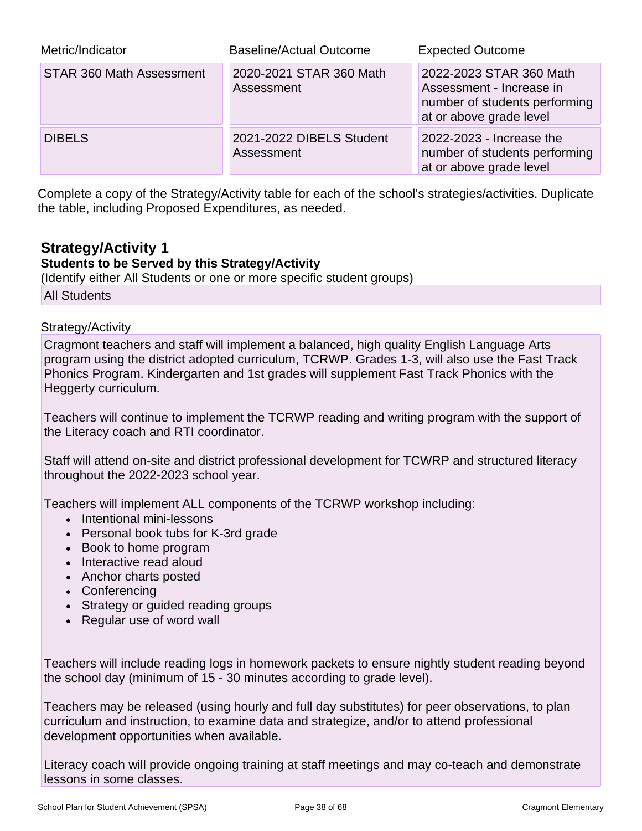| Metric/Indicator                | <b>Baseline/Actual Outcome</b>         | <b>Expected Outcome</b>                                                                                         |
|---------------------------------|----------------------------------------|-----------------------------------------------------------------------------------------------------------------|
| <b>STAR 360 Math Assessment</b> | 2020-2021 STAR 360 Math<br>Assessment  | 2022-2023 STAR 360 Math<br>Assessment - Increase in<br>number of students performing<br>at or above grade level |
| <b>DIBELS</b>                   | 2021-2022 DIBELS Student<br>Assessment | 2022-2023 - Increase the<br>number of students performing<br>at or above grade level                            |

Complete a copy of the Strategy/Activity table for each of the school's strategies/activities. Duplicate the table, including Proposed Expenditures, as needed.

# **Strategy/Activity 1**

### **Students to be Served by this Strategy/Activity**

(Identify either All Students or one or more specific student groups) All Students

#### Strategy/Activity

Cragmont teachers and staff will implement a balanced, high quality English Language Arts program using the district adopted curriculum, TCRWP. Grades 1-3, will also use the Fast Track Phonics Program. Kindergarten and 1st grades will supplement Fast Track Phonics with the Heggerty curriculum.

Teachers will continue to implement the TCRWP reading and writing program with the support of the Literacy coach and RTI coordinator.

Staff will attend on-site and district professional development for TCWRP and structured literacy throughout the 2022-2023 school year.

Teachers will implement ALL components of the TCRWP workshop including:

- Intentional mini-lessons
- Personal book tubs for K-3rd grade
- Book to home program
- Interactive read aloud
- Anchor charts posted
- Conferencing
- Strategy or guided reading groups
- Regular use of word wall

Teachers will include reading logs in homework packets to ensure nightly student reading beyond the school day (minimum of 15 - 30 minutes according to grade level).

Teachers may be released (using hourly and full day substitutes) for peer observations, to plan curriculum and instruction, to examine data and strategize, and/or to attend professional development opportunities when available.

Literacy coach will provide ongoing training at staff meetings and may co-teach and demonstrate lessons in some classes.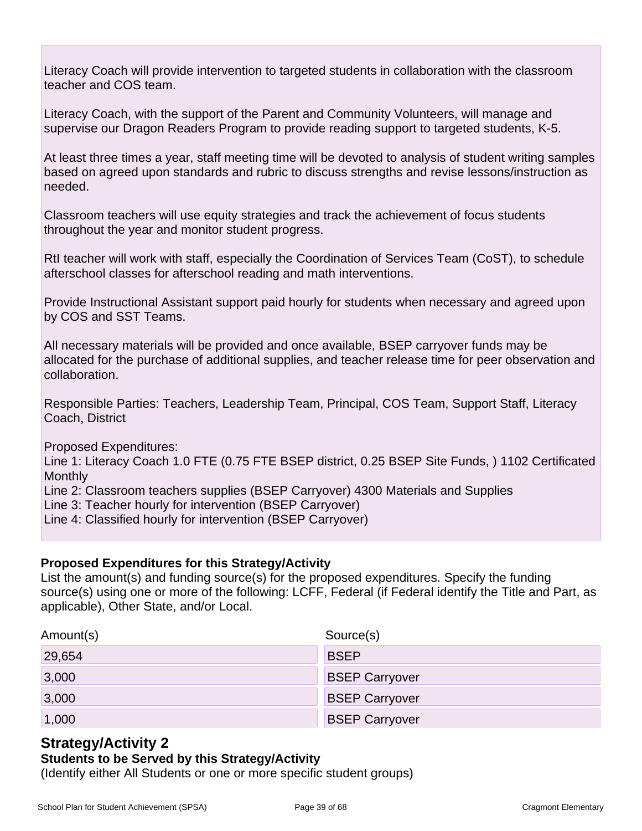Literacy Coach will provide intervention to targeted students in collaboration with the classroom teacher and COS team.

Literacy Coach, with the support of the Parent and Community Volunteers, will manage and supervise our Dragon Readers Program to provide reading support to targeted students, K-5.

At least three times a year, staff meeting time will be devoted to analysis of student writing samples based on agreed upon standards and rubric to discuss strengths and revise lessons/instruction as needed.

Classroom teachers will use equity strategies and track the achievement of focus students throughout the year and monitor student progress.

RtI teacher will work with staff, especially the Coordination of Services Team (CoST), to schedule afterschool classes for afterschool reading and math interventions.

Provide Instructional Assistant support paid hourly for students when necessary and agreed upon by COS and SST Teams.

All necessary materials will be provided and once available, BSEP carryover funds may be allocated for the purchase of additional supplies, and teacher release time for peer observation and collaboration.

Responsible Parties: Teachers, Leadership Team, Principal, COS Team, Support Staff, Literacy Coach, District

Proposed Expenditures:

Line 1: Literacy Coach 1.0 FTE (0.75 FTE BSEP district, 0.25 BSEP Site Funds, ) 1102 Certificated **Monthly** 

Line 2: Classroom teachers supplies (BSEP Carryover) 4300 Materials and Supplies

Line 3: Teacher hourly for intervention (BSEP Carryover)

Line 4: Classified hourly for intervention (BSEP Carryover)

### **Proposed Expenditures for this Strategy/Activity**

List the amount(s) and funding source(s) for the proposed expenditures. Specify the funding source(s) using one or more of the following: LCFF, Federal (if Federal identify the Title and Part, as applicable), Other State, and/or Local.

| Amount(s) | Source(s)             |
|-----------|-----------------------|
| 29,654    | <b>BSEP</b>           |
| 3,000     | <b>BSEP Carryover</b> |
| 3,000     | <b>BSEP Carryover</b> |
| 1,000     | <b>BSEP Carryover</b> |

# **Strategy/Activity 2**

### **Students to be Served by this Strategy/Activity**

(Identify either All Students or one or more specific student groups)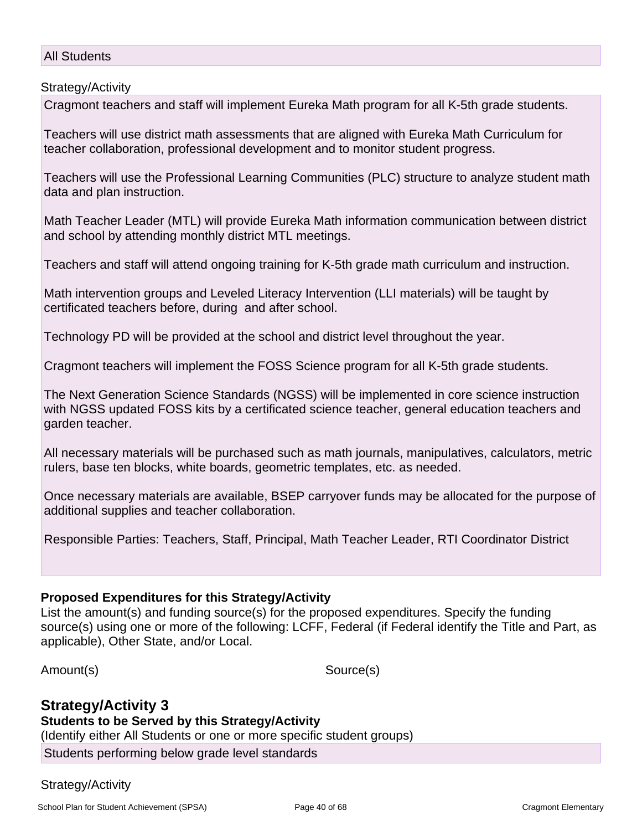#### All Students

Strategy/Activity

Cragmont teachers and staff will implement Eureka Math program for all K-5th grade students.

Teachers will use district math assessments that are aligned with Eureka Math Curriculum for teacher collaboration, professional development and to monitor student progress.

Teachers will use the Professional Learning Communities (PLC) structure to analyze student math data and plan instruction.

Math Teacher Leader (MTL) will provide Eureka Math information communication between district and school by attending monthly district MTL meetings.

Teachers and staff will attend ongoing training for K-5th grade math curriculum and instruction.

Math intervention groups and Leveled Literacy Intervention (LLI materials) will be taught by certificated teachers before, during and after school.

Technology PD will be provided at the school and district level throughout the year.

Cragmont teachers will implement the FOSS Science program for all K-5th grade students.

The Next Generation Science Standards (NGSS) will be implemented in core science instruction with NGSS updated FOSS kits by a certificated science teacher, general education teachers and garden teacher.

All necessary materials will be purchased such as math journals, manipulatives, calculators, metric rulers, base ten blocks, white boards, geometric templates, etc. as needed.

Once necessary materials are available, BSEP carryover funds may be allocated for the purpose of additional supplies and teacher collaboration.

Responsible Parties: Teachers, Staff, Principal, Math Teacher Leader, RTI Coordinator District

#### **Proposed Expenditures for this Strategy/Activity**

List the amount(s) and funding source(s) for the proposed expenditures. Specify the funding source(s) using one or more of the following: LCFF, Federal (if Federal identify the Title and Part, as applicable), Other State, and/or Local.

Amount(s) Source(s)

**Strategy/Activity 3 Students to be Served by this Strategy/Activity** (Identify either All Students or one or more specific student groups) Students performing below grade level standards

#### Strategy/Activity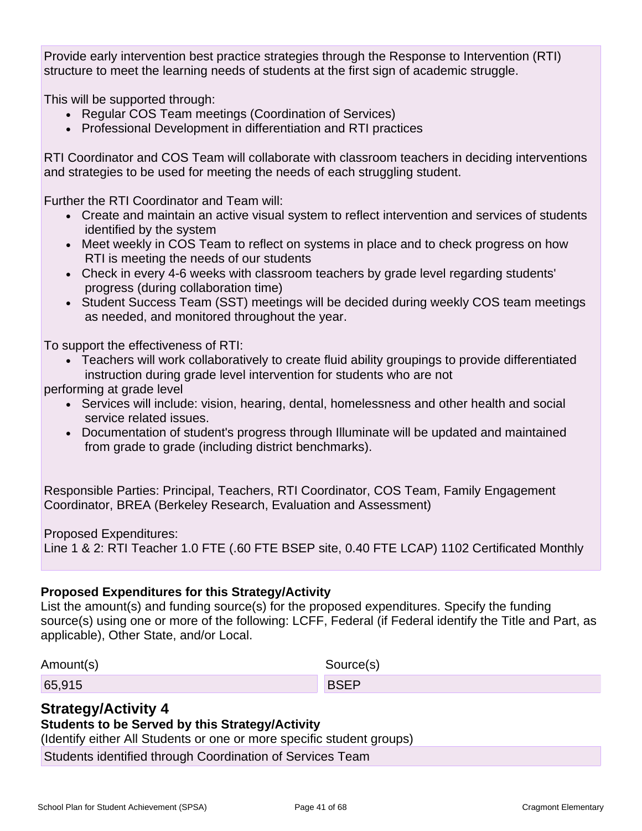Provide early intervention best practice strategies through the Response to Intervention (RTI) structure to meet the learning needs of students at the first sign of academic struggle.

This will be supported through:

- Regular COS Team meetings (Coordination of Services)
- Professional Development in differentiation and RTI practices

RTI Coordinator and COS Team will collaborate with classroom teachers in deciding interventions and strategies to be used for meeting the needs of each struggling student.

Further the RTI Coordinator and Team will:

- Create and maintain an active visual system to reflect intervention and services of students identified by the system
- Meet weekly in COS Team to reflect on systems in place and to check progress on how RTI is meeting the needs of our students
- Check in every 4-6 weeks with classroom teachers by grade level regarding students' progress (during collaboration time)
- Student Success Team (SST) meetings will be decided during weekly COS team meetings as needed, and monitored throughout the year.

To support the effectiveness of RTI:

• Teachers will work collaboratively to create fluid ability groupings to provide differentiated instruction during grade level intervention for students who are not

performing at grade level

- Services will include: vision, hearing, dental, homelessness and other health and social service related issues.
- Documentation of student's progress through Illuminate will be updated and maintained from grade to grade (including district benchmarks).

Responsible Parties: Principal, Teachers, RTI Coordinator, COS Team, Family Engagement Coordinator, BREA (Berkeley Research, Evaluation and Assessment)

Proposed Expenditures:

Line 1 & 2: RTI Teacher 1.0 FTE (.60 FTE BSEP site, 0.40 FTE LCAP) 1102 Certificated Monthly

### **Proposed Expenditures for this Strategy/Activity**

List the amount(s) and funding source(s) for the proposed expenditures. Specify the funding source(s) using one or more of the following: LCFF, Federal (if Federal identify the Title and Part, as applicable), Other State, and/or Local.

| Amount(s) | Source(s)   |
|-----------|-------------|
| 65,915    | <b>BSEP</b> |

# **Strategy/Activity 4**

### **Students to be Served by this Strategy/Activity**

(Identify either All Students or one or more specific student groups)

Students identified through Coordination of Services Team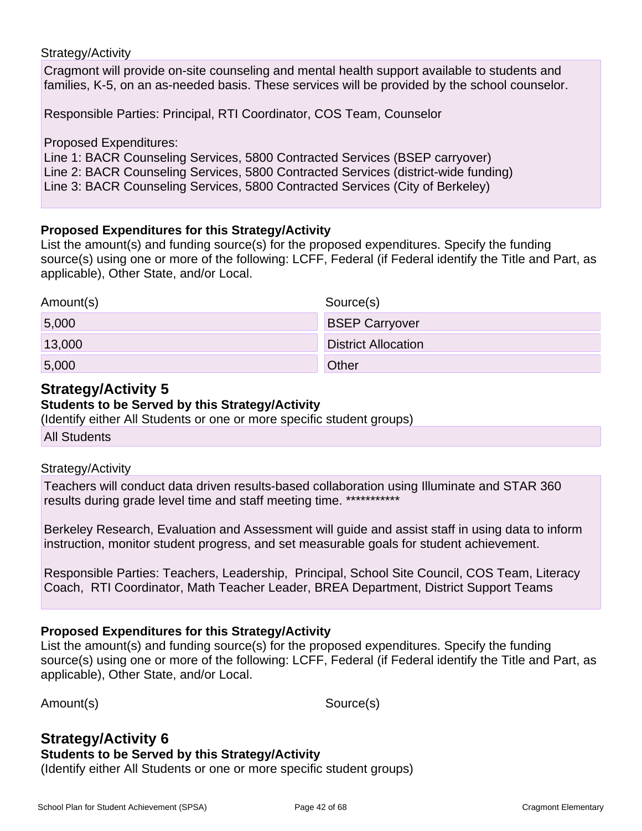#### Strategy/Activity

Cragmont will provide on-site counseling and mental health support available to students and families, K-5, on an as-needed basis. These services will be provided by the school counselor.

Responsible Parties: Principal, RTI Coordinator, COS Team, Counselor

Proposed Expenditures:

Line 1: BACR Counseling Services, 5800 Contracted Services (BSEP carryover) Line 2: BACR Counseling Services, 5800 Contracted Services (district-wide funding) Line 3: BACR Counseling Services, 5800 Contracted Services (City of Berkeley)

#### **Proposed Expenditures for this Strategy/Activity**

List the amount(s) and funding source(s) for the proposed expenditures. Specify the funding source(s) using one or more of the following: LCFF, Federal (if Federal identify the Title and Part, as applicable), Other State, and/or Local.

| Amount(s) | Source(s)                  |
|-----------|----------------------------|
| 5,000     | <b>BSEP Carryover</b>      |
| 13,000    | <b>District Allocation</b> |
| 5,000     | Other                      |

# **Strategy/Activity 5**

#### **Students to be Served by this Strategy/Activity**

(Identify either All Students or one or more specific student groups)

All Students

#### Strategy/Activity

Teachers will conduct data driven results-based collaboration using Illuminate and STAR 360 results during grade level time and staff meeting time. \*\*\*\*\*\*\*\*\*\*\*\*

Berkeley Research, Evaluation and Assessment will guide and assist staff in using data to inform instruction, monitor student progress, and set measurable goals for student achievement.

Responsible Parties: Teachers, Leadership, Principal, School Site Council, COS Team, Literacy Coach, RTI Coordinator, Math Teacher Leader, BREA Department, District Support Teams

### **Proposed Expenditures for this Strategy/Activity**

List the amount(s) and funding source(s) for the proposed expenditures. Specify the funding source(s) using one or more of the following: LCFF, Federal (if Federal identify the Title and Part, as applicable), Other State, and/or Local.

Amount(s) Source(s)

# **Strategy/Activity 6**

#### **Students to be Served by this Strategy/Activity**

(Identify either All Students or one or more specific student groups)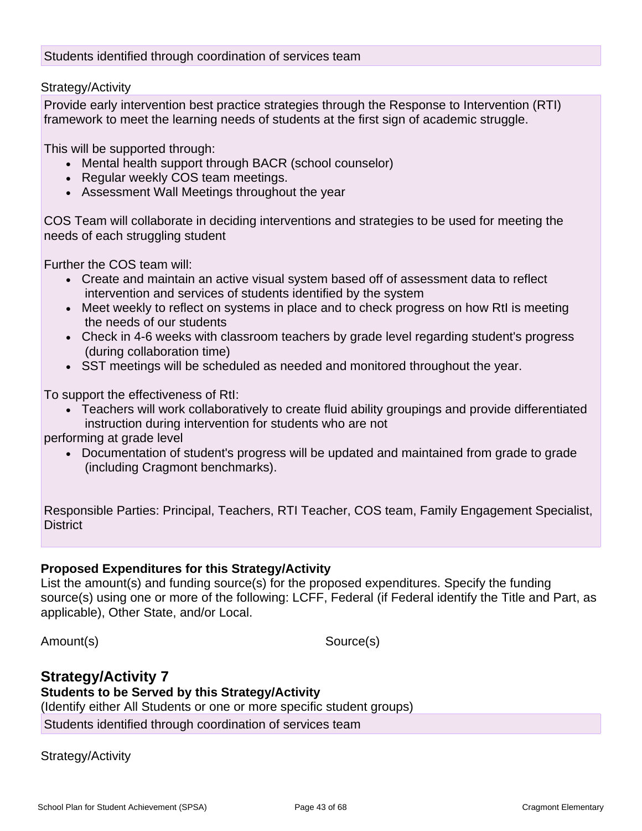Strategy/Activity

Provide early intervention best practice strategies through the Response to Intervention (RTI) framework to meet the learning needs of students at the first sign of academic struggle.

This will be supported through:

- Mental health support through BACR (school counselor)
- Regular weekly COS team meetings.
- Assessment Wall Meetings throughout the year

COS Team will collaborate in deciding interventions and strategies to be used for meeting the needs of each struggling student

Further the COS team will:

- Create and maintain an active visual system based off of assessment data to reflect intervention and services of students identified by the system
- Meet weekly to reflect on systems in place and to check progress on how RtI is meeting the needs of our students
- Check in 4-6 weeks with classroom teachers by grade level regarding student's progress (during collaboration time)
- SST meetings will be scheduled as needed and monitored throughout the year.

To support the effectiveness of RtI:

• Teachers will work collaboratively to create fluid ability groupings and provide differentiated instruction during intervention for students who are not

performing at grade level

• Documentation of student's progress will be updated and maintained from grade to grade (including Cragmont benchmarks).

Responsible Parties: Principal, Teachers, RTI Teacher, COS team, Family Engagement Specialist, **District** 

# **Proposed Expenditures for this Strategy/Activity**

List the amount(s) and funding source(s) for the proposed expenditures. Specify the funding source(s) using one or more of the following: LCFF, Federal (if Federal identify the Title and Part, as applicable), Other State, and/or Local.

Amount(s) Source(s)

# **Strategy/Activity 7**

# **Students to be Served by this Strategy/Activity**

(Identify either All Students or one or more specific student groups) Students identified through coordination of services team

Strategy/Activity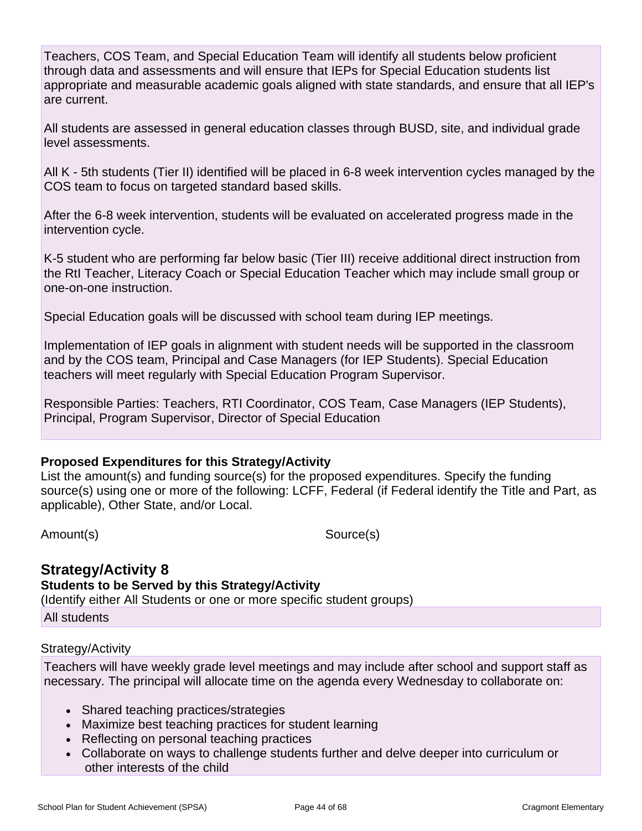Teachers, COS Team, and Special Education Team will identify all students below proficient through data and assessments and will ensure that IEPs for Special Education students list appropriate and measurable academic goals aligned with state standards, and ensure that all IEP's are current.

All students are assessed in general education classes through BUSD, site, and individual grade level assessments.

All K - 5th students (Tier II) identified will be placed in 6-8 week intervention cycles managed by the COS team to focus on targeted standard based skills.

After the 6-8 week intervention, students will be evaluated on accelerated progress made in the intervention cycle.

K-5 student who are performing far below basic (Tier III) receive additional direct instruction from the RtI Teacher, Literacy Coach or Special Education Teacher which may include small group or one-on-one instruction.

Special Education goals will be discussed with school team during IEP meetings.

Implementation of IEP goals in alignment with student needs will be supported in the classroom and by the COS team, Principal and Case Managers (for IEP Students). Special Education teachers will meet regularly with Special Education Program Supervisor.

Responsible Parties: Teachers, RTI Coordinator, COS Team, Case Managers (IEP Students), Principal, Program Supervisor, Director of Special Education

### **Proposed Expenditures for this Strategy/Activity**

List the amount(s) and funding source(s) for the proposed expenditures. Specify the funding source(s) using one or more of the following: LCFF, Federal (if Federal identify the Title and Part, as applicable), Other State, and/or Local.

Amount(s) Source(s)

### **Strategy/Activity 8 Students to be Served by this Strategy/Activity** (Identify either All Students or one or more specific student groups)

All students

### Strategy/Activity

Teachers will have weekly grade level meetings and may include after school and support staff as necessary. The principal will allocate time on the agenda every Wednesday to collaborate on:

- Shared teaching practices/strategies
- Maximize best teaching practices for student learning
- Reflecting on personal teaching practices
- Collaborate on ways to challenge students further and delve deeper into curriculum or other interests of the child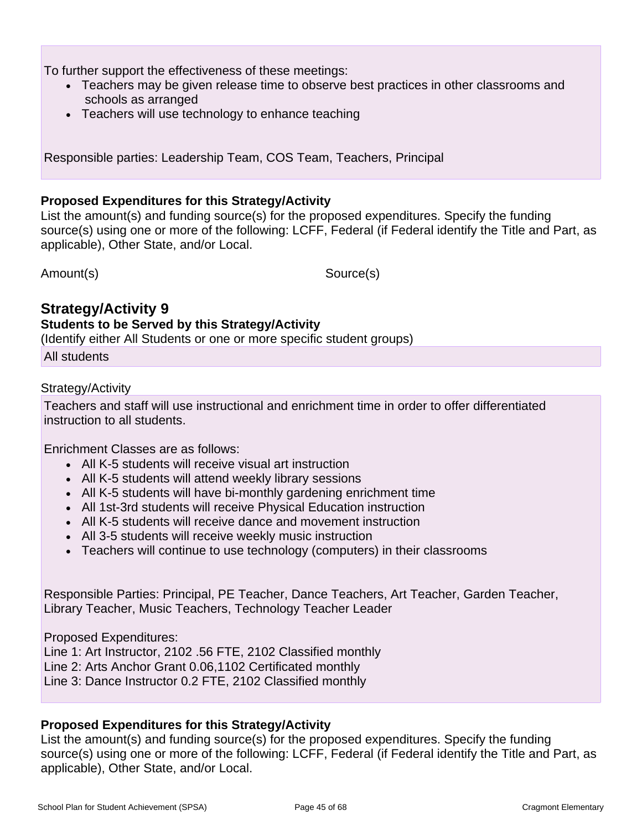To further support the effectiveness of these meetings:

- Teachers may be given release time to observe best practices in other classrooms and schools as arranged
- Teachers will use technology to enhance teaching

Responsible parties: Leadership Team, COS Team, Teachers, Principal

#### **Proposed Expenditures for this Strategy/Activity**

List the amount(s) and funding source(s) for the proposed expenditures. Specify the funding source(s) using one or more of the following: LCFF, Federal (if Federal identify the Title and Part, as applicable), Other State, and/or Local.

Amount(s) Source(s)

# **Strategy/Activity 9**

#### **Students to be Served by this Strategy/Activity**

(Identify either All Students or one or more specific student groups)

All students

#### Strategy/Activity

Teachers and staff will use instructional and enrichment time in order to offer differentiated instruction to all students.

Enrichment Classes are as follows:

- All K-5 students will receive visual art instruction
- All K-5 students will attend weekly library sessions
- All K-5 students will have bi-monthly gardening enrichment time
- All 1st-3rd students will receive Physical Education instruction
- All K-5 students will receive dance and movement instruction
- All 3-5 students will receive weekly music instruction
- Teachers will continue to use technology (computers) in their classrooms

Responsible Parties: Principal, PE Teacher, Dance Teachers, Art Teacher, Garden Teacher, Library Teacher, Music Teachers, Technology Teacher Leader

Proposed Expenditures: Line 1: Art Instructor, 2102 .56 FTE, 2102 Classified monthly Line 2: Arts Anchor Grant 0.06,1102 Certificated monthly Line 3: Dance Instructor 0.2 FTE, 2102 Classified monthly

### **Proposed Expenditures for this Strategy/Activity**

List the amount(s) and funding source(s) for the proposed expenditures. Specify the funding source(s) using one or more of the following: LCFF, Federal (if Federal identify the Title and Part, as applicable), Other State, and/or Local.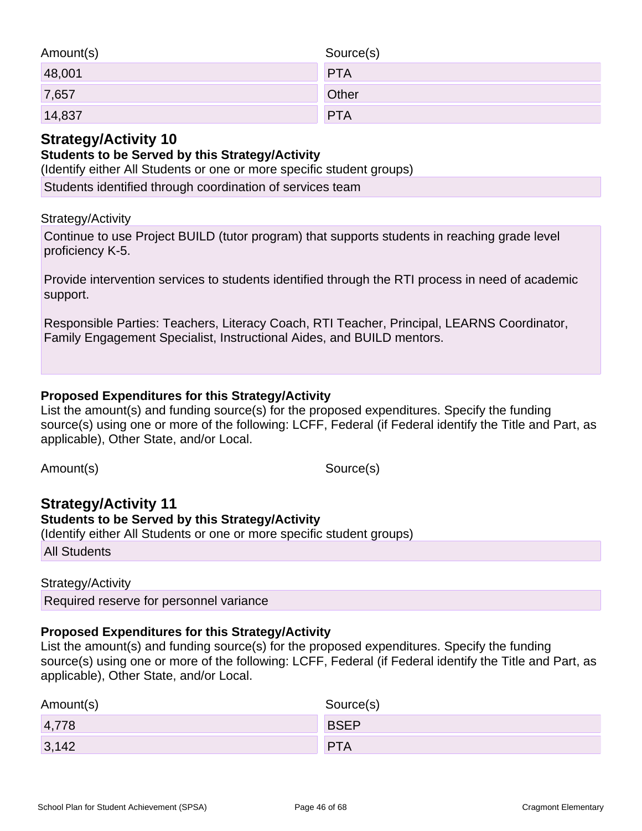| Amount(s) | Source(s)  |
|-----------|------------|
| 48,001    | <b>PTA</b> |
| 7,657     | Other      |
| 14,837    | <b>PTA</b> |

# **Strategy/Activity 10**

# **Students to be Served by this Strategy/Activity**

(Identify either All Students or one or more specific student groups)

Students identified through coordination of services team

### Strategy/Activity

Continue to use Project BUILD (tutor program) that supports students in reaching grade level proficiency K-5.

Provide intervention services to students identified through the RTI process in need of academic support.

Responsible Parties: Teachers, Literacy Coach, RTI Teacher, Principal, LEARNS Coordinator, Family Engagement Specialist, Instructional Aides, and BUILD mentors.

### **Proposed Expenditures for this Strategy/Activity**

List the amount(s) and funding source(s) for the proposed expenditures. Specify the funding source(s) using one or more of the following: LCFF, Federal (if Federal identify the Title and Part, as applicable), Other State, and/or Local.

Amount(s) Source(s)

# **Strategy/Activity 11 Students to be Served by this Strategy/Activity**

(Identify either All Students or one or more specific student groups) All Students

### Strategy/Activity

Required reserve for personnel variance

### **Proposed Expenditures for this Strategy/Activity**

List the amount(s) and funding source(s) for the proposed expenditures. Specify the funding source(s) using one or more of the following: LCFF, Federal (if Federal identify the Title and Part, as applicable), Other State, and/or Local.

| Amount(s) | Source(s)   |
|-----------|-------------|
| 4,778     | <b>BSEP</b> |
| 3,142     | <b>PTA</b>  |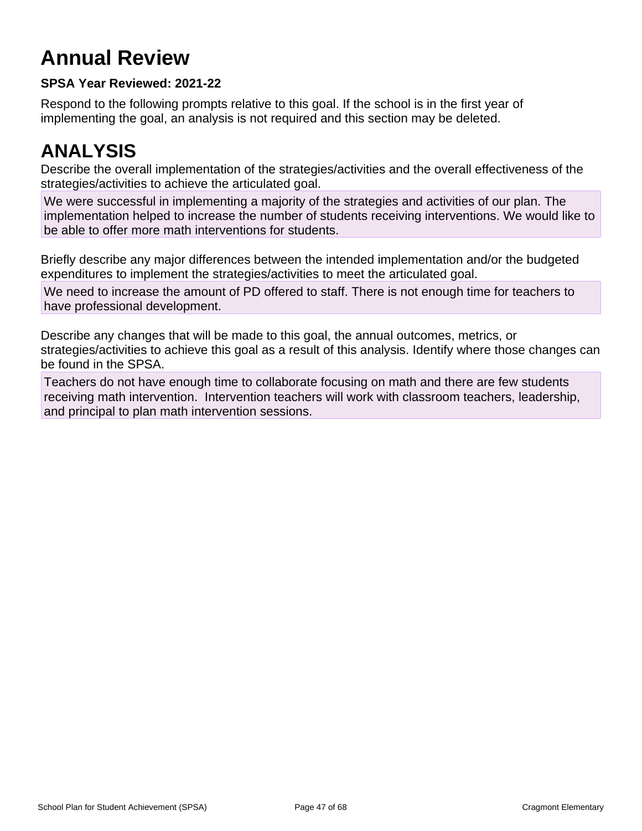# **Annual Review**

# **SPSA Year Reviewed: 2021-22**

Respond to the following prompts relative to this goal. If the school is in the first year of implementing the goal, an analysis is not required and this section may be deleted.

# **ANALYSIS**

Describe the overall implementation of the strategies/activities and the overall effectiveness of the strategies/activities to achieve the articulated goal.

We were successful in implementing a majority of the strategies and activities of our plan. The implementation helped to increase the number of students receiving interventions. We would like to be able to offer more math interventions for students.

Briefly describe any major differences between the intended implementation and/or the budgeted expenditures to implement the strategies/activities to meet the articulated goal.

We need to increase the amount of PD offered to staff. There is not enough time for teachers to have professional development.

Describe any changes that will be made to this goal, the annual outcomes, metrics, or strategies/activities to achieve this goal as a result of this analysis. Identify where those changes can be found in the SPSA.

Teachers do not have enough time to collaborate focusing on math and there are few students receiving math intervention. Intervention teachers will work with classroom teachers, leadership, and principal to plan math intervention sessions.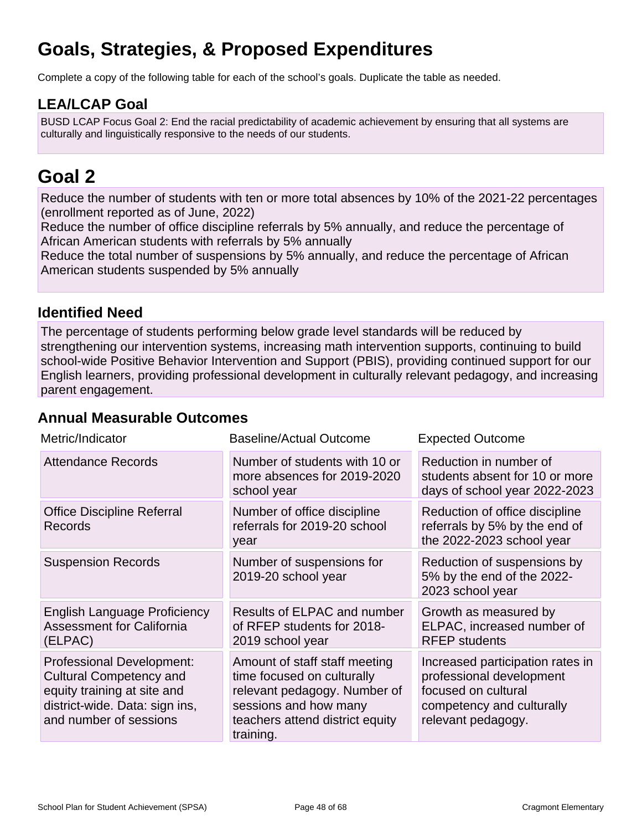# **Goals, Strategies, & Proposed Expenditures**

Complete a copy of the following table for each of the school's goals. Duplicate the table as needed.

# **LEA/LCAP Goal**

BUSD LCAP Focus Goal 2: End the racial predictability of academic achievement by ensuring that all systems are culturally and linguistically responsive to the needs of our students.

# **Goal 2**

Reduce the number of students with ten or more total absences by 10% of the 2021-22 percentages (enrollment reported as of June, 2022)

Reduce the number of office discipline referrals by 5% annually, and reduce the percentage of African American students with referrals by 5% annually

Reduce the total number of suspensions by 5% annually, and reduce the percentage of African American students suspended by 5% annually

# **Identified Need**

The percentage of students performing below grade level standards will be reduced by strengthening our intervention systems, increasing math intervention supports, continuing to build school-wide Positive Behavior Intervention and Support (PBIS), providing continued support for our English learners, providing professional development in culturally relevant pedagogy, and increasing parent engagement.

# **Annual Measurable Outcomes**

| Metric/Indicator                                                                                                                                       | <b>Baseline/Actual Outcome</b>                                                                                                                                       | <b>Expected Outcome</b>                                                                                                                |
|--------------------------------------------------------------------------------------------------------------------------------------------------------|----------------------------------------------------------------------------------------------------------------------------------------------------------------------|----------------------------------------------------------------------------------------------------------------------------------------|
| <b>Attendance Records</b>                                                                                                                              | Number of students with 10 or<br>more absences for 2019-2020<br>school year                                                                                          | Reduction in number of<br>students absent for 10 or more<br>days of school year 2022-2023                                              |
| <b>Office Discipline Referral</b><br><b>Records</b>                                                                                                    | Number of office discipline<br>referrals for 2019-20 school<br>year                                                                                                  | Reduction of office discipline<br>referrals by 5% by the end of<br>the 2022-2023 school year                                           |
| <b>Suspension Records</b>                                                                                                                              | Number of suspensions for<br>2019-20 school year                                                                                                                     | Reduction of suspensions by<br>5% by the end of the 2022-<br>2023 school year                                                          |
| <b>English Language Proficiency</b><br><b>Assessment for California</b><br>(ELPAC)                                                                     | Results of ELPAC and number<br>of RFEP students for 2018-<br>2019 school year                                                                                        | Growth as measured by<br>ELPAC, increased number of<br><b>RFEP</b> students                                                            |
| Professional Development:<br><b>Cultural Competency and</b><br>equity training at site and<br>district-wide. Data: sign ins,<br>and number of sessions | Amount of staff staff meeting<br>time focused on culturally<br>relevant pedagogy. Number of<br>sessions and how many<br>teachers attend district equity<br>training. | Increased participation rates in<br>professional development<br>focused on cultural<br>competency and culturally<br>relevant pedagogy. |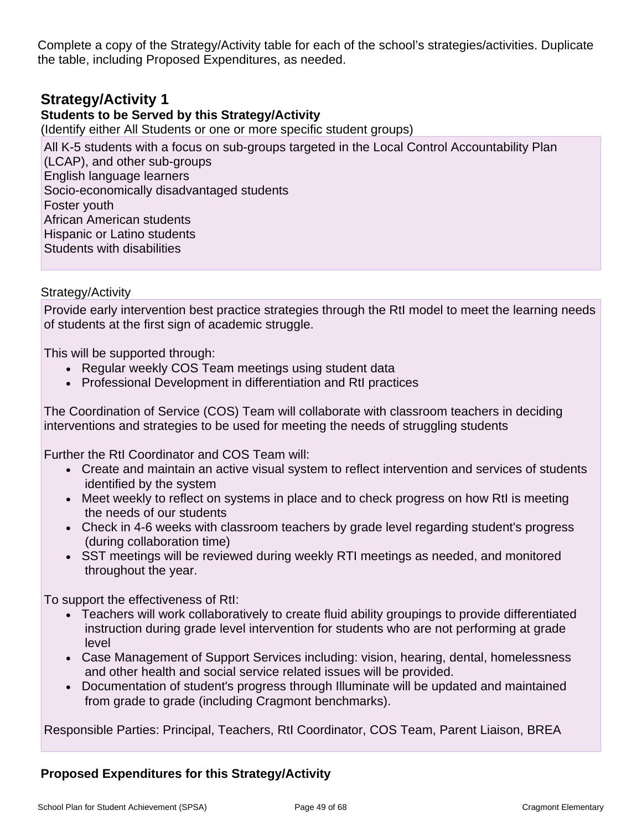Complete a copy of the Strategy/Activity table for each of the school's strategies/activities. Duplicate the table, including Proposed Expenditures, as needed.

# **Strategy/Activity 1**

### **Students to be Served by this Strategy/Activity**

(Identify either All Students or one or more specific student groups)

All K-5 students with a focus on sub-groups targeted in the Local Control Accountability Plan (LCAP), and other sub-groups English language learners Socio-economically disadvantaged students Foster youth African American students Hispanic or Latino students Students with disabilities

Strategy/Activity

Provide early intervention best practice strategies through the RtI model to meet the learning needs of students at the first sign of academic struggle.

This will be supported through:

- Regular weekly COS Team meetings using student data
- Professional Development in differentiation and RtI practices

The Coordination of Service (COS) Team will collaborate with classroom teachers in deciding interventions and strategies to be used for meeting the needs of struggling students

Further the RtI Coordinator and COS Team will:

- Create and maintain an active visual system to reflect intervention and services of students identified by the system
- Meet weekly to reflect on systems in place and to check progress on how RtI is meeting the needs of our students
- Check in 4-6 weeks with classroom teachers by grade level regarding student's progress (during collaboration time)
- SST meetings will be reviewed during weekly RTI meetings as needed, and monitored throughout the year.

To support the effectiveness of RtI:

- Teachers will work collaboratively to create fluid ability groupings to provide differentiated instruction during grade level intervention for students who are not performing at grade level
- Case Management of Support Services including: vision, hearing, dental, homelessness and other health and social service related issues will be provided.
- Documentation of student's progress through Illuminate will be updated and maintained from grade to grade (including Cragmont benchmarks).

Responsible Parties: Principal, Teachers, RtI Coordinator, COS Team, Parent Liaison, BREA

### **Proposed Expenditures for this Strategy/Activity**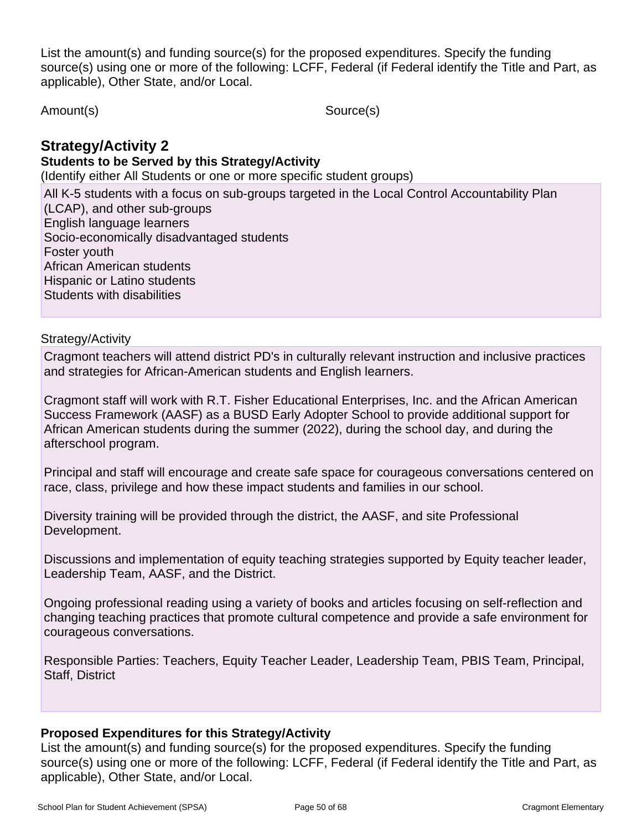List the amount(s) and funding source(s) for the proposed expenditures. Specify the funding source(s) using one or more of the following: LCFF, Federal (if Federal identify the Title and Part, as applicable), Other State, and/or Local.

Amount(s) Source(s)

# **Strategy/Activity 2**

#### **Students to be Served by this Strategy/Activity**

(Identify either All Students or one or more specific student groups)

All K-5 students with a focus on sub-groups targeted in the Local Control Accountability Plan (LCAP), and other sub-groups English language learners Socio-economically disadvantaged students Foster youth African American students Hispanic or Latino students Students with disabilities

### Strategy/Activity

Cragmont teachers will attend district PD's in culturally relevant instruction and inclusive practices and strategies for African-American students and English learners.

Cragmont staff will work with R.T. Fisher Educational Enterprises, Inc. and the African American Success Framework (AASF) as a BUSD Early Adopter School to provide additional support for African American students during the summer (2022), during the school day, and during the afterschool program.

Principal and staff will encourage and create safe space for courageous conversations centered on race, class, privilege and how these impact students and families in our school.

Diversity training will be provided through the district, the AASF, and site Professional Development.

Discussions and implementation of equity teaching strategies supported by Equity teacher leader, Leadership Team, AASF, and the District.

Ongoing professional reading using a variety of books and articles focusing on self-reflection and changing teaching practices that promote cultural competence and provide a safe environment for courageous conversations.

Responsible Parties: Teachers, Equity Teacher Leader, Leadership Team, PBIS Team, Principal, Staff, District

### **Proposed Expenditures for this Strategy/Activity**

List the amount(s) and funding source(s) for the proposed expenditures. Specify the funding source(s) using one or more of the following: LCFF, Federal (if Federal identify the Title and Part, as applicable), Other State, and/or Local.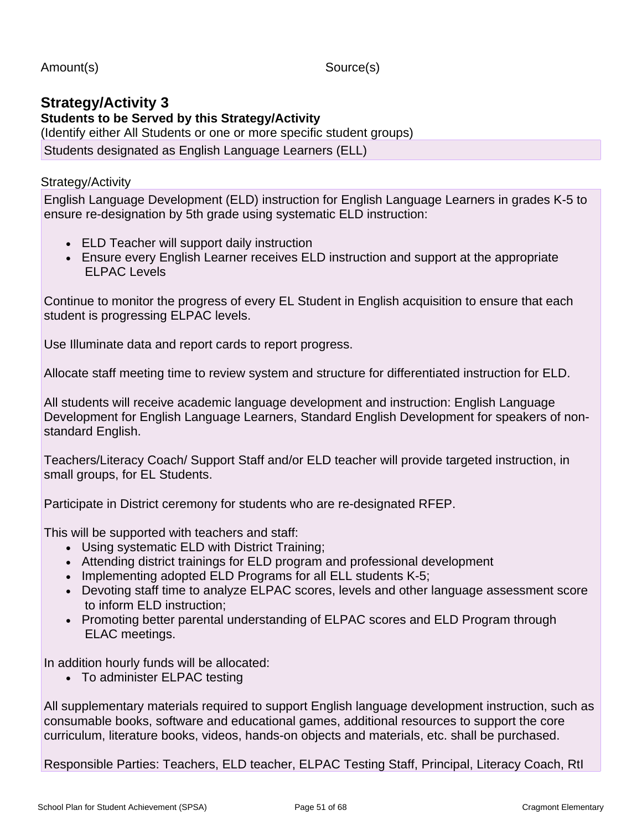Amount(s) Source(s)

# **Strategy/Activity 3 Students to be Served by this Strategy/Activity** (Identify either All Students or one or more specific student groups)

Students designated as English Language Learners (ELL)

### Strategy/Activity

English Language Development (ELD) instruction for English Language Learners in grades K-5 to ensure re-designation by 5th grade using systematic ELD instruction:

- ELD Teacher will support daily instruction
- Ensure every English Learner receives ELD instruction and support at the appropriate ELPAC Levels

Continue to monitor the progress of every EL Student in English acquisition to ensure that each student is progressing ELPAC levels.

Use Illuminate data and report cards to report progress.

Allocate staff meeting time to review system and structure for differentiated instruction for ELD.

All students will receive academic language development and instruction: English Language Development for English Language Learners, Standard English Development for speakers of nonstandard English.

Teachers/Literacy Coach/ Support Staff and/or ELD teacher will provide targeted instruction, in small groups, for EL Students.

Participate in District ceremony for students who are re-designated RFEP.

This will be supported with teachers and staff:

- Using systematic ELD with District Training;
- Attending district trainings for ELD program and professional development
- Implementing adopted ELD Programs for all ELL students K-5;
- Devoting staff time to analyze ELPAC scores, levels and other language assessment score to inform ELD instruction;
- Promoting better parental understanding of ELPAC scores and ELD Program through ELAC meetings.

In addition hourly funds will be allocated:

• To administer ELPAC testing

All supplementary materials required to support English language development instruction, such as consumable books, software and educational games, additional resources to support the core curriculum, literature books, videos, hands-on objects and materials, etc. shall be purchased.

Responsible Parties: Teachers, ELD teacher, ELPAC Testing Staff, Principal, Literacy Coach, RtI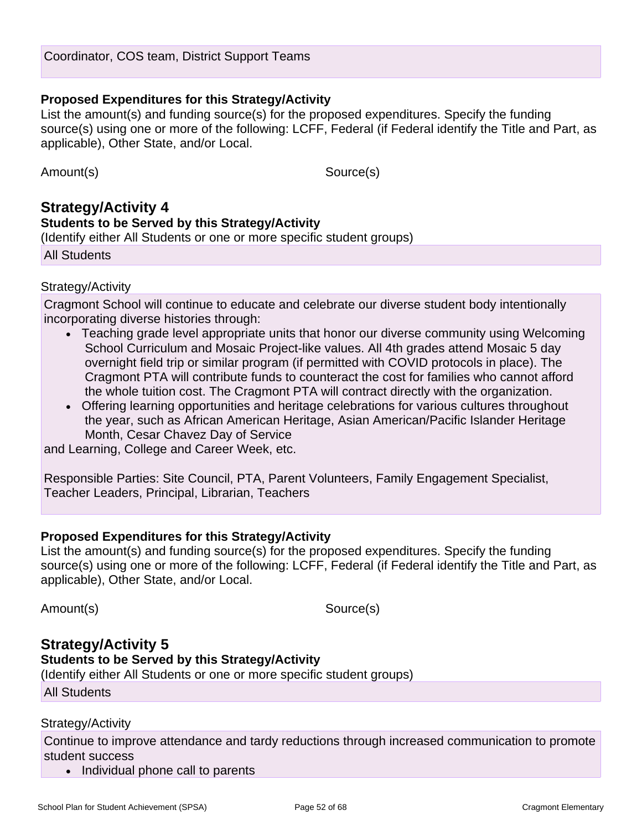#### **Proposed Expenditures for this Strategy/Activity**

List the amount(s) and funding source(s) for the proposed expenditures. Specify the funding source(s) using one or more of the following: LCFF, Federal (if Federal identify the Title and Part, as applicable), Other State, and/or Local.

Amount(s) Source(s)

# **Strategy/Activity 4 Students to be Served by this Strategy/Activity** (Identify either All Students or one or more specific student groups)

All Students

#### Strategy/Activity

Cragmont School will continue to educate and celebrate our diverse student body intentionally incorporating diverse histories through:

- Teaching grade level appropriate units that honor our diverse community using Welcoming School Curriculum and Mosaic Project-like values. All 4th grades attend Mosaic 5 day overnight field trip or similar program (if permitted with COVID protocols in place). The Cragmont PTA will contribute funds to counteract the cost for families who cannot afford the whole tuition cost. The Cragmont PTA will contract directly with the organization.
- Offering learning opportunities and heritage celebrations for various cultures throughout the year, such as African American Heritage, Asian American/Pacific Islander Heritage Month, Cesar Chavez Day of Service

and Learning, College and Career Week, etc.

Responsible Parties: Site Council, PTA, Parent Volunteers, Family Engagement Specialist, Teacher Leaders, Principal, Librarian, Teachers

### **Proposed Expenditures for this Strategy/Activity**

List the amount(s) and funding source(s) for the proposed expenditures. Specify the funding source(s) using one or more of the following: LCFF, Federal (if Federal identify the Title and Part, as applicable), Other State, and/or Local.

Amount(s) Source(s)

# **Strategy/Activity 5 Students to be Served by this Strategy/Activity**

(Identify either All Students or one or more specific student groups)

All Students

### Strategy/Activity

Continue to improve attendance and tardy reductions through increased communication to promote student success

• Individual phone call to parents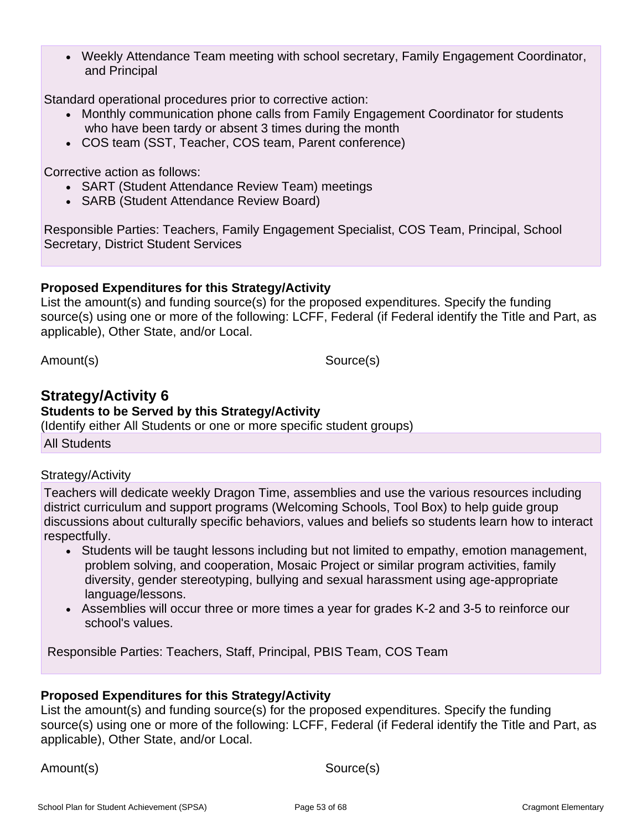• Weekly Attendance Team meeting with school secretary, Family Engagement Coordinator, and Principal

Standard operational procedures prior to corrective action:

- Monthly communication phone calls from Family Engagement Coordinator for students who have been tardy or absent 3 times during the month
- COS team (SST, Teacher, COS team, Parent conference)

Corrective action as follows:

- SART (Student Attendance Review Team) meetings
- SARB (Student Attendance Review Board)

Responsible Parties: Teachers, Family Engagement Specialist, COS Team, Principal, School Secretary, District Student Services

### **Proposed Expenditures for this Strategy/Activity**

List the amount(s) and funding source(s) for the proposed expenditures. Specify the funding source(s) using one or more of the following: LCFF, Federal (if Federal identify the Title and Part, as applicable), Other State, and/or Local.

Amount(s) Source(s)

# **Strategy/Activity 6**

**Students to be Served by this Strategy/Activity**

(Identify either All Students or one or more specific student groups)

All Students

#### Strategy/Activity

Teachers will dedicate weekly Dragon Time, assemblies and use the various resources including district curriculum and support programs (Welcoming Schools, Tool Box) to help guide group discussions about culturally specific behaviors, values and beliefs so students learn how to interact respectfully.

- Students will be taught lessons including but not limited to empathy, emotion management, problem solving, and cooperation, Mosaic Project or similar program activities, family diversity, gender stereotyping, bullying and sexual harassment using age-appropriate language/lessons.
- Assemblies will occur three or more times a year for grades K-2 and 3-5 to reinforce our school's values.

Responsible Parties: Teachers, Staff, Principal, PBIS Team, COS Team

#### **Proposed Expenditures for this Strategy/Activity**

List the amount(s) and funding source(s) for the proposed expenditures. Specify the funding source(s) using one or more of the following: LCFF, Federal (if Federal identify the Title and Part, as applicable), Other State, and/or Local.

Amount(s) Source(s)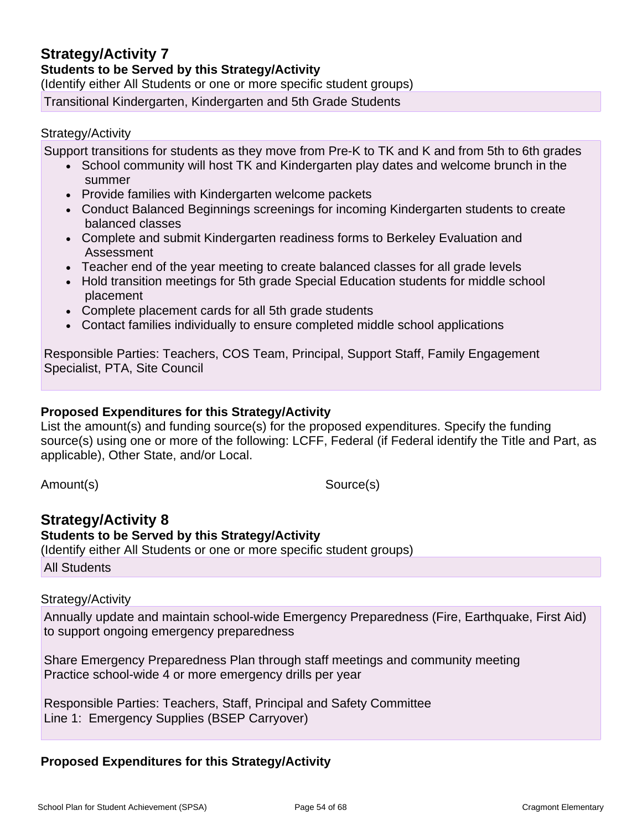# **Strategy/Activity 7**

**Students to be Served by this Strategy/Activity**

(Identify either All Students or one or more specific student groups)

Transitional Kindergarten, Kindergarten and 5th Grade Students

#### Strategy/Activity

Support transitions for students as they move from Pre-K to TK and K and from 5th to 6th grades

- School community will host TK and Kindergarten play dates and welcome brunch in the summer
- Provide families with Kindergarten welcome packets
- Conduct Balanced Beginnings screenings for incoming Kindergarten students to create balanced classes
- Complete and submit Kindergarten readiness forms to Berkeley Evaluation and Assessment
- Teacher end of the year meeting to create balanced classes for all grade levels
- Hold transition meetings for 5th grade Special Education students for middle school placement
- Complete placement cards for all 5th grade students
- Contact families individually to ensure completed middle school applications

Responsible Parties: Teachers, COS Team, Principal, Support Staff, Family Engagement Specialist, PTA, Site Council

#### **Proposed Expenditures for this Strategy/Activity**

List the amount(s) and funding source(s) for the proposed expenditures. Specify the funding source(s) using one or more of the following: LCFF, Federal (if Federal identify the Title and Part, as applicable), Other State, and/or Local.

Amount(s) Source(s)

# **Strategy/Activity 8**

**Students to be Served by this Strategy/Activity**

(Identify either All Students or one or more specific student groups)

All Students

#### Strategy/Activity

Annually update and maintain school-wide Emergency Preparedness (Fire, Earthquake, First Aid) to support ongoing emergency preparedness

Share Emergency Preparedness Plan through staff meetings and community meeting Practice school-wide 4 or more emergency drills per year

Responsible Parties: Teachers, Staff, Principal and Safety Committee Line 1: Emergency Supplies (BSEP Carryover)

### **Proposed Expenditures for this Strategy/Activity**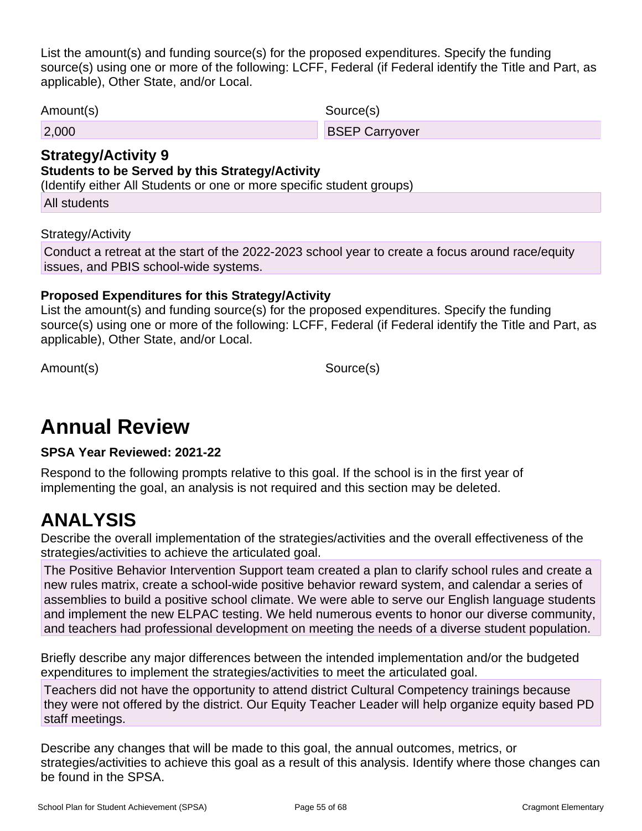List the amount(s) and funding source(s) for the proposed expenditures. Specify the funding source(s) using one or more of the following: LCFF, Federal (if Federal identify the Title and Part, as applicable), Other State, and/or Local.

Amount(s) Source(s)

2,000 BSEP Carryover

# **Strategy/Activity 9**

# **Students to be Served by this Strategy/Activity**

(Identify either All Students or one or more specific student groups)

All students

### Strategy/Activity

Conduct a retreat at the start of the 2022-2023 school year to create a focus around race/equity issues, and PBIS school-wide systems.

### **Proposed Expenditures for this Strategy/Activity**

List the amount(s) and funding source(s) for the proposed expenditures. Specify the funding source(s) using one or more of the following: LCFF, Federal (if Federal identify the Title and Part, as applicable), Other State, and/or Local.

Amount(s) Source(s)

# **Annual Review**

**SPSA Year Reviewed: 2021-22**

Respond to the following prompts relative to this goal. If the school is in the first year of implementing the goal, an analysis is not required and this section may be deleted.

# **ANALYSIS**

Describe the overall implementation of the strategies/activities and the overall effectiveness of the strategies/activities to achieve the articulated goal.

The Positive Behavior Intervention Support team created a plan to clarify school rules and create a new rules matrix, create a school-wide positive behavior reward system, and calendar a series of assemblies to build a positive school climate. We were able to serve our English language students and implement the new ELPAC testing. We held numerous events to honor our diverse community, and teachers had professional development on meeting the needs of a diverse student population.

Briefly describe any major differences between the intended implementation and/or the budgeted expenditures to implement the strategies/activities to meet the articulated goal.

Teachers did not have the opportunity to attend district Cultural Competency trainings because they were not offered by the district. Our Equity Teacher Leader will help organize equity based PD staff meetings.

Describe any changes that will be made to this goal, the annual outcomes, metrics, or strategies/activities to achieve this goal as a result of this analysis. Identify where those changes can be found in the SPSA.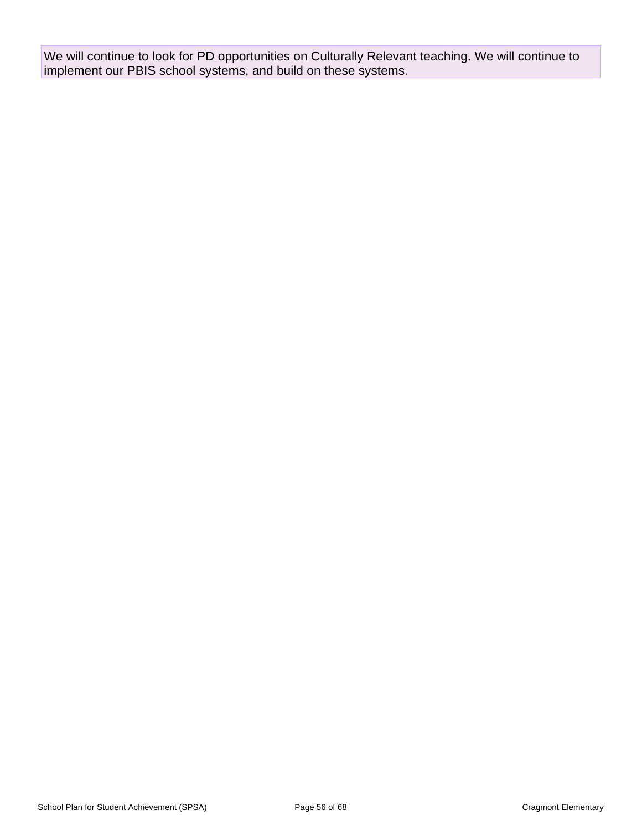We will continue to look for PD opportunities on Culturally Relevant teaching. We will continue to implement our PBIS school systems, and build on these systems.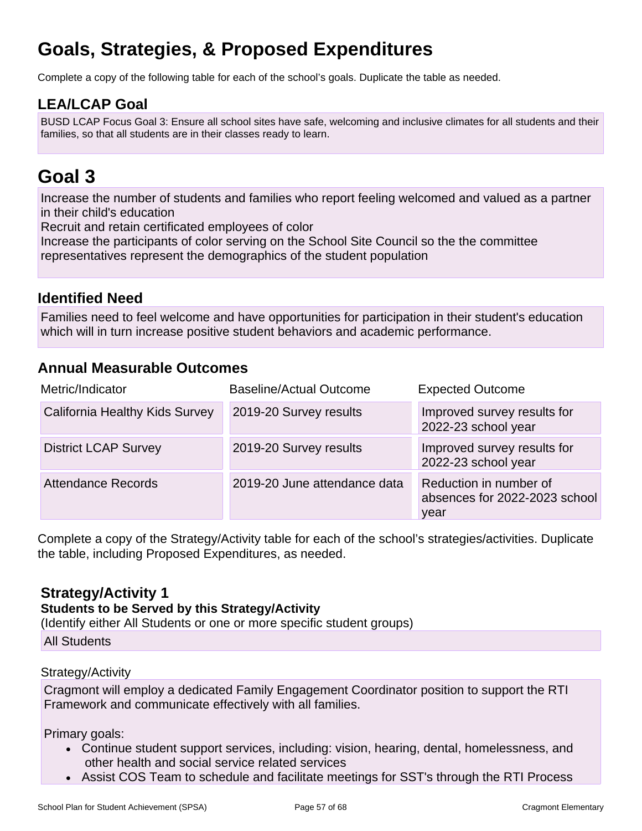# **Goals, Strategies, & Proposed Expenditures**

Complete a copy of the following table for each of the school's goals. Duplicate the table as needed.

# **LEA/LCAP Goal**

BUSD LCAP Focus Goal 3: Ensure all school sites have safe, welcoming and inclusive climates for all students and their families, so that all students are in their classes ready to learn.

# **Goal 3**

Increase the number of students and families who report feeling welcomed and valued as a partner in their child's education

Recruit and retain certificated employees of color

Increase the participants of color serving on the School Site Council so the the committee representatives represent the demographics of the student population

# **Identified Need**

Families need to feel welcome and have opportunities for participation in their student's education which will in turn increase positive student behaviors and academic performance.

# **Annual Measurable Outcomes**

| Metric/Indicator               | <b>Baseline/Actual Outcome</b> | <b>Expected Outcome</b>                                         |
|--------------------------------|--------------------------------|-----------------------------------------------------------------|
| California Healthy Kids Survey | 2019-20 Survey results         | Improved survey results for<br>2022-23 school year              |
| <b>District LCAP Survey</b>    | 2019-20 Survey results         | Improved survey results for<br>2022-23 school year              |
| <b>Attendance Records</b>      | 2019-20 June attendance data   | Reduction in number of<br>absences for 2022-2023 school<br>year |

Complete a copy of the Strategy/Activity table for each of the school's strategies/activities. Duplicate the table, including Proposed Expenditures, as needed.

# **Strategy/Activity 1**

### **Students to be Served by this Strategy/Activity**

(Identify either All Students or one or more specific student groups)

All Students

### Strategy/Activity

Cragmont will employ a dedicated Family Engagement Coordinator position to support the RTI Framework and communicate effectively with all families.

Primary goals:

- Continue student support services, including: vision, hearing, dental, homelessness, and other health and social service related services
- Assist COS Team to schedule and facilitate meetings for SST's through the RTI Process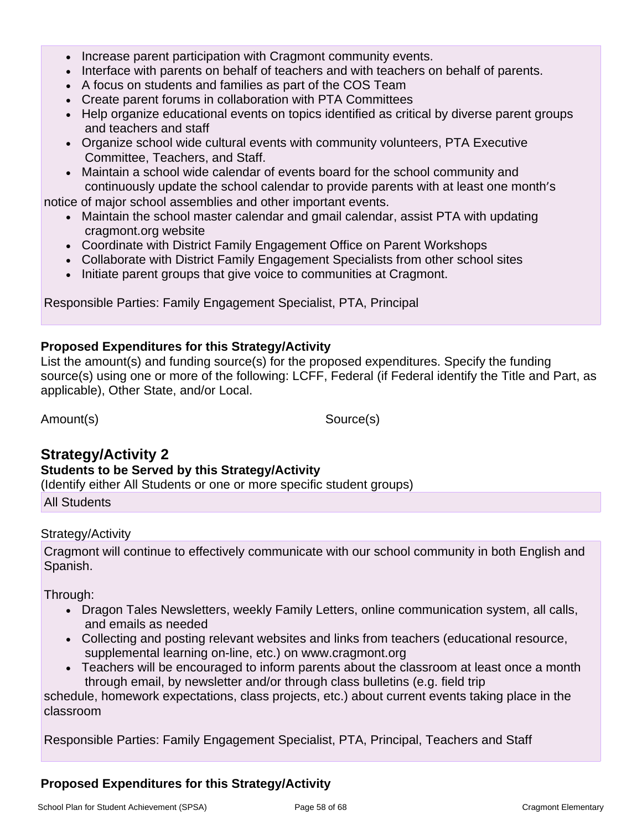- Increase parent participation with Cragmont community events.
- Interface with parents on behalf of teachers and with teachers on behalf of parents.
- A focus on students and families as part of the COS Team
- Create parent forums in collaboration with PTA Committees
- Help organize educational events on topics identified as critical by diverse parent groups and teachers and staff
- Organize school wide cultural events with community volunteers, PTA Executive Committee, Teachers, and Staff.
- Maintain a school wide calendar of events board for the school community and continuously update the school calendar to provide parents with at least one month's notice of major school assemblies and other important events.
	- Maintain the school master calendar and gmail calendar, assist PTA with updating cragmont.org website
	- Coordinate with District Family Engagement Office on Parent Workshops
	- Collaborate with District Family Engagement Specialists from other school sites
	- Initiate parent groups that give voice to communities at Cragmont.

Responsible Parties: Family Engagement Specialist, PTA, Principal

### **Proposed Expenditures for this Strategy/Activity**

List the amount(s) and funding source(s) for the proposed expenditures. Specify the funding source(s) using one or more of the following: LCFF, Federal (if Federal identify the Title and Part, as applicable), Other State, and/or Local.

Amount(s) Source(s)

# **Strategy/Activity 2**

### **Students to be Served by this Strategy/Activity**

(Identify either All Students or one or more specific student groups)

All Students

### Strategy/Activity

Cragmont will continue to effectively communicate with our school community in both English and Spanish.

Through:

- Dragon Tales Newsletters, weekly Family Letters, online communication system, all calls, and emails as needed
- Collecting and posting relevant websites and links from teachers (educational resource, supplemental learning on-line, etc.) on www.cragmont.org
- Teachers will be encouraged to inform parents about the classroom at least once a month through email, by newsletter and/or through class bulletins (e.g. field trip

schedule, homework expectations, class projects, etc.) about current events taking place in the classroom

Responsible Parties: Family Engagement Specialist, PTA, Principal, Teachers and Staff

# **Proposed Expenditures for this Strategy/Activity**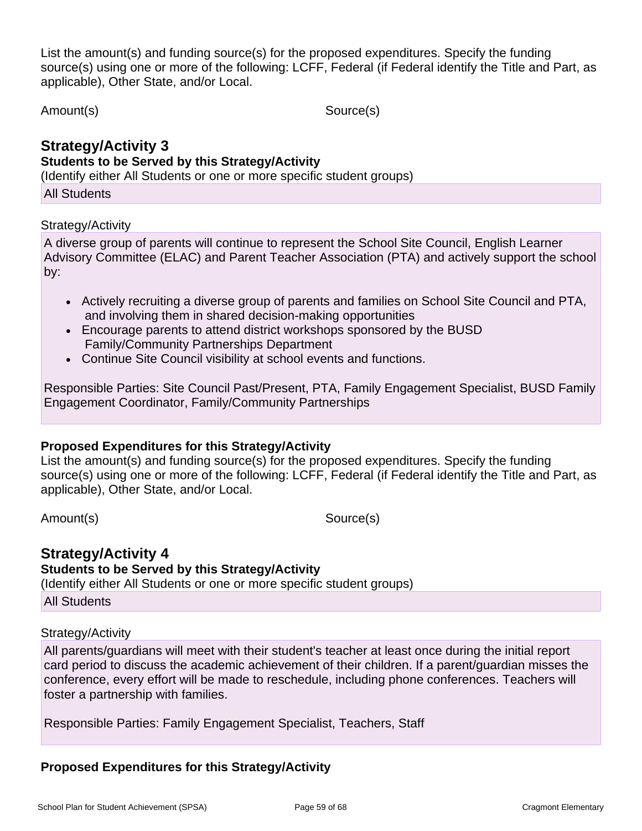List the amount(s) and funding source(s) for the proposed expenditures. Specify the funding source(s) using one or more of the following: LCFF, Federal (if Federal identify the Title and Part, as applicable), Other State, and/or Local.

Amount(s) Source(s)

#### **Strategy/Activity 3 Students to be Served by this Strategy/Activity**

(Identify either All Students or one or more specific student groups)

All Students

### Strategy/Activity

A diverse group of parents will continue to represent the School Site Council, English Learner Advisory Committee (ELAC) and Parent Teacher Association (PTA) and actively support the school by:

- Actively recruiting a diverse group of parents and families on School Site Council and PTA, and involving them in shared decision-making opportunities
- Encourage parents to attend district workshops sponsored by the BUSD Family/Community Partnerships Department
- Continue Site Council visibility at school events and functions.

Responsible Parties: Site Council Past/Present, PTA, Family Engagement Specialist, BUSD Family Engagement Coordinator, Family/Community Partnerships

### **Proposed Expenditures for this Strategy/Activity**

List the amount(s) and funding source(s) for the proposed expenditures. Specify the funding source(s) using one or more of the following: LCFF, Federal (if Federal identify the Title and Part, as applicable), Other State, and/or Local.

Amount(s) Source(s)

# **Strategy/Activity 4**

**Students to be Served by this Strategy/Activity**

(Identify either All Students or one or more specific student groups)

All Students

### Strategy/Activity

All parents/guardians will meet with their student's teacher at least once during the initial report card period to discuss the academic achievement of their children. If a parent/guardian misses the conference, every effort will be made to reschedule, including phone conferences. Teachers will foster a partnership with families.

Responsible Parties: Family Engagement Specialist, Teachers, Staff

# **Proposed Expenditures for this Strategy/Activity**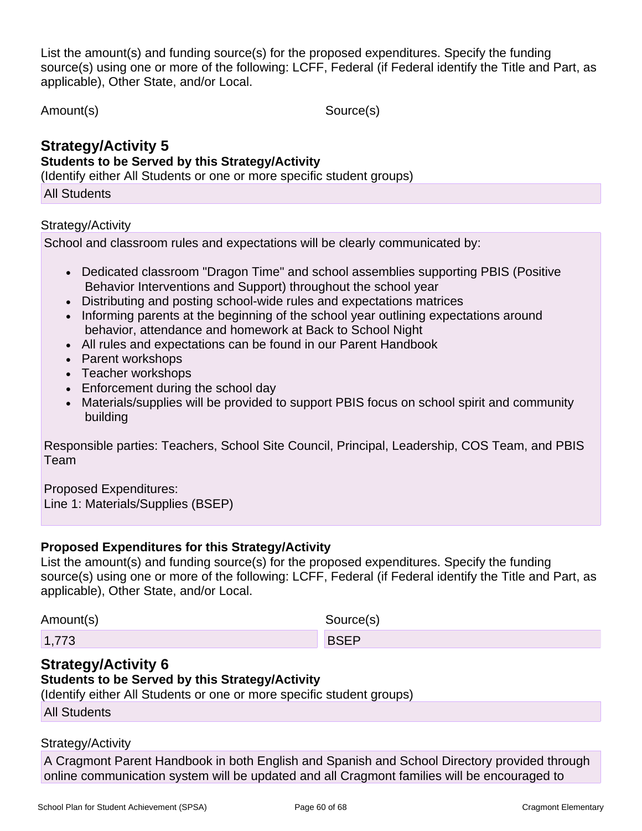List the amount(s) and funding source(s) for the proposed expenditures. Specify the funding source(s) using one or more of the following: LCFF, Federal (if Federal identify the Title and Part, as applicable), Other State, and/or Local.

Amount(s) Source(s)

# **Strategy/Activity 5 Students to be Served by this Strategy/Activity**

(Identify either All Students or one or more specific student groups)

All Students

### Strategy/Activity

School and classroom rules and expectations will be clearly communicated by:

- Dedicated classroom "Dragon Time" and school assemblies supporting PBIS (Positive Behavior Interventions and Support) throughout the school year
- Distributing and posting school-wide rules and expectations matrices
- Informing parents at the beginning of the school year outlining expectations around behavior, attendance and homework at Back to School Night
- All rules and expectations can be found in our Parent Handbook
- Parent workshops
- Teacher workshops
- Enforcement during the school day
- Materials/supplies will be provided to support PBIS focus on school spirit and community building

Responsible parties: Teachers, School Site Council, Principal, Leadership, COS Team, and PBIS Team

Proposed Expenditures: Line 1: Materials/Supplies (BSEP)

# **Proposed Expenditures for this Strategy/Activity**

List the amount(s) and funding source(s) for the proposed expenditures. Specify the funding source(s) using one or more of the following: LCFF, Federal (if Federal identify the Title and Part, as applicable), Other State, and/or Local.

Amount(s) Source(s)

1,773 BSEP

# **Strategy/Activity 6**

# **Students to be Served by this Strategy/Activity**

(Identify either All Students or one or more specific student groups)

All Students

# Strategy/Activity

A Cragmont Parent Handbook in both English and Spanish and School Directory provided through online communication system will be updated and all Cragmont families will be encouraged to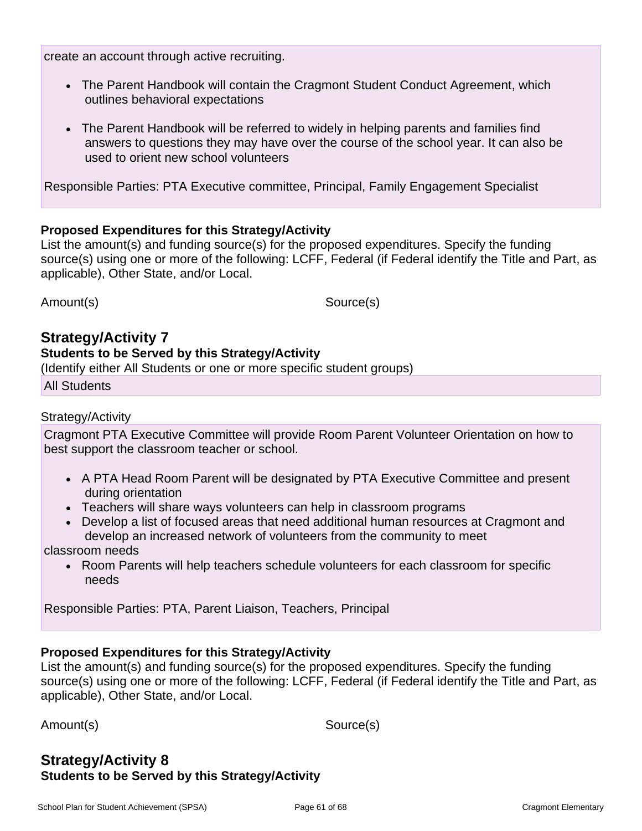create an account through active recruiting.

- The Parent Handbook will contain the Cragmont Student Conduct Agreement, which outlines behavioral expectations
- The Parent Handbook will be referred to widely in helping parents and families find answers to questions they may have over the course of the school year. It can also be used to orient new school volunteers

Responsible Parties: PTA Executive committee, Principal, Family Engagement Specialist

#### **Proposed Expenditures for this Strategy/Activity**

List the amount(s) and funding source(s) for the proposed expenditures. Specify the funding source(s) using one or more of the following: LCFF, Federal (if Federal identify the Title and Part, as applicable), Other State, and/or Local.

Amount(s) Source(s)

# **Strategy/Activity 7**

#### **Students to be Served by this Strategy/Activity**

(Identify either All Students or one or more specific student groups)

All Students

#### Strategy/Activity

Cragmont PTA Executive Committee will provide Room Parent Volunteer Orientation on how to best support the classroom teacher or school.

- A PTA Head Room Parent will be designated by PTA Executive Committee and present during orientation
- Teachers will share ways volunteers can help in classroom programs
- Develop a list of focused areas that need additional human resources at Cragmont and develop an increased network of volunteers from the community to meet

classroom needs

• Room Parents will help teachers schedule volunteers for each classroom for specific needs

Responsible Parties: PTA, Parent Liaison, Teachers, Principal

### **Proposed Expenditures for this Strategy/Activity**

List the amount(s) and funding source(s) for the proposed expenditures. Specify the funding source(s) using one or more of the following: LCFF, Federal (if Federal identify the Title and Part, as applicable), Other State, and/or Local.

Amount(s) Source(s)

# **Strategy/Activity 8 Students to be Served by this Strategy/Activity**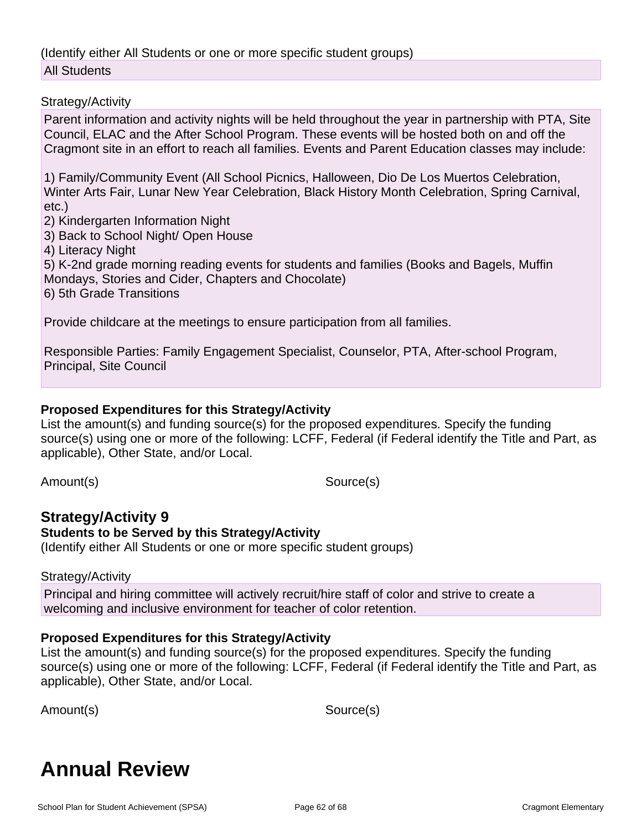(Identify either All Students or one or more specific student groups) All Students

#### Strategy/Activity

Parent information and activity nights will be held throughout the year in partnership with PTA, Site Council, ELAC and the After School Program. These events will be hosted both on and off the Cragmont site in an effort to reach all families. Events and Parent Education classes may include:

1) Family/Community Event (All School Picnics, Halloween, Dio De Los Muertos Celebration, Winter Arts Fair, Lunar New Year Celebration, Black History Month Celebration, Spring Carnival, etc.)

2) Kindergarten Information Night

3) Back to School Night/ Open House

4) Literacy Night

5) K-2nd grade morning reading events for students and families (Books and Bagels, Muffin Mondays, Stories and Cider, Chapters and Chocolate)

6) 5th Grade Transitions

Provide childcare at the meetings to ensure participation from all families.

Responsible Parties: Family Engagement Specialist, Counselor, PTA, After-school Program, Principal, Site Council

### **Proposed Expenditures for this Strategy/Activity**

List the amount(s) and funding source(s) for the proposed expenditures. Specify the funding source(s) using one or more of the following: LCFF, Federal (if Federal identify the Title and Part, as applicable), Other State, and/or Local.

Amount(s) Source(s)

#### **Strategy/Activity 9 Students to be Served by this Strategy/Activity**

(Identify either All Students or one or more specific student groups)

### Strategy/Activity

Principal and hiring committee will actively recruit/hire staff of color and strive to create a welcoming and inclusive environment for teacher of color retention.

### **Proposed Expenditures for this Strategy/Activity**

List the amount(s) and funding source(s) for the proposed expenditures. Specify the funding source(s) using one or more of the following: LCFF, Federal (if Federal identify the Title and Part, as applicable), Other State, and/or Local.

Amount(s) Source(s)

# **Annual Review**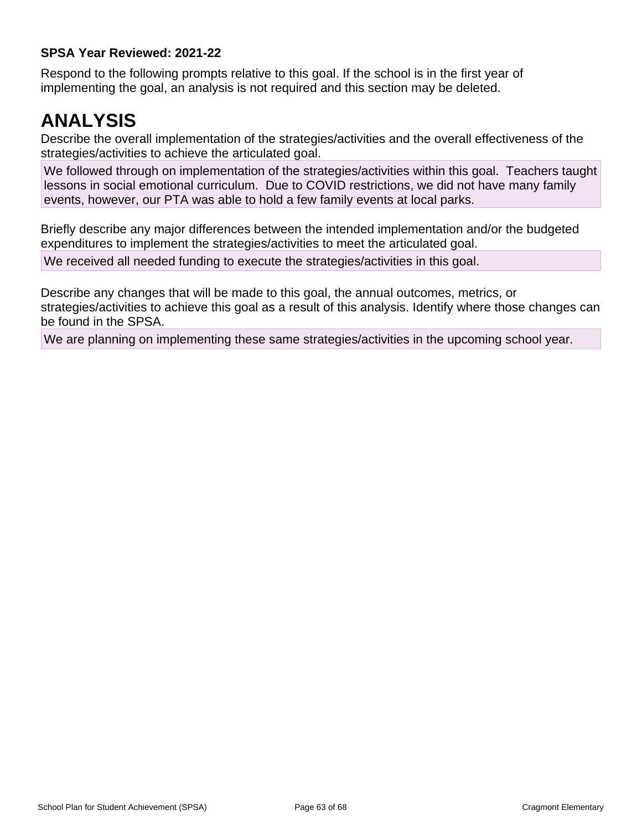### **SPSA Year Reviewed: 2021-22**

Respond to the following prompts relative to this goal. If the school is in the first year of implementing the goal, an analysis is not required and this section may be deleted.

# **ANALYSIS**

Describe the overall implementation of the strategies/activities and the overall effectiveness of the strategies/activities to achieve the articulated goal.

We followed through on implementation of the strategies/activities within this goal. Teachers taught lessons in social emotional curriculum. Due to COVID restrictions, we did not have many family events, however, our PTA was able to hold a few family events at local parks.

Briefly describe any major differences between the intended implementation and/or the budgeted expenditures to implement the strategies/activities to meet the articulated goal.

We received all needed funding to execute the strategies/activities in this goal.

Describe any changes that will be made to this goal, the annual outcomes, metrics, or strategies/activities to achieve this goal as a result of this analysis. Identify where those changes can be found in the SPSA.

We are planning on implementing these same strategies/activities in the upcoming school year.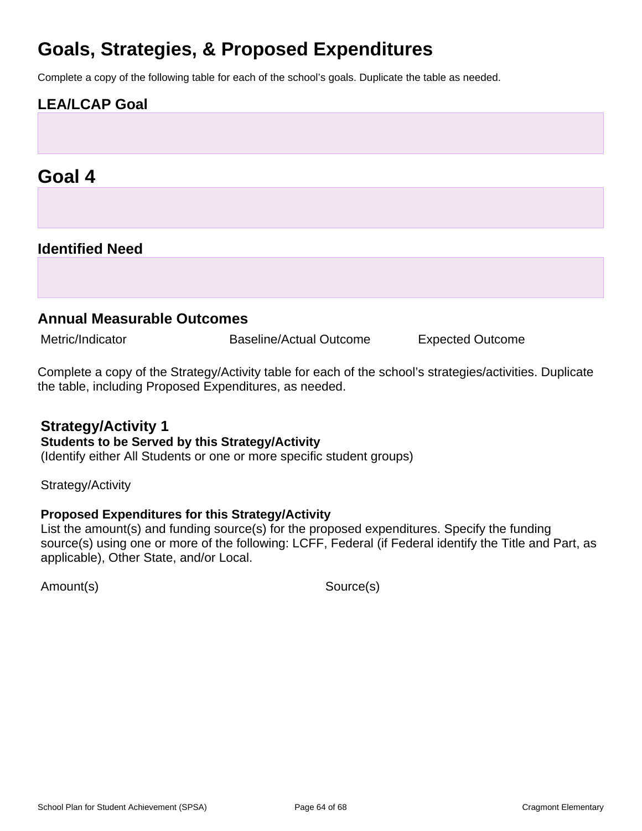# **Goals, Strategies, & Proposed Expenditures**

Complete a copy of the following table for each of the school's goals. Duplicate the table as needed.

# **LEA/LCAP Goal**

# **Goal 4**

# **Identified Need**

# **Annual Measurable Outcomes**

Metric/Indicator **Baseline/Actual Outcome** Expected Outcome

Complete a copy of the Strategy/Activity table for each of the school's strategies/activities. Duplicate the table, including Proposed Expenditures, as needed.

# **Strategy/Activity 1**

#### **Students to be Served by this Strategy/Activity**

(Identify either All Students or one or more specific student groups)

Strategy/Activity

### **Proposed Expenditures for this Strategy/Activity**

List the amount(s) and funding source(s) for the proposed expenditures. Specify the funding source(s) using one or more of the following: LCFF, Federal (if Federal identify the Title and Part, as applicable), Other State, and/or Local.

Amount(s) Source(s)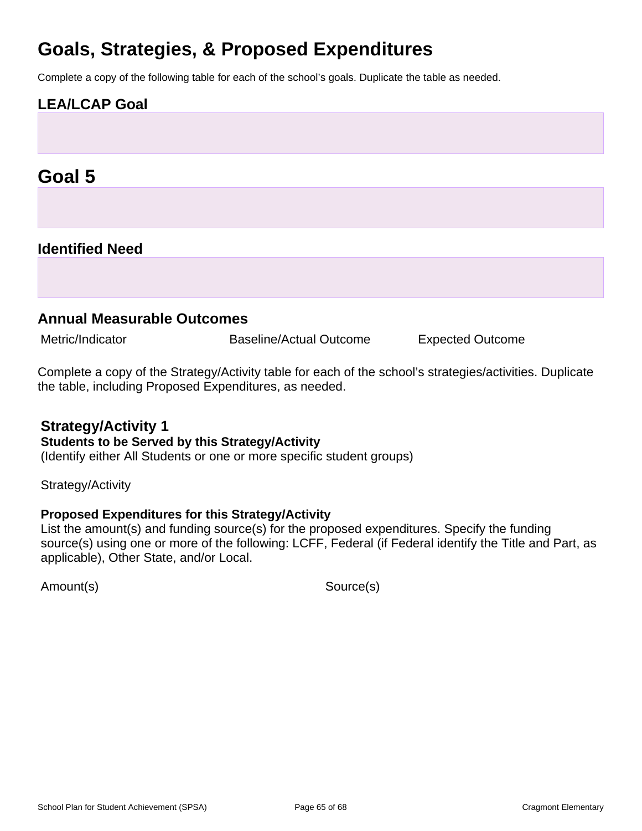# **Goals, Strategies, & Proposed Expenditures**

Complete a copy of the following table for each of the school's goals. Duplicate the table as needed.

# **LEA/LCAP Goal**

# **Goal 5**

# **Identified Need**

# **Annual Measurable Outcomes**

Metric/Indicator **Baseline/Actual Outcome** Expected Outcome

Complete a copy of the Strategy/Activity table for each of the school's strategies/activities. Duplicate the table, including Proposed Expenditures, as needed.

# **Strategy/Activity 1**

#### **Students to be Served by this Strategy/Activity**

(Identify either All Students or one or more specific student groups)

Strategy/Activity

### **Proposed Expenditures for this Strategy/Activity**

List the amount(s) and funding source(s) for the proposed expenditures. Specify the funding source(s) using one or more of the following: LCFF, Federal (if Federal identify the Title and Part, as applicable), Other State, and/or Local.

Amount(s) Source(s)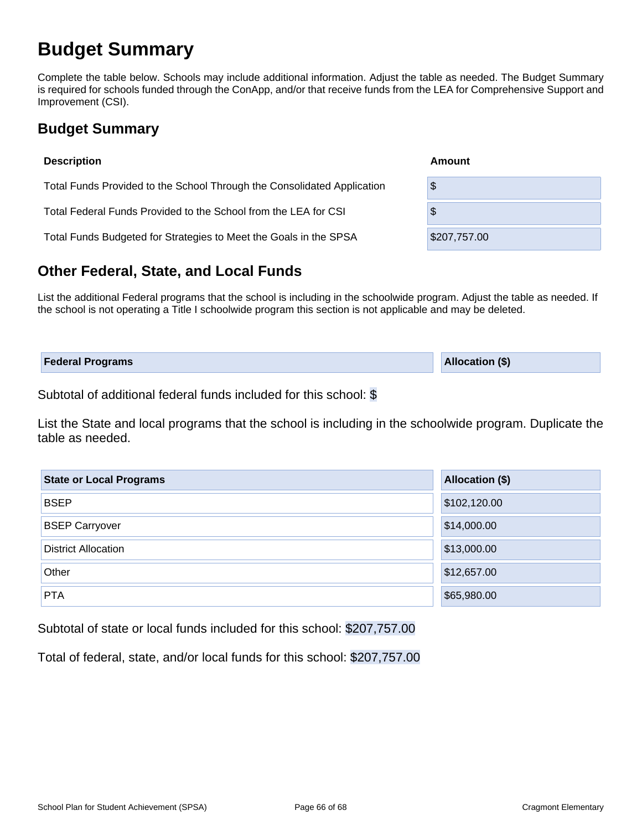# **Budget Summary**

Complete the table below. Schools may include additional information. Adjust the table as needed. The Budget Summary is required for schools funded through the ConApp, and/or that receive funds from the LEA for Comprehensive Support and Improvement (CSI).

# **Budget Summary**

| <b>Description</b>                                                      | Amount       |  |  |  |  |  |
|-------------------------------------------------------------------------|--------------|--|--|--|--|--|
| Total Funds Provided to the School Through the Consolidated Application | \$           |  |  |  |  |  |
| Total Federal Funds Provided to the School from the LEA for CSI         | \$           |  |  |  |  |  |
| Total Funds Budgeted for Strategies to Meet the Goals in the SPSA       | \$207,757.00 |  |  |  |  |  |

# **Other Federal, State, and Local Funds**

List the additional Federal programs that the school is including in the schoolwide program. Adjust the table as needed. If the school is not operating a Title I schoolwide program this section is not applicable and may be deleted.

| <b>Federal Programs</b> | <b>Allocation (\$)</b> |
|-------------------------|------------------------|
|                         |                        |

Subtotal of additional federal funds included for this school: \$

List the State and local programs that the school is including in the schoolwide program. Duplicate the table as needed.

| <b>State or Local Programs</b> | Allocation (\$) |  |  |  |  |  |
|--------------------------------|-----------------|--|--|--|--|--|
| <b>BSEP</b>                    | \$102,120.00    |  |  |  |  |  |
| <b>BSEP Carryover</b>          | \$14,000.00     |  |  |  |  |  |
| <b>District Allocation</b>     | \$13,000.00     |  |  |  |  |  |
| Other                          | \$12,657.00     |  |  |  |  |  |
| <b>PTA</b>                     | \$65,980.00     |  |  |  |  |  |

Subtotal of state or local funds included for this school: \$207,757.00

Total of federal, state, and/or local funds for this school: \$207,757.00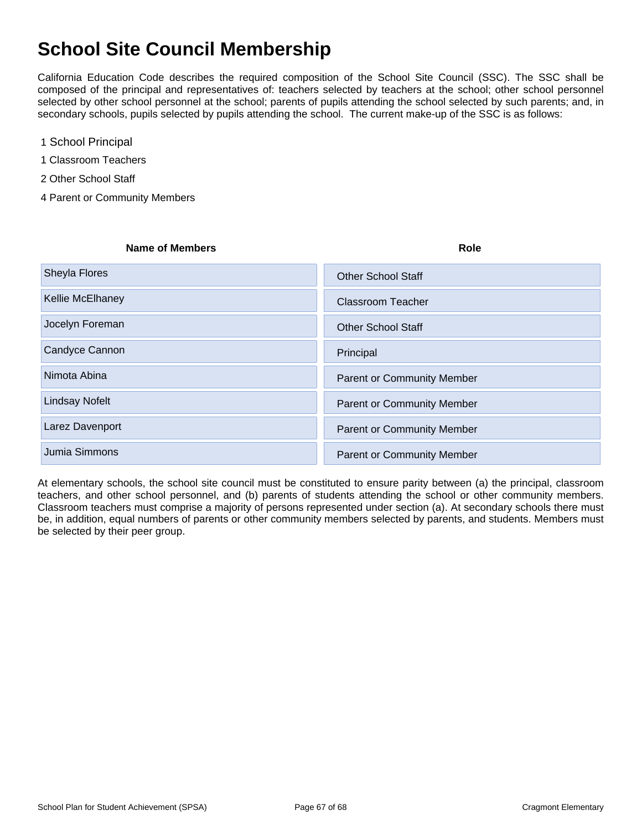# **School Site Council Membership**

California Education Code describes the required composition of the School Site Council (SSC). The SSC shall be composed of the principal and representatives of: teachers selected by teachers at the school; other school personnel selected by other school personnel at the school; parents of pupils attending the school selected by such parents; and, in secondary schools, pupils selected by pupils attending the school. The current make-up of the SSC is as follows:

- 1 School Principal
- 1 Classroom Teachers
- 2 Other School Staff
- 4 Parent or Community Members

#### **Name of Members Role**

| Sheyla Flores         | <b>Other School Staff</b>         |
|-----------------------|-----------------------------------|
| Kellie McElhaney      | <b>Classroom Teacher</b>          |
| Jocelyn Foreman       | <b>Other School Staff</b>         |
| Candyce Cannon        | Principal                         |
| Nimota Abina          | <b>Parent or Community Member</b> |
| <b>Lindsay Nofelt</b> | <b>Parent or Community Member</b> |
| Larez Davenport       | <b>Parent or Community Member</b> |
| Jumia Simmons         | <b>Parent or Community Member</b> |

At elementary schools, the school site council must be constituted to ensure parity between (a) the principal, classroom teachers, and other school personnel, and (b) parents of students attending the school or other community members. Classroom teachers must comprise a majority of persons represented under section (a). At secondary schools there must be, in addition, equal numbers of parents or other community members selected by parents, and students. Members must be selected by their peer group.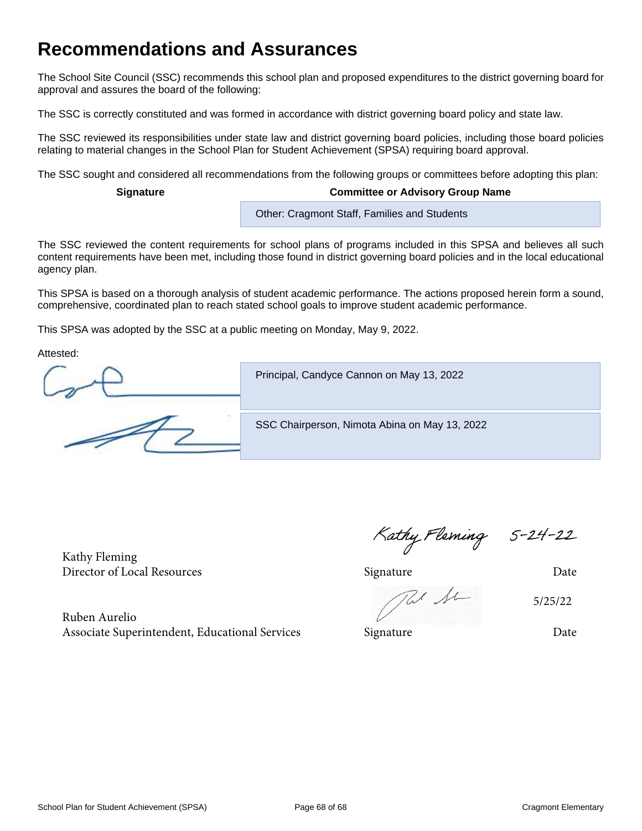# **Recommendations and Assurances**

The School Site Council (SSC) recommends this school plan and proposed expenditures to the district governing board for approval and assures the board of the following:

The SSC is correctly constituted and was formed in accordance with district governing board policy and state law.

The SSC reviewed its responsibilities under state law and district governing board policies, including those board policies relating to material changes in the School Plan for Student Achievement (SPSA) requiring board approval.

The SSC sought and considered all recommendations from the following groups or committees before adopting this plan:

#### **Signature Committee or Advisory Group Name**

Other: Cragmont Staff, Families and Students

The SSC reviewed the content requirements for school plans of programs included in this SPSA and believes all such content requirements have been met, including those found in district governing board policies and in the local educational agency plan.

This SPSA is based on a thorough analysis of student academic performance. The actions proposed herein form a sound, comprehensive, coordinated plan to reach stated school goals to improve student academic performance.

This SPSA was adopted by the SSC at a public meeting on Monday, May 9, 2022.

Attested:

Principal, Candyce Cannon on May 13, 2022

SSC Chairperson, Nimota Abina on May 13, 2022

Kathy Fleming Director of Local Resources and the Signature Signature Date

Ruben Aurelio

5/25/22

Associate Superintendent, Educational Services Signature Signature Date